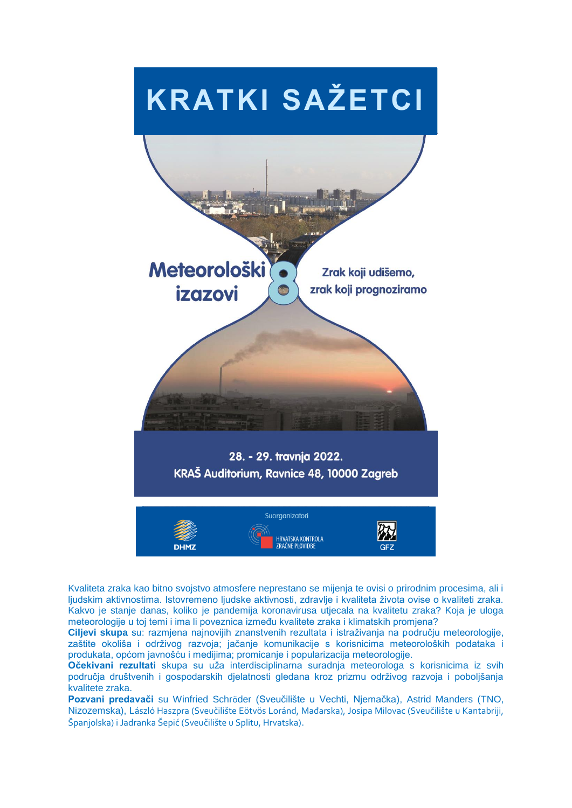

Kvaliteta zraka kao bitno svojstvo atmosfere neprestano se mijenja te ovisi o prirodnim procesima, ali i ljudskim aktivnostima. Istovremeno ljudske aktivnosti, zdravlje i kvaliteta života ovise o kvaliteti zraka. Kakvo je stanje danas, koliko je pandemija koronavirusa utjecala na kvalitetu zraka? Koja je uloga meteorologije u toj temi i ima li poveznica između kvalitete zraka i klimatskih promjena?

**Ciljevi skupa** su: razmjena najnovijih znanstvenih rezultata i istraživanja na području meteorologije, zaštite okoliša i održivog razvoja; jačanje komunikacije s korisnicima meteoroloških podataka i produkata, općom javnošću i medijima; promicanje i popularizacija meteorologije.

**Očekivani rezultati** skupa su uža interdisciplinarna suradnja meteorologa s korisnicima iz svih područja društvenih i gospodarskih djelatnosti gledana kroz prizmu održivog razvoja i poboljšanja kvalitete zraka.

**Pozvani predavači** su Winfried Schröder (Sveuĉilište u Vechti, Njemaĉka), Astrid Manders (TNO, Nizozemska), László Haszpra (Sveučilište Eötvös Loránd, Mađarska), Josipa Milovac (Sveučilište u Kantabriji, Španjolska) i Jadranka Šepić (Sveučilište u Splitu, Hrvatska).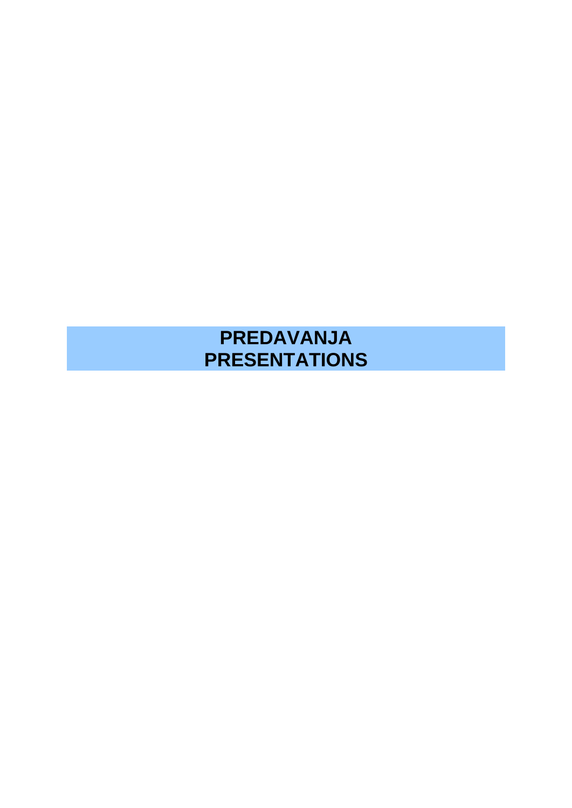# **PREDAVANJA PRESENTATIONS**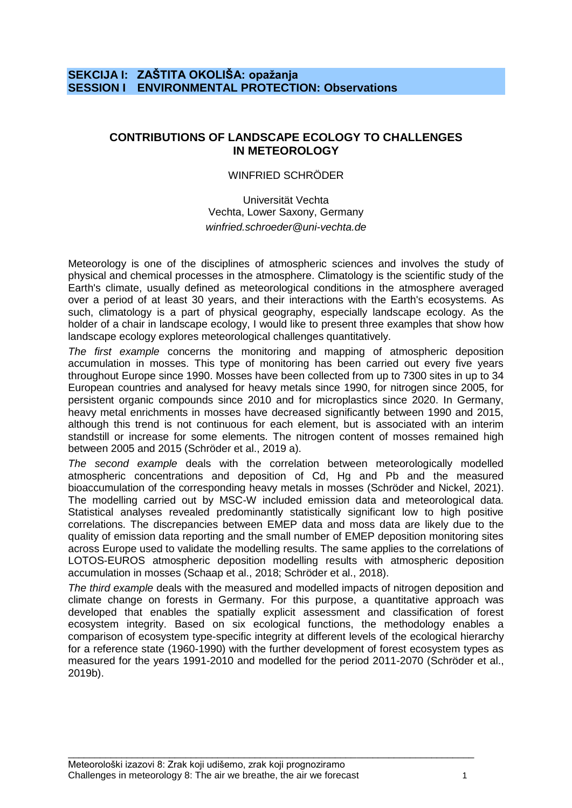# **SEKCIJA I: ZAŠTITA OKOLIŠA: opažanja SESSION I ENVIRONMENTAL PROTECTION: Observations**

# **CONTRIBUTIONS OF LANDSCAPE ECOLOGY TO CHALLENGES IN METEOROLOGY**

#### WINFRIED SCHRÖDER

Universität Vechta Vechta, Lower Saxony, Germany *winfried.schroeder@uni-vechta.de*

Meteorology is one of the disciplines of atmospheric sciences and involves the study of physical and chemical processes in the atmosphere. Climatology is the scientific study of the Earth's climate, usually defined as meteorological conditions in the atmosphere averaged over a period of at least 30 years, and their interactions with the Earth's ecosystems. As such, climatology is a part of physical geography, especially landscape ecology. As the holder of a chair in landscape ecology, I would like to present three examples that show how landscape ecology explores meteorological challenges quantitatively.

*The first example* concerns the monitoring and mapping of atmospheric deposition accumulation in mosses. This type of monitoring has been carried out every five years throughout Europe since 1990. Mosses have been collected from up to 7300 sites in up to 34 European countries and analysed for heavy metals since 1990, for nitrogen since 2005, for persistent organic compounds since 2010 and for microplastics since 2020. In Germany, heavy metal enrichments in mosses have decreased significantly between 1990 and 2015, although this trend is not continuous for each element, but is associated with an interim standstill or increase for some elements. The nitrogen content of mosses remained high between 2005 and 2015 (Schröder et al., 2019 a).

*The second example* deals with the correlation between meteorologically modelled atmospheric concentrations and deposition of Cd, Hg and Pb and the measured bioaccumulation of the corresponding heavy metals in mosses (Schröder and Nickel, 2021). The modelling carried out by MSC-W included emission data and meteorological data. Statistical analyses revealed predominantly statistically significant low to high positive correlations. The discrepancies between EMEP data and moss data are likely due to the quality of emission data reporting and the small number of EMEP deposition monitoring sites across Europe used to validate the modelling results. The same applies to the correlations of LOTOS-EUROS atmospheric deposition modelling results with atmospheric deposition accumulation in mosses (Schaap et al., 2018; Schröder et al., 2018).

*The third example* deals with the measured and modelled impacts of nitrogen deposition and climate change on forests in Germany. For this purpose, a quantitative approach was developed that enables the spatially explicit assessment and classification of forest ecosystem integrity. Based on six ecological functions, the methodology enables a comparison of ecosystem type-specific integrity at different levels of the ecological hierarchy for a reference state (1960-1990) with the further development of forest ecosystem types as measured for the years 1991-2010 and modelled for the period 2011-2070 (Schröder et al., 2019b).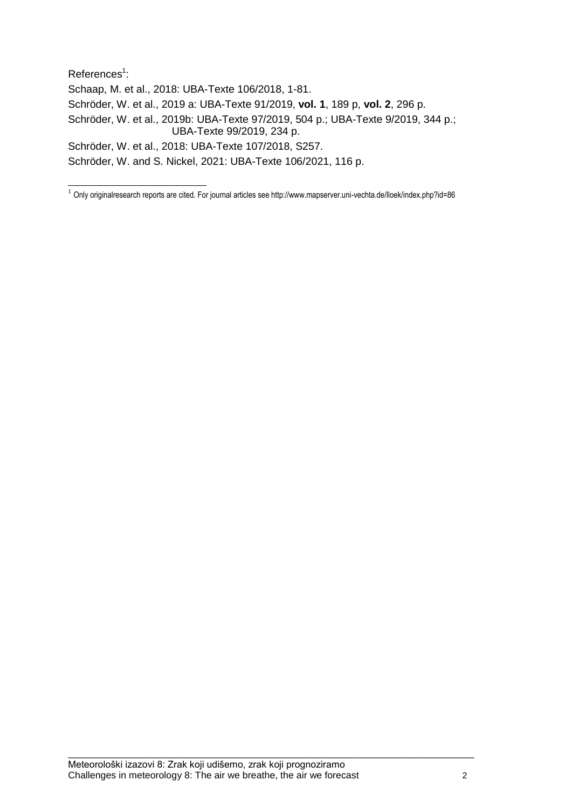References<sup>1</sup>: Schaap, M. et al., 2018: UBA-Texte 106/2018, 1-81. Schröder, W. et al., 2019 a: UBA-Texte 91/2019, **vol. 1**, 189 p, **vol. 2**, 296 p. Schröder, W. et al., 2019b: UBA-Texte 97/2019, 504 p.; UBA-Texte 9/2019, 344 p.; UBA-Texte 99/2019, 234 p. Schröder, W. et al., 2018: UBA-Texte 107/2018, S257. Schröder, W. and S. Nickel, 2021: UBA-Texte 106/2021, 116 p.

 1 Only originalresearch reports are cited. For journal articles see http://www.mapserver.uni-vechta.de/lloek/index.php?id=86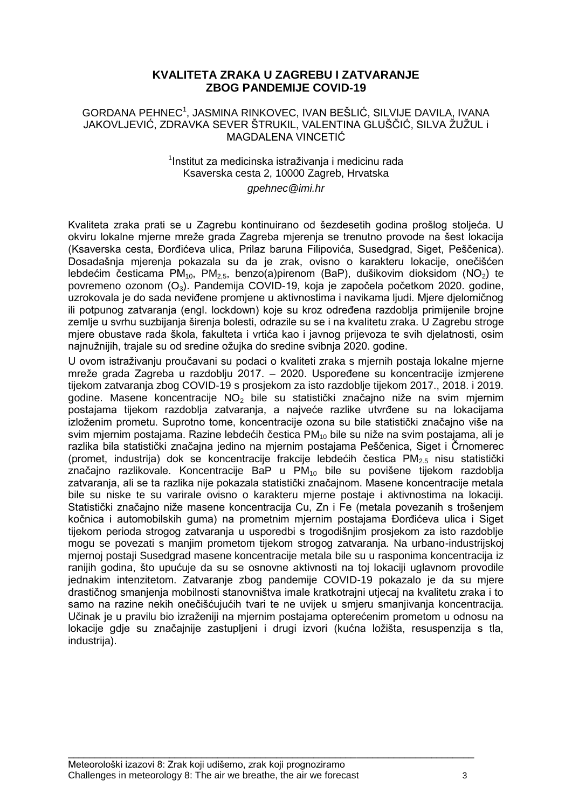# **KVALITETA ZRAKA U ZAGREBU I ZATVARANJE ZBOG PANDEMIJE COVID-19**

#### GORDANA PEHNEC<sup>1</sup>, JASMINA RINKOVEC, IVAN BEŠLIĆ, SILVIJE DAVILA, IVANA JAKOVLJEVIĆ, ZDRAVKA SEVER ŠTRUKIL, VALENTINA GLUŠČIĆ, SILVA ŽUŽUL i MAGDALENA VINCETIĆ

#### $1$ Institut za medicinska istraživanja i medicinu rada Ksaverska cesta 2, 10000 Zagreb, Hrvatska *gpehnec@imi.hr*

Kvaliteta zraka prati se u Zagrebu kontinuirano od šezdesetih godina prošlog stoljeća. U okviru lokalne mierne mreže grada Zagreba mierenia se trenutno provode na šest lokacija (Ksaverska cesta, Đorđićeva ulica, Prilaz baruna Filipovića, Susedgrad, Siget, Peščenica). Dosadašnja mjerenja pokazala su da je zrak, ovisno o karakteru lokacije, oneĉišćen lebdećim česticama PM<sub>10</sub>, PM<sub>25</sub>, benzo(a)pirenom (BaP), dušikovim dioksidom (NO<sub>2</sub>) te povremeno ozonom (O3). Pandemija COVID-19, koja je zapoĉela poĉetkom 2020. godine, uzrokovala je do sada neviđene promjene u aktivnostima i navikama ljudi. Mjere djelomičnog ili potpunog zatvaranja (engl. lockdown) koje su kroz određena razdoblja primijenile brojne zemlje u svrhu suzbijanja širenja bolesti, odrazile su se i na kvalitetu zraka. U Zagrebu stroge mjere obustave rada škola, fakulteta i vrtića kao i javnog prijevoza te svih djelatnosti, osim najnužnijih, trajale su od sredine ožujka do sredine svibnja 2020. godine.

U ovom istraţivanju prouĉavani su podaci o kvaliteti zraka s mjernih postaja lokalne mjerne mreže grada Zagreba u razdoblju 2017. – 2020. Uspoređene su koncentracije izmjerene tijekom zatvaranja zbog COVID-19 s prosjekom za isto razdoblje tijekom 2017., 2018. i 2019. godine. Masene koncentracije NO<sub>2</sub> bile su statistički značajno niže na svim mjernim postajama tijekom razdoblja zatvaranja, a najveće razlike utvrđene su na lokacijama izloženim prometu. Suprotno tome, koncentracije ozona su bile statistički značajno više na svim mjernim postajama. Razine lebdećih čestica  $PM_{10}$  bile su niže na svim postajama, ali je razlika bila statistiĉki znaĉajna jedino na mjernim postajama Pešĉenica, Siget i Ĉrnomerec (promet, industrija) dok se koncentracije frakcije lebdećih čestica PM<sub>2.5</sub> nisu statistički značajno razlikovale. Koncentracije BaP u  $PM_{10}$  bile su povišene tijekom razdoblja zatvaranja, ali se ta razlika nije pokazala statistiĉki znaĉajnom. Masene koncentracije metala bile su niske te su varirale ovisno o karakteru mjerne postaje i aktivnostima na lokaciji. Statistički značajno niže masene koncentracija Cu, Zn i Fe (metala povezanih s trošenjem kočnica i automobilskih guma) na prometnim mjernim postajama Đorđićeva ulica i Siget tijekom perioda strogog zatvaranja u usporedbi s trogodišnjim prosjekom za isto razdoblje mogu se povezati s manjim prometom tijekom strogog zatvaranja. Na urbano-industrijskoj mjernoj postaji Susedgrad masene koncentracije metala bile su u rasponima koncentracija iz ranijih godina, što upućuje da su se osnovne aktivnosti na toj lokaciji uglavnom provodile jednakim intenzitetom. Zatvaranje zbog pandemije COVID-19 pokazalo je da su mjere drastiĉnog smanjenja mobilnosti stanovništva imale kratkotrajni utjecaj na kvalitetu zraka i to samo na razine nekih oneĉišćujućih tvari te ne uvijek u smjeru smanjivanja koncentracija. Učinak je u pravilu bio izraženiji na mjernim postajama opterećenim prometom u odnosu na lokacije gdje su značajnije zastupljeni i drugi izvori (kućna ložišta, resuspenzija s tla, industrija).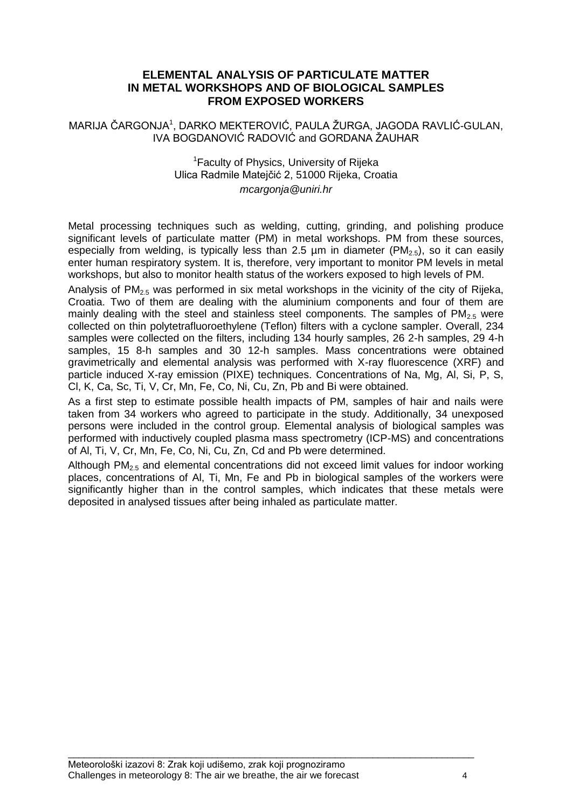# **ELEMENTAL ANALYSIS OF PARTICULATE MATTER IN METAL WORKSHOPS AND OF BIOLOGICAL SAMPLES FROM EXPOSED WORKERS**

MARIJA ČARGONJA<sup>1</sup>, DARKO MEKTEROVIĆ, PAULA ŽURGA, JAGODA RAVLIĆ-GULAN, IVA BOGDANOVIĆ RADOVIĆ and GORDANA ŽAUHAR

#### <sup>1</sup> Faculty of Physics, University of Rijeka Ulica Radmile Matejĉić 2, 51000 Rijeka, Croatia *mcargonja@uniri.hr*

Metal processing techniques such as welding, cutting, grinding, and polishing produce significant levels of particulate matter (PM) in metal workshops. PM from these sources, especially from welding, is typically less than 2.5 um in diameter (PM<sub>2.5</sub>), so it can easily enter human respiratory system. It is, therefore, very important to monitor PM levels in metal workshops, but also to monitor health status of the workers exposed to high levels of PM.

Analysis of  $PM_{2.5}$  was performed in six metal workshops in the vicinity of the city of Rijeka, Croatia. Two of them are dealing with the aluminium components and four of them are mainly dealing with the steel and stainless steel components. The samples of  $PM<sub>2.5</sub>$  were collected on thin polytetrafluoroethylene (Teflon) filters with a cyclone sampler. Overall, 234 samples were collected on the filters, including 134 hourly samples, 26 2-h samples, 29 4-h samples, 15 8-h samples and 30 12-h samples. Mass concentrations were obtained gravimetrically and elemental analysis was performed with X-ray fluorescence (XRF) and particle induced X-ray emission (PIXE) techniques. Concentrations of Na, Mg, Al, Si, P, S, Cl, K, Ca, Sc, Ti, V, Cr, Mn, Fe, Co, Ni, Cu, Zn, Pb and Bi were obtained.

As a first step to estimate possible health impacts of PM, samples of hair and nails were taken from 34 workers who agreed to participate in the study. Additionally, 34 unexposed persons were included in the control group. Elemental analysis of biological samples was performed with inductively coupled plasma mass spectrometry (ICP-MS) and concentrations of Al, Ti, V, Cr, Mn, Fe, Co, Ni, Cu, Zn, Cd and Pb were determined.

Although PM<sub>2.5</sub> and elemental concentrations did not exceed limit values for indoor working places, concentrations of Al, Ti, Mn, Fe and Pb in biological samples of the workers were significantly higher than in the control samples, which indicates that these metals were deposited in analysed tissues after being inhaled as particulate matter.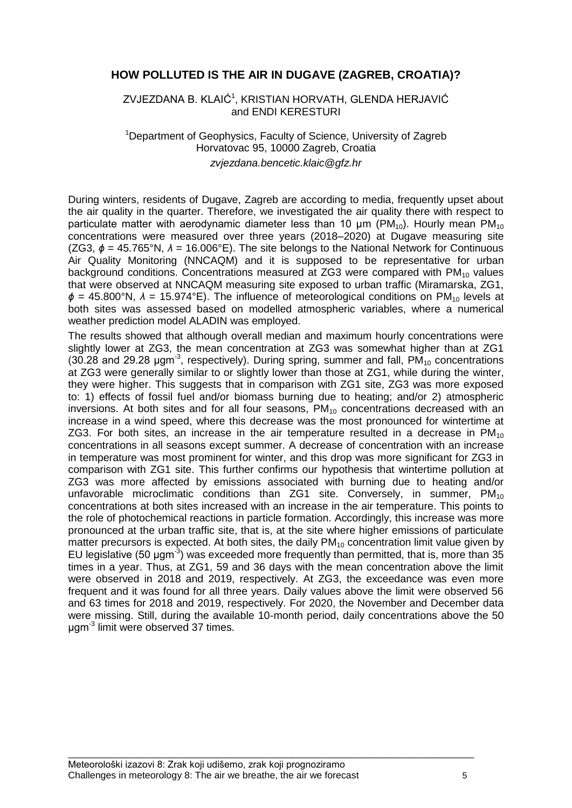# **HOW POLLUTED IS THE AIR IN DUGAVE (ZAGREB, CROATIA)?**

ZVJEZDANA B. KLAIĆ<sup>1</sup>, KRISTIAN HORVATH, GLENDA HERJAVIĆ and ENDI KERESTURI

#### <sup>1</sup>Department of Geophysics, Faculty of Science, University of Zagreb Horvatovac 95, 10000 Zagreb, Croatia *zvjezdana.bencetic.klaic@gfz.hr*

During winters, residents of Dugave, Zagreb are according to media, frequently upset about the air quality in the quarter. Therefore, we investigated the air quality there with respect to particulate matter with aerodynamic diameter less than 10  $\mu$ m (PM<sub>10</sub>). Hourly mean PM<sub>10</sub> concentrations were measured over three years (2018–2020) at Dugave measuring site (ZG3, *ϕ* = 45.765°N, *λ* = 16.006°E). The site belongs to the National Network for Continuous Air Quality Monitoring (NNCAQM) and it is supposed to be representative for urban background conditions. Concentrations measured at ZG3 were compared with  $PM_{10}$  values that were observed at NNCAQM measuring site exposed to urban traffic (Miramarska, ZG1, *ϕ* = 45.800°N, *λ* = 15.974°E). The influence of meteorological conditions on PM<sub>10</sub> levels at both sites was assessed based on modelled atmospheric variables, where a numerical weather prediction model ALADIN was employed.

The results showed that although overall median and maximum hourly concentrations were slightly lower at ZG3, the mean concentration at ZG3 was somewhat higher than at ZG1 (30.28 and 29.28  $\mu$ gm<sup>-3</sup>, respectively). During spring, summer and fall, PM<sub>10</sub> concentrations at ZG3 were generally similar to or slightly lower than those at ZG1, while during the winter, they were higher. This suggests that in comparison with ZG1 site, ZG3 was more exposed to: 1) effects of fossil fuel and/or biomass burning due to heating; and/or 2) atmospheric inversions. At both sites and for all four seasons,  $PM_{10}$  concentrations decreased with an increase in a wind speed, where this decrease was the most pronounced for wintertime at ZG3. For both sites, an increase in the air temperature resulted in a decrease in  $PM_{10}$ concentrations in all seasons except summer. A decrease of concentration with an increase in temperature was most prominent for winter, and this drop was more significant for ZG3 in comparison with ZG1 site. This further confirms our hypothesis that wintertime pollution at ZG3 was more affected by emissions associated with burning due to heating and/or unfavorable microclimatic conditions than  $ZG1$  site. Conversely, in summer,  $PM_{10}$ concentrations at both sites increased with an increase in the air temperature. This points to the role of photochemical reactions in particle formation. Accordingly, this increase was more pronounced at the urban traffic site, that is, at the site where higher emissions of particulate matter precursors is expected. At both sites, the daily  $PM_{10}$  concentration limit value given by EU legislative (50 μgm<sup>-3</sup>) was exceeded more frequently than permitted, that is, more than 35 times in a year. Thus, at ZG1, 59 and 36 days with the mean concentration above the limit were observed in 2018 and 2019, respectively. At ZG3, the exceedance was even more frequent and it was found for all three years. Daily values above the limit were observed 56 and 63 times for 2018 and 2019, respectively. For 2020, the November and December data were missing. Still, during the available 10-month period, daily concentrations above the 50 μgm-3 limit were observed 37 times.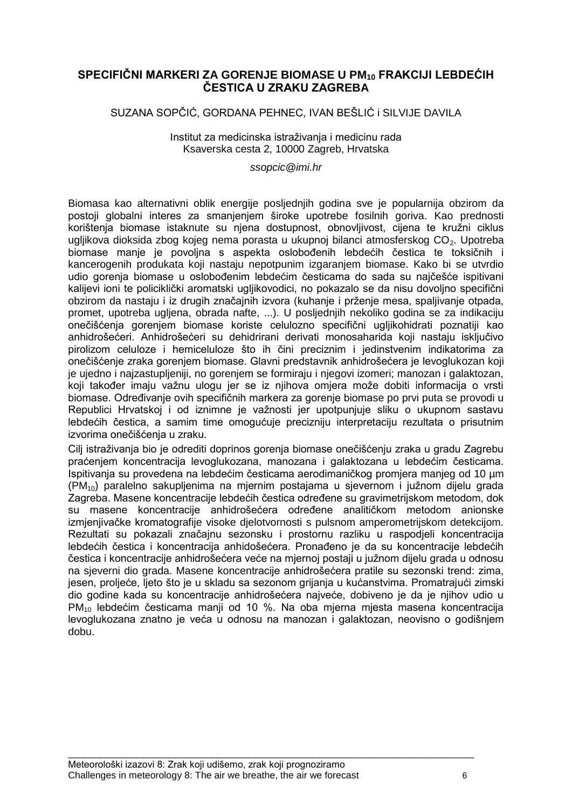# **SPECIFIČNI MARKERI ZA GORENJE BIOMASE U PM<sup>10</sup> FRAKCIJI LEBDEĆIH ČESTICA U ZRAKU ZAGREBA**

# SUZANA SOPĈIĆ, GORDANA PEHNEC, IVAN BEŠLIĆ i SILVIJE DAVILA

Institut za medicinska istraživanja i medicinu rada Ksaverska cesta 2, 10000 Zagreb, Hrvatska

*ssopcic@imi.hr*

Biomasa kao alternativni oblik energije posljednjih godina sve je popularnija obzirom da postoji globalni interes za smanjenjem široke upotrebe fosilnih goriva. Kao prednosti korištenja biomase istaknute su njena dostupnost, obnovljivost, cijena te kružni ciklus ugljikova dioksida zbog kojeg nema porasta u ukupnoj bilanci atmosferskog CO<sub>2</sub>. Upotreba biomase manje je povoljna s aspekta oslobođenih lebdećih čestica te toksičnih i kancerogenih produkata koji nastaju nepotpunim izgaranjem biomase. Kako bi se utvrdio udio gorenja biomase u oslobođenim lebdećim česticama do sada su najčešće ispitivani kalijevi ioni te policikliĉki aromatski ugljikovodici, no pokazalo se da nisu dovoljno specifiĉni obzirom da nastaju i iz drugih značajnih izvora (kuhanje i prženje mesa, spaljivanje otpada, promet, upotreba ugljena, obrada nafte, ...). U posljednjih nekoliko godina se za indikaciju oneĉišćenja gorenjem biomase koriste celulozno specifiĉni ugljikohidrati poznatiji kao anhidrošećeri. Anhidrošećeri su dehidrirani derivati monosaharida koji nastaju iskljuĉivo pirolizom celuloze i hemiceluloze što ih ĉini preciznim i jedinstvenim indikatorima za oneĉišćenje zraka gorenjem biomase. Glavni predstavnik anhidrošećera je levoglukozan koji je ujedno i najzastupljeniji, no gorenjem se formiraju i njegovi izomeri; manozan i galaktozan, koji također imaju važnu ulogu jer se iz njihova omjera može dobiti informacija o vrsti biomase. Određivanje ovih specifičnih markera za gorenje biomase po prvi puta se provodi u Republici Hrvatskoj i od iznimne je važnosti jer upotpunjuje sliku o ukupnom sastavu lebdećih ĉestica, a samim time omogućuje precizniju interpretaciju rezultata o prisutnim izvorima oneĉišćenja u zraku.

Cilj istraţivanja bio je odrediti doprinos gorenja biomase oneĉišćenju zraka u gradu Zagrebu praćenjem koncentracija levoglukozana, manozana i galaktozana u lebdećim ĉesticama. Ispitivanja su provedena na lebdećim ĉesticama aerodimaniĉkog promjera manjeg od 10 µm  $(PM<sub>10</sub>)$  paralelno sakupljenima na mjernim postajama u sjevernom i južnom dijelu grada Zagreba. Masene koncentracije lebdećih čestica određene su gravimetrijskom metodom, dok su masene koncentracije anhidrošećera određene analitičkom metodom anionske izmjenjivaĉke kromatografije visoke djelotvornosti s pulsnom amperometrijskom detekcijom. Rezultati su pokazali znaĉajnu sezonsku i prostornu razliku u raspodjeli koncentracija lebdećih čestica i koncentracija anhidošećera. Pronađeno je da su koncentracije lebdećih čestica i koncentracije anhidrošećera veće na mjernoj postaji u južnom dijelu grada u odnosu na sjeverni dio grada. Masene koncentracije anhidrošećera pratile su sezonski trend: zima, jesen, proljeće, ljeto što je u skladu sa sezonom grijanja u kućanstvima. Promatrajući zimski dio godine kada su koncentracije anhidrošećera najveće, dobiveno je da je njihov udio u PM<sub>10</sub> lebdećim česticama manji od 10 %. Na oba mjerna mjesta masena koncentracija levoglukozana znatno je veća u odnosu na manozan i galaktozan, neovisno o godišnjem dobu.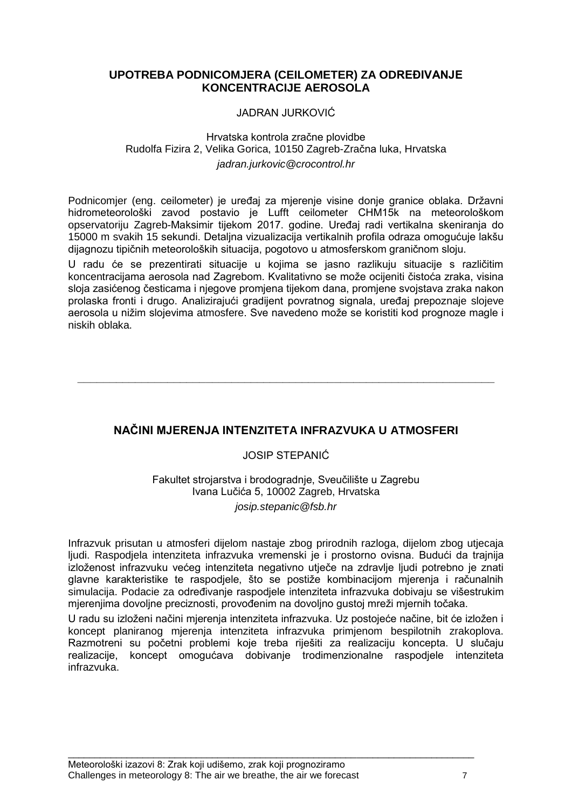# **UPOTREBA PODNICOMJERA (CEILOMETER) ZA ODREĐIVANJE KONCENTRACIJE AEROSOLA**

#### JADRAN JURKOVIĆ

#### Hrvatska kontrola zraĉne plovidbe Rudolfa Fizira 2, Velika Gorica, 10150 Zagreb-Zraĉna luka, Hrvatska *jadran.jurkovic@crocontrol.hr*

Podnicomjer (eng. ceilometer) je uređaj za mjerenje visine donje granice oblaka. Državni hidrometeorološki zavod postavio je Lufft ceilometer CHM15k na meteorološkom opservatoriju Zagreb-Maksimir tijekom 2017. godine. Uređaj radi vertikalna skeniranja do 15000 m svakih 15 sekundi. Detaljna vizualizacija vertikalnih profila odraza omogućuje lakšu dijagnozu tipiĉnih meteoroloških situacija, pogotovo u atmosferskom graniĉnom sloju.

U radu će se prezentirati situacije u kojima se jasno razlikuju situacije s razliĉitim koncentracijama aerosola nad Zagrebom. Kvalitativno se može ocijeniti čistoća zraka, visina sloja zasićenog ĉesticama i njegove promjena tijekom dana, promjene svojstava zraka nakon prolaska fronti i drugo. Analizirajući gradijent povratnog signala, uređaj prepoznaje slojeve aerosola u nižim slojevima atmosfere. Sve navedeno može se koristiti kod prognoze magle i niskih oblaka.

# **NAČINI MJERENJA INTENZITETA INFRAZVUKA U ATMOSFERI**

**\_\_\_\_\_\_\_\_\_\_\_\_\_\_\_\_\_\_\_\_\_\_\_\_\_\_\_\_\_\_\_\_\_\_\_\_\_\_\_\_\_\_\_\_\_\_\_\_\_\_\_\_\_\_\_\_\_\_\_\_\_\_\_\_\_**

# JOSIP STEPANIĆ

Fakultet strojarstva i brodogradnje, Sveuĉilište u Zagrebu Ivana Luĉića 5, 10002 Zagreb, Hrvatska *josip.stepanic@fsb.hr*

Infrazvuk prisutan u atmosferi dijelom nastaje zbog prirodnih razloga, dijelom zbog utjecaja ljudi. Raspodjela intenziteta infrazvuka vremenski je i prostorno ovisna. Budući da trajnija izloženost infrazvuku većeg intenziteta negativno utječe na zdravlje ljudi potrebno je znati glavne karakteristike te raspodjele, što se postiže kombinacijom mjerenja i računalnih simulacija. Podacie za određivanje raspodjele intenziteta infrazvuka dobivaju se višestrukim mjerenjima dovoljne preciznosti, provođenim na dovoljno gustoj mreži mjernih točaka.

U radu su izloženi načini mjerenja intenziteta infrazvuka. Uz postojeće načine, bit će izložen i koncept planiranog mjerenja intenziteta infrazvuka primjenom bespilotnih zrakoplova. Razmotreni su poĉetni problemi koje treba riješiti za realizaciju koncepta. U sluĉaju realizacije, koncept omogućava dobivanje trodimenzionalne raspodjele intenziteta infrazvuka.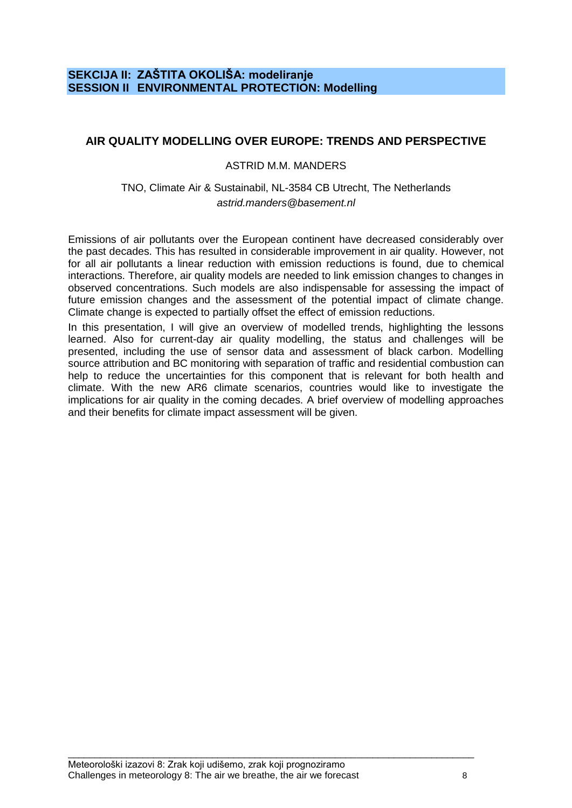# **SEKCIJA II: ZAŠTITA OKOLIŠA: modeliranje SESSION II ENVIRONMENTAL PROTECTION: Modelling**

# **AIR QUALITY MODELLING OVER EUROPE: TRENDS AND PERSPECTIVE**

#### ASTRID M.M. MANDERS

#### TNO, Climate Air & Sustainabil, NL-3584 CB Utrecht, The Netherlands *astrid.manders@basement.nl*

Emissions of air pollutants over the European continent have decreased considerably over the past decades. This has resulted in considerable improvement in air quality. However, not for all air pollutants a linear reduction with emission reductions is found, due to chemical interactions. Therefore, air quality models are needed to link emission changes to changes in observed concentrations. Such models are also indispensable for assessing the impact of future emission changes and the assessment of the potential impact of climate change. Climate change is expected to partially offset the effect of emission reductions.

In this presentation, I will give an overview of modelled trends, highlighting the lessons learned. Also for current-day air quality modelling, the status and challenges will be presented, including the use of sensor data and assessment of black carbon. Modelling source attribution and BC monitoring with separation of traffic and residential combustion can help to reduce the uncertainties for this component that is relevant for both health and climate. With the new AR6 climate scenarios, countries would like to investigate the implications for air quality in the coming decades. A brief overview of modelling approaches and their benefits for climate impact assessment will be given.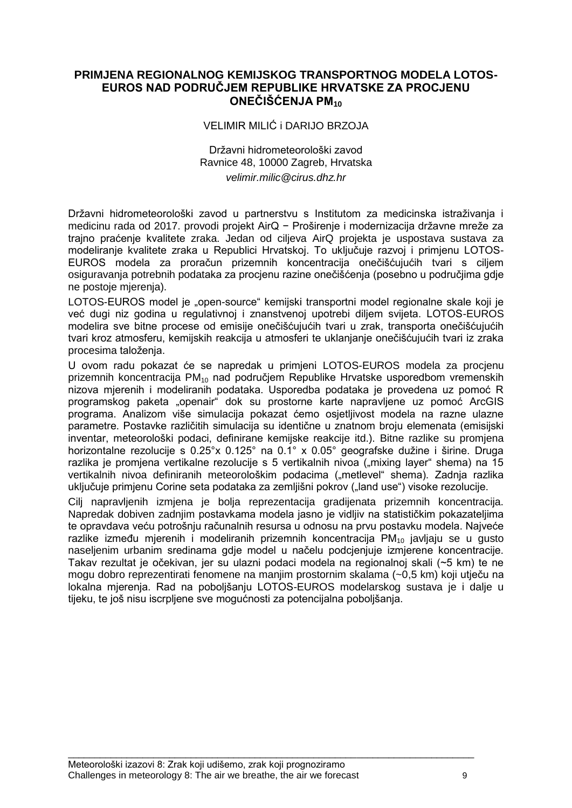# **PRIMJENA REGIONALNOG KEMIJSKOG TRANSPORTNOG MODELA LOTOS-EUROS NAD PODRUČJEM REPUBLIKE HRVATSKE ZA PROCJENU ONEČIŠĆENJA PM<sup>10</sup>**

#### VELIMIR MILIĆ i DARIJO BRZOJA

#### Državni hidrometeorološki zavod Ravnice 48, 10000 Zagreb, Hrvatska *velimir.milic@cirus.dhz.hr*

Državni hidrometeorološki zavod u partnerstvu s Institutom za medicinska istraživanja i medicinu rada od 2017. provodi projekt AirQ − Proširenje i modernizacija državne mreže za trajno praćenje kvalitete zraka. Jedan od ciljeva AirQ projekta je uspostava sustava za modeliranje kvalitete zraka u Republici Hrvatskoj. To ukljuĉuje razvoj i primjenu LOTOS-EUROS modela za proraĉun prizemnih koncentracija oneĉišćujućih tvari s ciljem osiguravanja potrebnih podataka za procjenu razine oneĉišćenja (posebno u podruĉjima gdje ne postoje mjerenja).

LOTOS-EUROS model je "open-source" kemijski transportni model regionalne skale koji je već dugi niz godina u regulativnoj i znanstvenoj upotrebi diljem svijeta. LOTOS-EUROS modelira sve bitne procese od emisije oneĉišćujućih tvari u zrak, transporta oneĉišćujućih tvari kroz atmosferu, kemijskih reakcija u atmosferi te uklanjanje oneĉišćujućih tvari iz zraka procesima taloženja.

U ovom radu pokazat će se napredak u primjeni LOTOS-EUROS modela za procjenu prizemnih koncentracija  $PM_{10}$  nad područjem Republike Hrvatske usporedbom vremenskih nizova mjerenih i modeliranih podataka. Usporedba podataka je provedena uz pomoć R programskog paketa "openair" dok su prostorne karte napravljene uz pomoć ArcGIS programa. Analizom više simulacija pokazat ćemo osjetljivost modela na razne ulazne parametre. Postavke razliĉitih simulacija su identiĉne u znatnom broju elemenata (emisijski inventar, meteorološki podaci, definirane kemijske reakcije itd.). Bitne razlike su promjena horizontalne rezolucije s 0.25°x 0.125° na 0.1° x 0.05° geografske dužine i širine. Druga razlika je promjena vertikalne rezolucije s 5 vertikalnih nivoa ("mixing layer" shema) na 15 vertikalnih nivoa definiranih meteorološkim podacima ("metlevel" shema). Zadnja razlika uključuje primjenu Corine seta podataka za zemljišni pokrov ("land use") visoke rezolucije.

Cilj napravljenih izmjena je bolja reprezentacija gradijenata prizemnih koncentracija. Napredak dobiven zadnjim postavkama modela jasno je vidljiv na statistiĉkim pokazateljima te opravdava veću potrošnju raĉunalnih resursa u odnosu na prvu postavku modela. Najveće razlike između mjerenih i modeliranih prizemnih koncentracija  $PM_{10}$  javljaju se u gusto naseljenim urbanim sredinama gdje model u naĉelu podcjenjuje izmjerene koncentracije. Takav rezultat je oĉekivan, jer su ulazni podaci modela na regionalnoj skali (~5 km) te ne mogu dobro reprezentirati fenomene na manjim prostornim skalama (~0,5 km) koji utjeĉu na lokalna mjerenja. Rad na poboljšanju LOTOS-EUROS modelarskog sustava je i dalje u tijeku, te još nisu iscrpljene sve mogućnosti za potencijalna poboljšanja.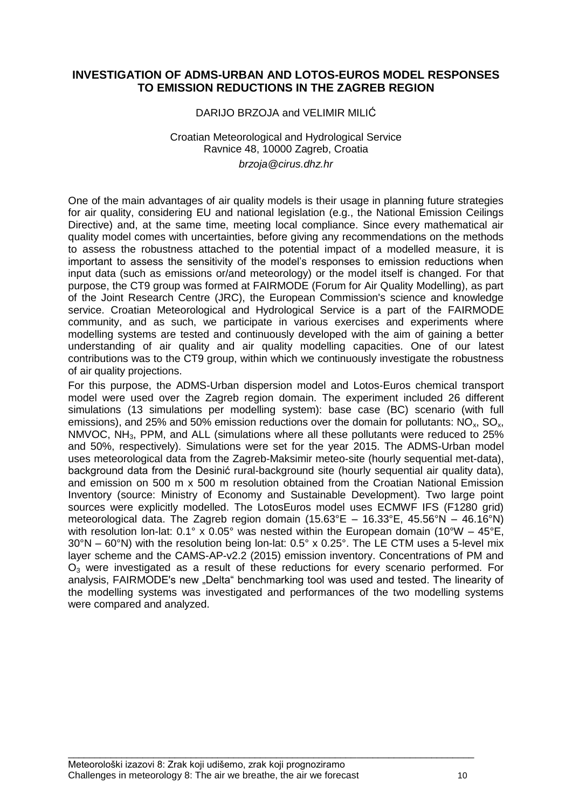# **INVESTIGATION OF ADMS-URBAN AND LOTOS-EUROS MODEL RESPONSES TO EMISSION REDUCTIONS IN THE ZAGREB REGION**

#### DARIJO BRZOJA and VELIMIR MILIĆ

#### Croatian Meteorological and Hydrological Service Ravnice 48, 10000 Zagreb, Croatia *brzoja@cirus.dhz.hr*

One of the main advantages of air quality models is their usage in planning future strategies for air quality, considering EU and national legislation (e.g., the National Emission Ceilings Directive) and, at the same time, meeting local compliance. Since every mathematical air quality model comes with uncertainties, before giving any recommendations on the methods to assess the robustness attached to the potential impact of a modelled measure, it is important to assess the sensitivity of the model"s responses to emission reductions when input data (such as emissions or/and meteorology) or the model itself is changed. For that purpose, the CT9 group was formed at FAIRMODE (Forum for Air Quality Modelling), as part of the Joint Research Centre (JRC), the European Commission's science and knowledge service. Croatian Meteorological and Hydrological Service is a part of the FAIRMODE community, and as such, we participate in various exercises and experiments where modelling systems are tested and continuously developed with the aim of gaining a better understanding of air quality and air quality modelling capacities. One of our latest contributions was to the CT9 group, within which we continuously investigate the robustness of air quality projections.

For this purpose, the ADMS-Urban dispersion model and Lotos-Euros chemical transport model were used over the Zagreb region domain. The experiment included 26 different simulations (13 simulations per modelling system): base case (BC) scenario (with full emissions), and 25% and 50% emission reductions over the domain for pollutants:  $NO<sub>x</sub>$ ,  $SO<sub>x</sub>$ , NMVOC, NH3, PPM, and ALL (simulations where all these pollutants were reduced to 25% and 50%, respectively). Simulations were set for the year 2015. The ADMS-Urban model uses meteorological data from the Zagreb-Maksimir meteo-site (hourly sequential met-data), background data from the Desinić rural-background site (hourly sequential air quality data), and emission on 500 m x 500 m resolution obtained from the Croatian National Emission Inventory (source: Ministry of Economy and Sustainable Development). Two large point sources were explicitly modelled. The LotosEuros model uses ECMWF IFS (F1280 grid) meteorological data. The Zagreb region domain  $(15.63^{\circ}E - 16.33^{\circ}E, 45.56^{\circ}N - 46.16^{\circ}N)$ with resolution lon-lat:  $0.1^{\circ} \times 0.05^{\circ}$  was nested within the European domain (10°W – 45°E. 30°N – 60°N) with the resolution being lon-lat: 0.5° x 0.25°. The LE CTM uses a 5-level mix layer scheme and the CAMS-AP-v2.2 (2015) emission inventory. Concentrations of PM and  $O<sub>3</sub>$  were investigated as a result of these reductions for every scenario performed. For analysis, FAIRMODE's new "Delta" benchmarking tool was used and tested. The linearity of the modelling systems was investigated and performances of the two modelling systems were compared and analyzed.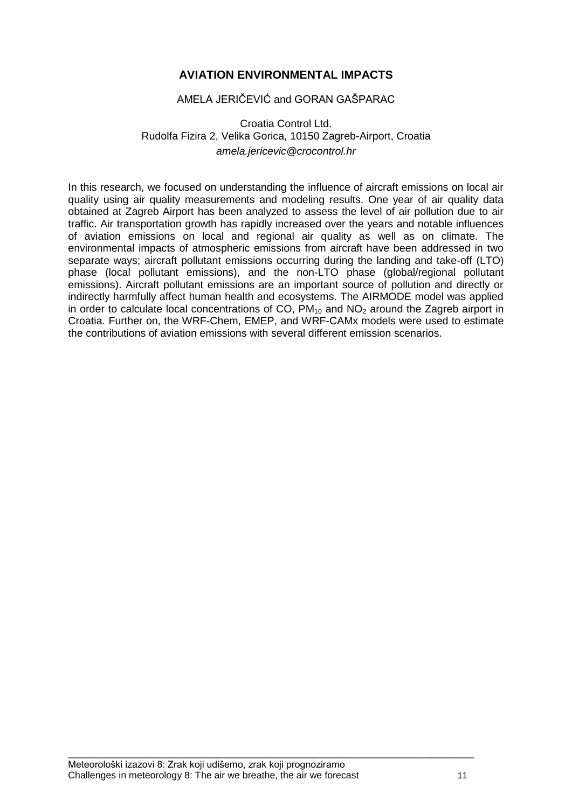# **AVIATION ENVIRONMENTAL IMPACTS**

#### AMELA JERIĈEVIĆ and GORAN GAŠPARAC

# Croatia Control Ltd. Rudolfa Fizira 2, Velika Gorica, 10150 Zagreb-Airport, Croatia *amela.jericevic@crocontrol.hr*

In this research, we focused on understanding the influence of aircraft emissions on local air quality using air quality measurements and modeling results. One year of air quality data obtained at Zagreb Airport has been analyzed to assess the level of air pollution due to air traffic. Air transportation growth has rapidly increased over the years and notable influences of aviation emissions on local and regional air quality as well as on climate. The environmental impacts of atmospheric emissions from aircraft have been addressed in two separate ways; aircraft pollutant emissions occurring during the landing and take-off (LTO) phase (local pollutant emissions), and the non-LTO phase (global/regional pollutant emissions). Aircraft pollutant emissions are an important source of pollution and directly or indirectly harmfully affect human health and ecosystems. The AIRMODE model was applied in order to calculate local concentrations of CO,  $PM_{10}$  and NO<sub>2</sub> around the Zagreb airport in Croatia. Further on, the WRF-Chem, EMEP, and WRF-CAMx models were used to estimate the contributions of aviation emissions with several different emission scenarios.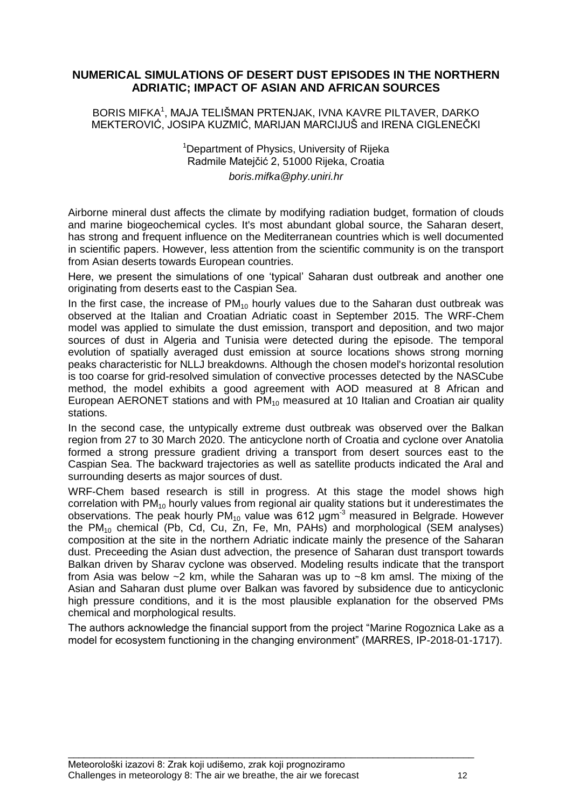# **NUMERICAL SIMULATIONS OF DESERT DUST EPISODES IN THE NORTHERN ADRIATIC; IMPACT OF ASIAN AND AFRICAN SOURCES**

BORIS MIFKA<sup>1</sup> , MAJA TELIŠMAN PRTENJAK, IVNA KAVRE PILTAVER, DARKO MEKTEROVIĆ, JOSIPA KUZMIĆ, MARIJAN MARCIJUŠ and IRENA CIGLENEĈKI

> <sup>1</sup>Department of Physics, University of Rijeka Radmile Matejĉić 2, 51000 Rijeka, Croatia *boris.mifka@phy.uniri.hr*

Airborne mineral dust affects the climate by modifying radiation budget, formation of clouds and marine biogeochemical cycles. It's most abundant global source, the Saharan desert, has strong and frequent influence on the Mediterranean countries which is well documented in scientific papers. However, less attention from the scientific community is on the transport from Asian deserts towards European countries.

Here, we present the simulations of one "typical" Saharan dust outbreak and another one originating from deserts east to the Caspian Sea.

In the first case, the increase of  $PM_{10}$  hourly values due to the Saharan dust outbreak was observed at the Italian and Croatian Adriatic coast in September 2015. The WRF-Chem model was applied to simulate the dust emission, transport and deposition, and two major sources of dust in Algeria and Tunisia were detected during the episode. The temporal evolution of spatially averaged dust emission at source locations shows strong morning peaks characteristic for NLLJ breakdowns. Although the chosen model's horizontal resolution is too coarse for grid-resolved simulation of convective processes detected by the NASCube method, the model exhibits a good agreement with AOD measured at 8 African and European AERONET stations and with  $PM_{10}$  measured at 10 Italian and Croatian air quality stations.

In the second case, the untypically extreme dust outbreak was observed over the Balkan region from 27 to 30 March 2020. The anticyclone north of Croatia and cyclone over Anatolia formed a strong pressure gradient driving a transport from desert sources east to the Caspian Sea. The backward trajectories as well as satellite products indicated the Aral and surrounding deserts as major sources of dust.

WRF-Chem based research is still in progress. At this stage the model shows high correlation with  $PM_{10}$  hourly values from regional air quality stations but it underestimates the observations. The peak hourly  $PM_{10}$  value was 612  $\mu$ gm<sup>-3</sup> measured in Belgrade. However the  $PM_{10}$  chemical (Pb, Cd, Cu, Zn, Fe, Mn, PAHs) and morphological (SEM analyses) composition at the site in the northern Adriatic indicate mainly the presence of the Saharan dust. Preceeding the Asian dust advection, the presence of Saharan dust transport towards Balkan driven by Sharav cyclone was observed. Modeling results indicate that the transport from Asia was below ~2 km, while the Saharan was up to ~8 km amsl. The mixing of the Asian and Saharan dust plume over Balkan was favored by subsidence due to anticyclonic high pressure conditions, and it is the most plausible explanation for the observed PMs chemical and morphological results.

The authors acknowledge the financial support from the project "Marine Rogoznica Lake as a model for ecosystem functioning in the changing environment" (MARRES, IP-2018-01-1717).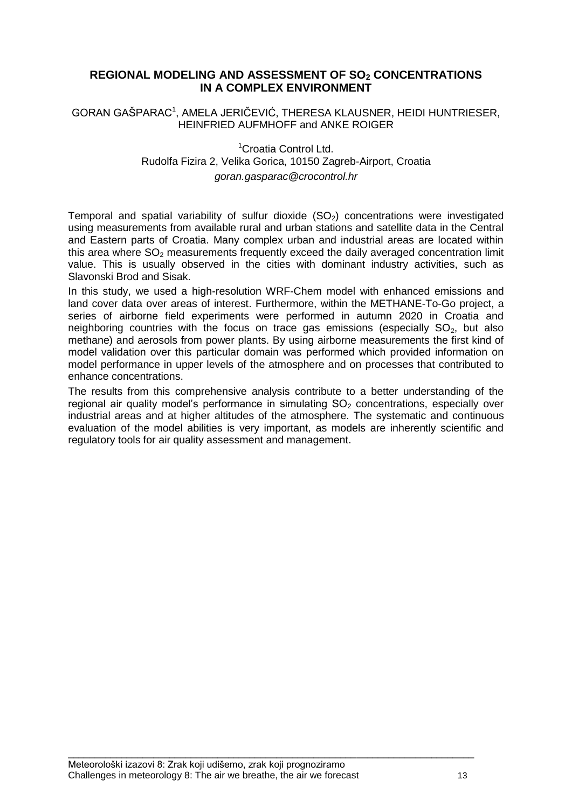# **REGIONAL MODELING AND ASSESSMENT OF SO<sup>2</sup> CONCENTRATIONS IN A COMPLEX ENVIRONMENT**

GORAN GAŠPARAC<sup>1</sup>, AMELA JERIČEVIĆ, THERESA KLAUSNER, HEIDI HUNTRIESER, HEINFRIED AUFMHOFF and ANKE ROIGER

> <sup>1</sup>Croatia Control Ltd. Rudolfa Fizira 2, Velika Gorica, 10150 Zagreb-Airport, Croatia *goran.gasparac@crocontrol.hr*

Temporal and spatial variability of sulfur dioxide  $(SO<sub>2</sub>)$  concentrations were investigated using measurements from available rural and urban stations and satellite data in the Central and Eastern parts of Croatia. Many complex urban and industrial areas are located within this area where  $SO<sub>2</sub>$  measurements frequently exceed the daily averaged concentration limit value. This is usually observed in the cities with dominant industry activities, such as Slavonski Brod and Sisak.

In this study, we used a high-resolution WRF-Chem model with enhanced emissions and land cover data over areas of interest. Furthermore, within the METHANE-To-Go project, a series of airborne field experiments were performed in autumn 2020 in Croatia and neighboring countries with the focus on trace gas emissions (especially  $SO<sub>2</sub>$ , but also methane) and aerosols from power plants. By using airborne measurements the first kind of model validation over this particular domain was performed which provided information on model performance in upper levels of the atmosphere and on processes that contributed to enhance concentrations.

The results from this comprehensive analysis contribute to a better understanding of the regional air quality model's performance in simulating  $SO<sub>2</sub>$  concentrations, especially over industrial areas and at higher altitudes of the atmosphere. The systematic and continuous evaluation of the model abilities is very important, as models are inherently scientific and regulatory tools for air quality assessment and management.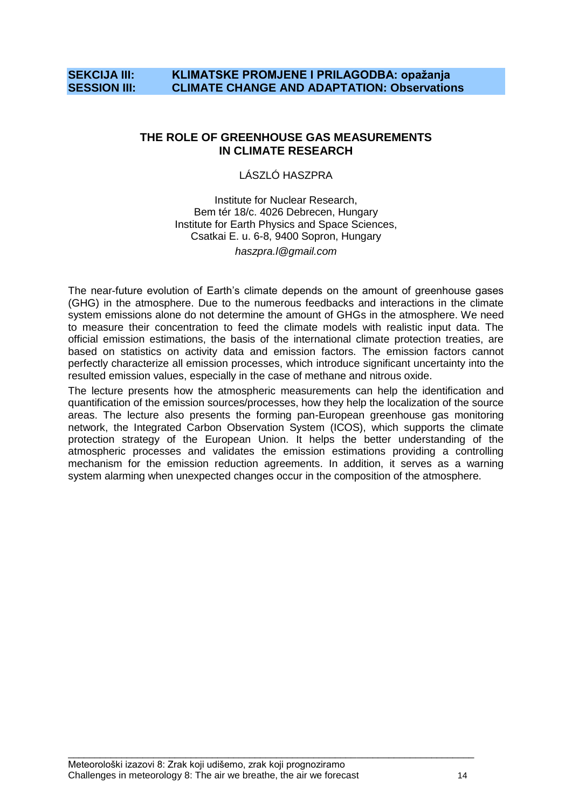# **SEKCIJA III: KLIMATSKE PROMJENE I PRILAGODBA: opažanja SESSION III: CLIMATE CHANGE AND ADAPTATION: Observations**

#### **THE ROLE OF GREENHOUSE GAS MEASUREMENTS IN CLIMATE RESEARCH**

#### LÁSZLÓ HASZPRA

Institute for Nuclear Research, Bem tér 18/c. 4026 Debrecen, Hungary Institute for Earth Physics and Space Sciences, Csatkai E. u. 6-8, 9400 Sopron, Hungary *haszpra.l@gmail.com*

The near-future evolution of Earth"s climate depends on the amount of greenhouse gases (GHG) in the atmosphere. Due to the numerous feedbacks and interactions in the climate system emissions alone do not determine the amount of GHGs in the atmosphere. We need to measure their concentration to feed the climate models with realistic input data. The official emission estimations, the basis of the international climate protection treaties, are based on statistics on activity data and emission factors. The emission factors cannot perfectly characterize all emission processes, which introduce significant uncertainty into the resulted emission values, especially in the case of methane and nitrous oxide.

The lecture presents how the atmospheric measurements can help the identification and quantification of the emission sources/processes, how they help the localization of the source areas. The lecture also presents the forming pan-European greenhouse gas monitoring network, the Integrated Carbon Observation System (ICOS), which supports the climate protection strategy of the European Union. It helps the better understanding of the atmospheric processes and validates the emission estimations providing a controlling mechanism for the emission reduction agreements. In addition, it serves as a warning system alarming when unexpected changes occur in the composition of the atmosphere.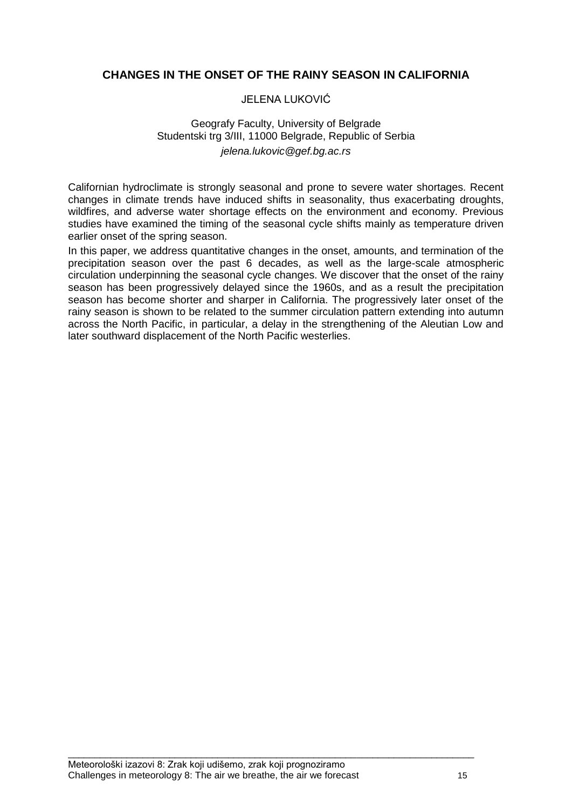# **CHANGES IN THE ONSET OF THE RAINY SEASON IN CALIFORNIA**

#### JELENA LUKOVIĆ

# Geografy Faculty, University of Belgrade Studentski trg 3/III, 11000 Belgrade, Republic of Serbia *jelena.lukovic@gef.bg.ac.rs*

Californian hydroclimate is strongly seasonal and prone to severe water shortages. Recent changes in climate trends have induced shifts in seasonality, thus exacerbating droughts, wildfires, and adverse water shortage effects on the environment and economy. Previous studies have examined the timing of the seasonal cycle shifts mainly as temperature driven earlier onset of the spring season.

In this paper, we address quantitative changes in the onset, amounts, and termination of the precipitation season over the past 6 decades, as well as the large-scale atmospheric circulation underpinning the seasonal cycle changes. We discover that the onset of the rainy season has been progressively delayed since the 1960s, and as a result the precipitation season has become shorter and sharper in California. The progressively later onset of the rainy season is shown to be related to the summer circulation pattern extending into autumn across the North Pacific, in particular, a delay in the strengthening of the Aleutian Low and later southward displacement of the North Pacific westerlies.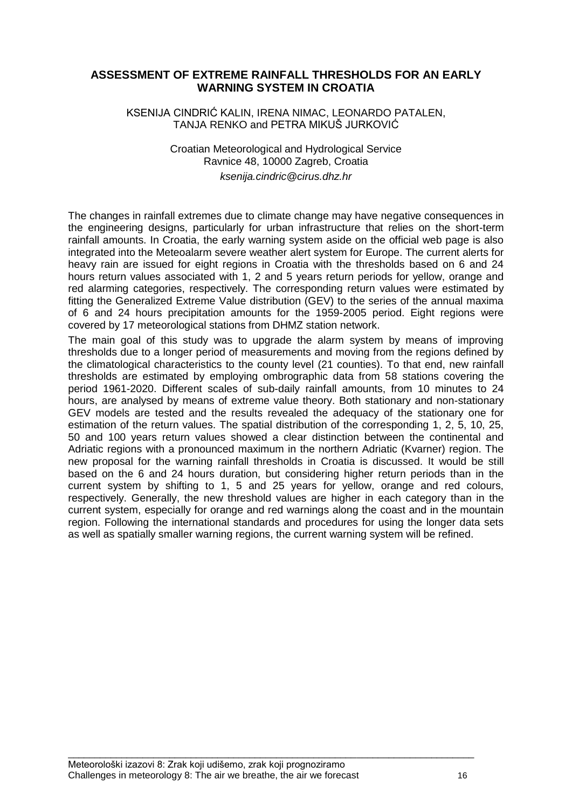# **ASSESSMENT OF EXTREME RAINFALL THRESHOLDS FOR AN EARLY WARNING SYSTEM IN CROATIA**

#### KSENIJA CINDRIĆ KALIN, IRENA NIMAC, LEONARDO PATALEN, TANJA RENKO and PETRA MIKUŠ JURKOVIĆ

#### Croatian Meteorological and Hydrological Service Ravnice 48, 10000 Zagreb, Croatia *ksenija.cindric@cirus.dhz.hr*

The changes in rainfall extremes due to climate change may have negative consequences in the engineering designs, particularly for urban infrastructure that relies on the short-term rainfall amounts. In Croatia, the early warning system aside on the official web page is also integrated into the Meteoalarm severe weather alert system for Europe. The current alerts for heavy rain are issued for eight regions in Croatia with the thresholds based on 6 and 24 hours return values associated with 1, 2 and 5 years return periods for yellow, orange and red alarming categories, respectively. The corresponding return values were estimated by fitting the Generalized Extreme Value distribution (GEV) to the series of the annual maxima of 6 and 24 hours precipitation amounts for the 1959-2005 period. Eight regions were covered by 17 meteorological stations from DHMZ station network.

The main goal of this study was to upgrade the alarm system by means of improving thresholds due to a longer period of measurements and moving from the regions defined by the climatological characteristics to the county level (21 counties). To that end, new rainfall thresholds are estimated by employing ombrographic data from 58 stations covering the period 1961-2020. Different scales of sub-daily rainfall amounts, from 10 minutes to 24 hours, are analysed by means of extreme value theory. Both stationary and non-stationary GEV models are tested and the results revealed the adequacy of the stationary one for estimation of the return values. The spatial distribution of the corresponding 1, 2, 5, 10, 25, 50 and 100 years return values showed a clear distinction between the continental and Adriatic regions with a pronounced maximum in the northern Adriatic (Kvarner) region. The new proposal for the warning rainfall thresholds in Croatia is discussed. It would be still based on the 6 and 24 hours duration, but considering higher return periods than in the current system by shifting to 1, 5 and 25 years for yellow, orange and red colours, respectively. Generally, the new threshold values are higher in each category than in the current system, especially for orange and red warnings along the coast and in the mountain region. Following the international standards and procedures for using the longer data sets as well as spatially smaller warning regions, the current warning system will be refined.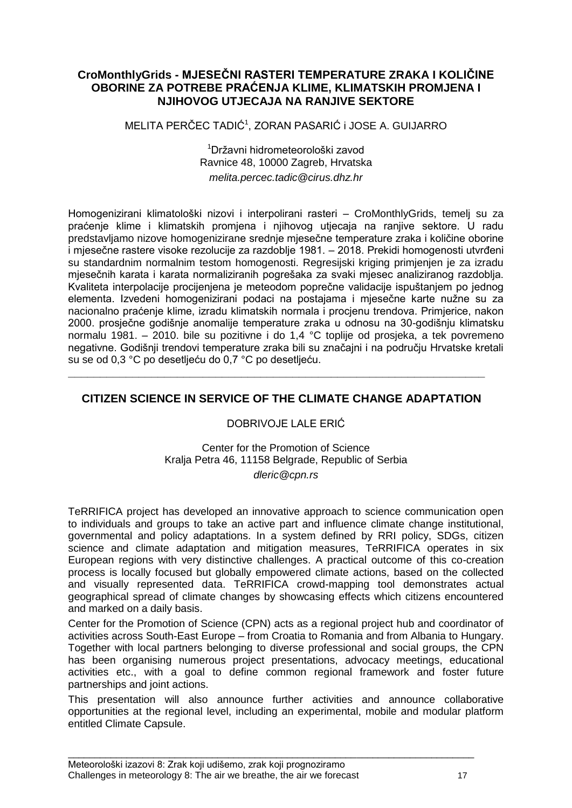# **CroMonthlyGrids - MJESEČNI RASTERI TEMPERATURE ZRAKA I KOLIČINE OBORINE ZA POTREBE PRAĆENJA KLIME, KLIMATSKIH PROMJENA I NJIHOVOG UTJECAJA NA RANJIVE SEKTORE**

MELITA PERĈEC TADIĆ<sup>1</sup> , ZORAN PASARIĆ i JOSE A. GUIJARRO

<sup>1</sup>Državni hidrometeorološki zavod Ravnice 48, 10000 Zagreb, Hrvatska *melita.percec.tadic@cirus.dhz.hr*

Homogenizirani klimatološki nizovi i interpolirani rasteri – CroMonthlyGrids, temelj su za praćenje klime i klimatskih promjena i njihovog utjecaja na ranjive sektore. U radu predstavljamo nizove homogenizirane srednje mjeseĉne temperature zraka i koliĉine oborine i miesečne rastere visoke rezolucije za razdoblje 1981. – 2018. Prekidi homogenosti utvrđeni su standardnim normalnim testom homogenosti. Regresijski kriging primjenjen je za izradu mjeseĉnih karata i karata normaliziranih pogrešaka za svaki mjesec analiziranog razdoblja. Kvaliteta interpolacije procijenjena je meteodom popreĉne validacije ispuštanjem po jednog elementa. Izvedeni homogenizirani podaci na postajama i mjesečne karte nužne su za nacionalno praćenje klime, izradu klimatskih normala i procjenu trendova. Primjerice, nakon 2000. prosjeĉne godišnje anomalije temperature zraka u odnosu na 30-godišnju klimatsku normalu 1981. – 2010. bile su pozitivne i do 1,4 °C toplije od prosjeka, a tek povremeno negativne. Godišnji trendovi temperature zraka bili su znaĉajni i na podruĉju Hrvatske kretali su se od 0,3 °C po desetljeću do 0,7 °C po desetljeću.

# **CITIZEN SCIENCE IN SERVICE OF THE CLIMATE CHANGE ADAPTATION**

**\_\_\_\_\_\_\_\_\_\_\_\_\_\_\_\_\_\_\_\_\_\_\_\_\_\_\_\_\_\_\_\_\_\_\_\_\_\_\_\_\_\_\_\_\_\_\_\_\_\_\_\_\_\_\_\_\_\_\_\_\_\_\_\_\_**

# DOBRIVOJE LALE ERIĆ

Center for the Promotion of Science Kralja Petra 46, 11158 Belgrade, Republic of Serbia *dleric@cpn.rs*

TeRRIFICA project has developed an innovative approach to science communication open to individuals and groups to take an active part and influence climate change institutional, governmental and policy adaptations. In a system defined by RRI policy, SDGs, citizen science and climate adaptation and mitigation measures, TeRRIFICA operates in six European regions with very distinctive challenges. A practical outcome of this co-creation process is locally focused but globally empowered climate actions, based on the collected and visually represented data. TeRRIFICA crowd-mapping tool demonstrates actual geographical spread of climate changes by showcasing effects which citizens encountered and marked on a daily basis.

Center for the Promotion of Science (CPN) acts as a regional project hub and coordinator of activities across South-East Europe – from Croatia to Romania and from Albania to Hungary. Together with local partners belonging to diverse professional and social groups, the CPN has been organising numerous project presentations, advocacy meetings, educational activities etc., with a goal to define common regional framework and foster future partnerships and joint actions.

This presentation will also announce further activities and announce collaborative opportunities at the regional level, including an experimental, mobile and modular platform entitled Climate Capsule.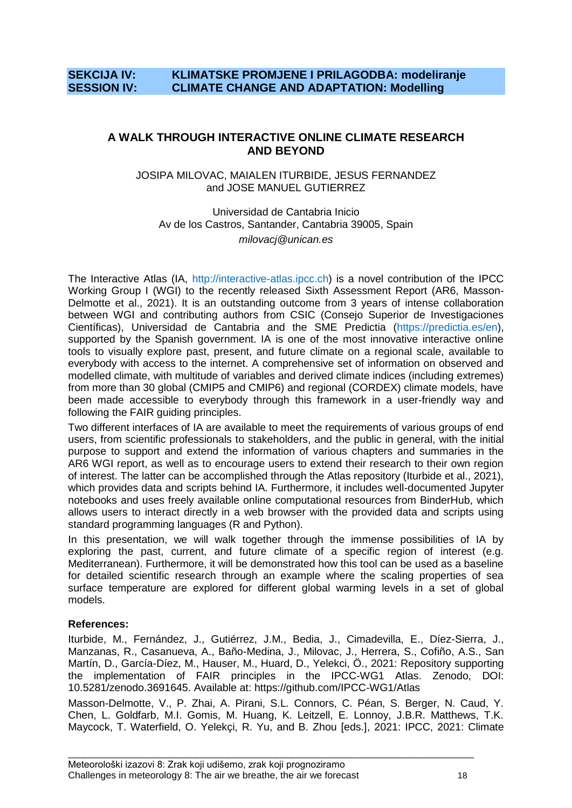# **SEKCIJA IV: KLIMATSKE PROMJENE I PRILAGODBA: modeliranje SESSION IV: CLIMATE CHANGE AND ADAPTATION: Modelling**

# **A WALK THROUGH INTERACTIVE ONLINE CLIMATE RESEARCH AND BEYOND**

#### JOSIPA MILOVAC, MAIALEN ITURBIDE, JESUS FERNANDEZ and JOSE MANUEL GUTIERREZ

Universidad de Cantabria Inicio Av de los Castros, Santander, Cantabria 39005, Spain *milovacj@unican.es*

The Interactive Atlas (IA, http://interactive-atlas.ipcc.ch) is a novel contribution of the IPCC Working Group I (WGI) to the recently released Sixth Assessment Report (AR6, Masson-Delmotte et al., 2021). It is an outstanding outcome from 3 years of intense collaboration between WGI and contributing authors from CSIC (Consejo Superior de Investigaciones Científicas), Universidad de Cantabria and the SME Predictia (https://predictia.es/en), supported by the Spanish government. IA is one of the most innovative interactive online tools to visually explore past, present, and future climate on a regional scale, available to everybody with access to the internet. A comprehensive set of information on observed and modelled climate, with multitude of variables and derived climate indices (including extremes) from more than 30 global (CMIP5 and CMIP6) and regional (CORDEX) climate models, have been made accessible to everybody through this framework in a user-friendly way and following the FAIR guiding principles.

Two different interfaces of IA are available to meet the requirements of various groups of end users, from scientific professionals to stakeholders, and the public in general, with the initial purpose to support and extend the information of various chapters and summaries in the AR6 WGI report, as well as to encourage users to extend their research to their own region of interest. The latter can be accomplished through the Atlas repository (Iturbide et al., 2021), which provides data and scripts behind IA. Furthermore, it includes well-documented Jupyter notebooks and uses freely available online computational resources from BinderHub, which allows users to interact directly in a web browser with the provided data and scripts using standard programming languages (R and Python).

In this presentation, we will walk together through the immense possibilities of IA by exploring the past, current, and future climate of a specific region of interest (e.g. Mediterranean). Furthermore, it will be demonstrated how this tool can be used as a baseline for detailed scientific research through an example where the scaling properties of sea surface temperature are explored for different global warming levels in a set of global models.

#### **References:**

Iturbide, M., Fernández, J., Gutiérrez, J.M., Bedia, J., Cimadevilla, E., Díez-Sierra, J., Manzanas, R., Casanueva, A., Baño-Medina, J., Milovac, J., Herrera, S., Cofiño, A.S., San Martín, D., García-Díez, M., Hauser, M., Huard, D., Yelekci, Ö., 2021: Repository supporting the implementation of FAIR principles in the IPCC-WG1 Atlas. Zenodo, DOI: 10.5281/zenodo.3691645. Available at: https://github.com/IPCC-WG1/Atlas

Masson-Delmotte, V., P. Zhai, A. Pirani, S.L. Connors, C. Péan, S. Berger, N. Caud, Y. Chen, L. Goldfarb, M.I. Gomis, M. Huang, K. Leitzell, E. Lonnoy, J.B.R. Matthews, T.K. Maycock, T. Waterfield, O. Yelekçi, R. Yu, and B. Zhou [eds.], 2021: IPCC, 2021: Climate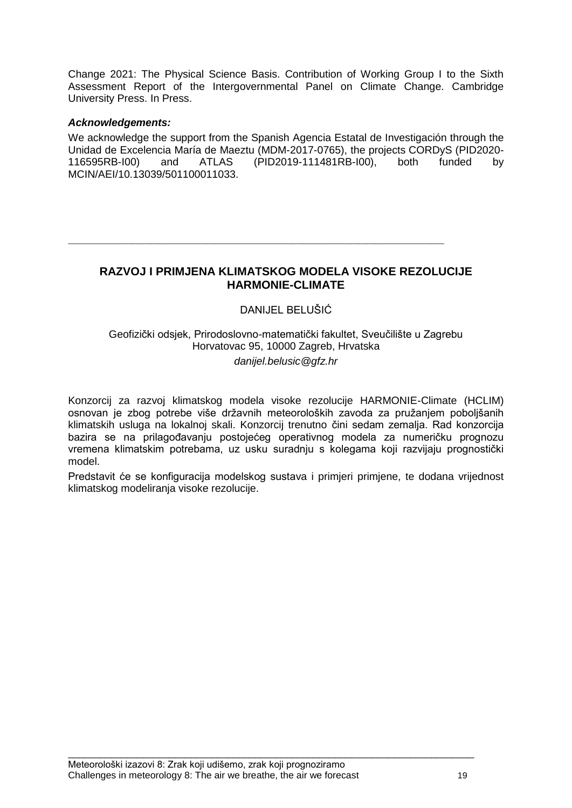Change 2021: The Physical Science Basis. Contribution of Working Group I to the Sixth Assessment Report of the Intergovernmental Panel on Climate Change. Cambridge University Press. In Press.

#### *Acknowledgements:*

We acknowledge the support from the Spanish Agencia Estatal de Investigación through the Unidad de Excelencia María de Maeztu (MDM-2017-0765), the projects CORDyS (PID2020- 116595RB-I00) and ATLAS (PID2019-111481RB-I00), both funded by MCIN/AEI/10.13039/501100011033.

# **RAZVOJ I PRIMJENA KLIMATSKOG MODELA VISOKE REZOLUCIJE HARMONIE-CLIMATE**

 $\overline{\phantom{a}}$  ,  $\overline{\phantom{a}}$  ,  $\overline{\phantom{a}}$  ,  $\overline{\phantom{a}}$  ,  $\overline{\phantom{a}}$  ,  $\overline{\phantom{a}}$  ,  $\overline{\phantom{a}}$  ,  $\overline{\phantom{a}}$  ,  $\overline{\phantom{a}}$  ,  $\overline{\phantom{a}}$  ,  $\overline{\phantom{a}}$  ,  $\overline{\phantom{a}}$  ,  $\overline{\phantom{a}}$  ,  $\overline{\phantom{a}}$  ,  $\overline{\phantom{a}}$  ,  $\overline{\phantom{a}}$ 

# DANIJEL BELUŠIĆ

Geofiziĉki odsjek, Prirodoslovno-matematiĉki fakultet, Sveuĉilište u Zagrebu Horvatovac 95, 10000 Zagreb, Hrvatska *danijel.belusic@gfz.hr*

Konzorcij za razvoj klimatskog modela visoke rezolucije HARMONIE-Climate (HCLIM) osnovan je zbog potrebe više državnih meteoroloških zavoda za pružanjem poboljšanih klimatskih usluga na lokalnoj skali. Konzorcij trenutno ĉini sedam zemalja. Rad konzorcija bazira se na prilagođavanju postojećeg operativnog modela za numeričku prognozu vremena klimatskim potrebama, uz usku suradnju s kolegama koji razvijaju prognostiĉki model.

Predstavit će se konfiguracija modelskog sustava i primjeri primjene, te dodana vrijednost klimatskog modeliranja visoke rezolucije.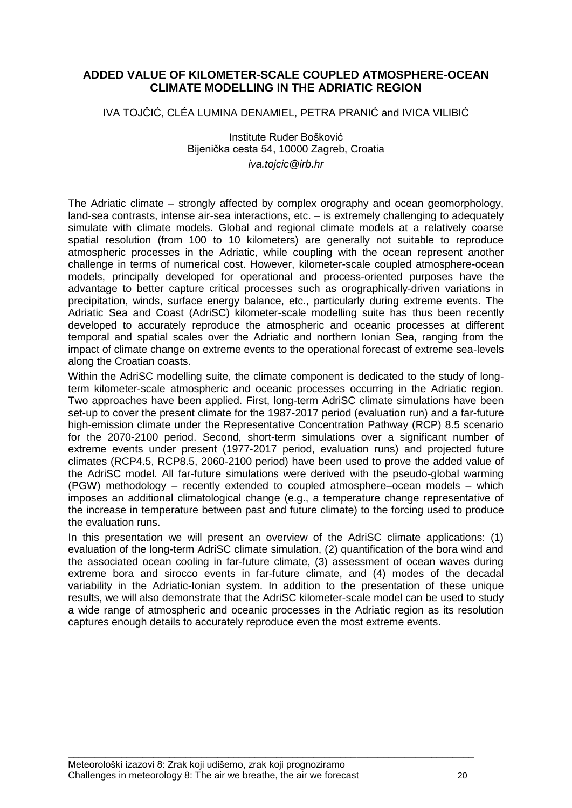# **ADDED VALUE OF KILOMETER-SCALE COUPLED ATMOSPHERE-OCEAN CLIMATE MODELLING IN THE ADRIATIC REGION**

IVA TOJĈIĆ, CLÉA LUMINA DENAMIEL, PETRA PRANIĆ and IVICA VILIBIĆ

Institute Ruđer Bošković Bijeniĉka cesta 54, 10000 Zagreb, Croatia *iva.tojcic@irb.hr*

The Adriatic climate – strongly affected by complex orography and ocean geomorphology, land-sea contrasts, intense air-sea interactions, etc. – is extremely challenging to adequately simulate with climate models. Global and regional climate models at a relatively coarse spatial resolution (from 100 to 10 kilometers) are generally not suitable to reproduce atmospheric processes in the Adriatic, while coupling with the ocean represent another challenge in terms of numerical cost. However, kilometer-scale coupled atmosphere-ocean models, principally developed for operational and process-oriented purposes have the advantage to better capture critical processes such as orographically-driven variations in precipitation, winds, surface energy balance, etc., particularly during extreme events. The Adriatic Sea and Coast (AdriSC) kilometer-scale modelling suite has thus been recently developed to accurately reproduce the atmospheric and oceanic processes at different temporal and spatial scales over the Adriatic and northern Ionian Sea, ranging from the impact of climate change on extreme events to the operational forecast of extreme sea-levels along the Croatian coasts.

Within the AdriSC modelling suite, the climate component is dedicated to the study of longterm kilometer-scale atmospheric and oceanic processes occurring in the Adriatic region. Two approaches have been applied. First, long-term AdriSC climate simulations have been set-up to cover the present climate for the 1987-2017 period (evaluation run) and a far-future high-emission climate under the Representative Concentration Pathway (RCP) 8.5 scenario for the 2070-2100 period. Second, short-term simulations over a significant number of extreme events under present (1977-2017 period, evaluation runs) and projected future climates (RCP4.5, RCP8.5, 2060-2100 period) have been used to prove the added value of the AdriSC model. All far-future simulations were derived with the pseudo-global warming (PGW) methodology – recently extended to coupled atmosphere–ocean models – which imposes an additional climatological change (e.g., a temperature change representative of the increase in temperature between past and future climate) to the forcing used to produce the evaluation runs.

In this presentation we will present an overview of the AdriSC climate applications: (1) evaluation of the long-term AdriSC climate simulation, (2) quantification of the bora wind and the associated ocean cooling in far-future climate, (3) assessment of ocean waves during extreme bora and sirocco events in far-future climate, and (4) modes of the decadal variability in the Adriatic-Ionian system. In addition to the presentation of these unique results, we will also demonstrate that the AdriSC kilometer-scale model can be used to study a wide range of atmospheric and oceanic processes in the Adriatic region as its resolution captures enough details to accurately reproduce even the most extreme events.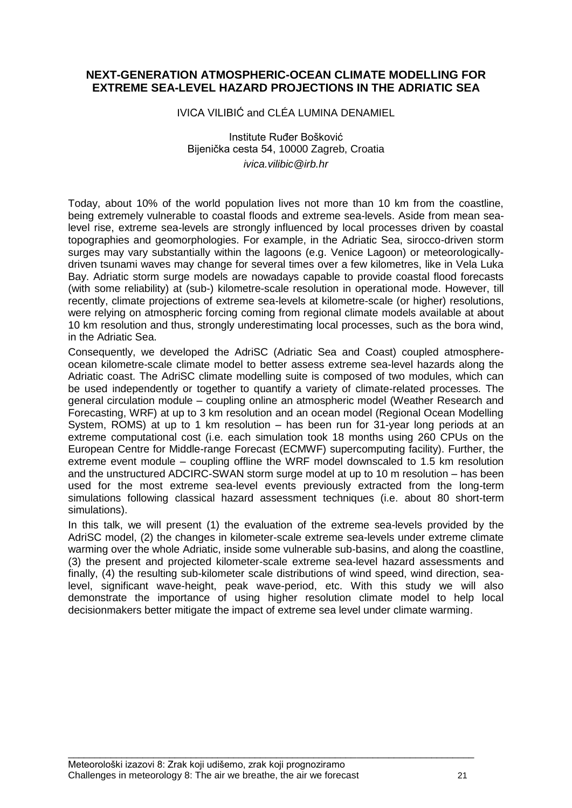# **NEXT-GENERATION ATMOSPHERIC-OCEAN CLIMATE MODELLING FOR EXTREME SEA-LEVEL HAZARD PROJECTIONS IN THE ADRIATIC SEA**

IVICA VILIBIĆ and CLÉA LUMINA DENAMIEL

Institute Ruđer Bošković Bijeniĉka cesta 54, 10000 Zagreb, Croatia *ivica.vilibic@irb.hr*

Today, about 10% of the world population lives not more than 10 km from the coastline, being extremely vulnerable to coastal floods and extreme sea-levels. Aside from mean sealevel rise, extreme sea-levels are strongly influenced by local processes driven by coastal topographies and geomorphologies. For example, in the Adriatic Sea, sirocco-driven storm surges may vary substantially within the lagoons (e.g. Venice Lagoon) or meteorologicallydriven tsunami waves may change for several times over a few kilometres, like in Vela Luka Bay. Adriatic storm surge models are nowadays capable to provide coastal flood forecasts (with some reliability) at (sub-) kilometre-scale resolution in operational mode. However, till recently, climate projections of extreme sea-levels at kilometre-scale (or higher) resolutions, were relying on atmospheric forcing coming from regional climate models available at about 10 km resolution and thus, strongly underestimating local processes, such as the bora wind, in the Adriatic Sea.

Consequently, we developed the AdriSC (Adriatic Sea and Coast) coupled atmosphereocean kilometre-scale climate model to better assess extreme sea-level hazards along the Adriatic coast. The AdriSC climate modelling suite is composed of two modules, which can be used independently or together to quantify a variety of climate-related processes. The general circulation module – coupling online an atmospheric model (Weather Research and Forecasting, WRF) at up to 3 km resolution and an ocean model (Regional Ocean Modelling System, ROMS) at up to 1 km resolution – has been run for 31-year long periods at an extreme computational cost (i.e. each simulation took 18 months using 260 CPUs on the European Centre for Middle-range Forecast (ECMWF) supercomputing facility). Further, the extreme event module – coupling offline the WRF model downscaled to 1.5 km resolution and the unstructured ADCIRC-SWAN storm surge model at up to 10 m resolution – has been used for the most extreme sea-level events previously extracted from the long-term simulations following classical hazard assessment techniques (i.e. about 80 short-term simulations).

In this talk, we will present (1) the evaluation of the extreme sea-levels provided by the AdriSC model, (2) the changes in kilometer-scale extreme sea-levels under extreme climate warming over the whole Adriatic, inside some vulnerable sub-basins, and along the coastline, (3) the present and projected kilometer-scale extreme sea-level hazard assessments and finally, (4) the resulting sub-kilometer scale distributions of wind speed, wind direction, sealevel, significant wave-height, peak wave-period, etc. With this study we will also demonstrate the importance of using higher resolution climate model to help local decisionmakers better mitigate the impact of extreme sea level under climate warming.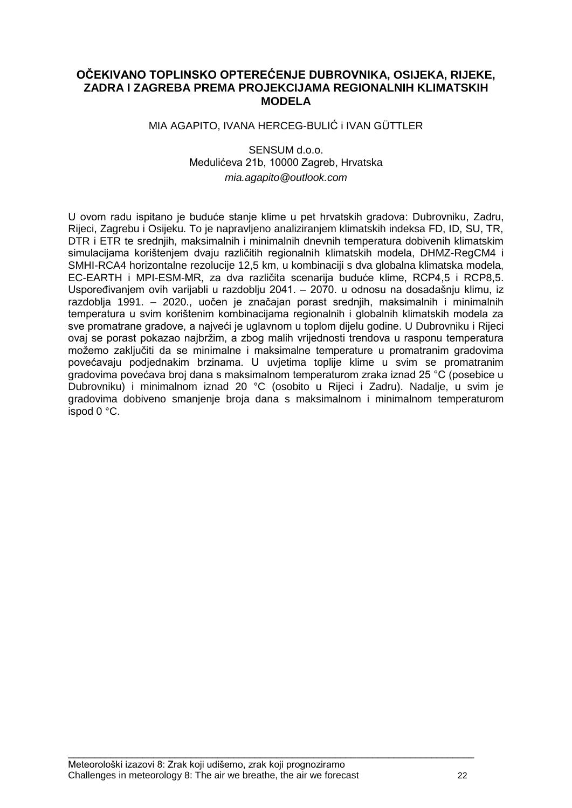# **OČEKIVANO TOPLINSKO OPTEREĆENJE DUBROVNIKA, OSIJEKA, RIJEKE, ZADRA I ZAGREBA PREMA PROJEKCIJAMA REGIONALNIH KLIMATSKIH MODELA**

#### MIA AGAPITO, IVANA HERCEG-BULIĆ i IVAN GÜTTLER

#### SENSUM d.o.o. Medulićeva 21b, 10000 Zagreb, Hrvatska *mia.agapito@outlook.com*

U ovom radu ispitano je buduće stanje klime u pet hrvatskih gradova: Dubrovniku, Zadru, Rijeci, Zagrebu i Osijeku. To je napravljeno analiziranjem klimatskih indeksa FD, ID, SU, TR, DTR i ETR te srednjih, maksimalnih i minimalnih dnevnih temperatura dobivenih klimatskim simulacijama korištenjem dvaju razliĉitih regionalnih klimatskih modela, DHMZ-RegCM4 i SMHI-RCA4 horizontalne rezolucije 12,5 km, u kombinaciji s dva globalna klimatska modela, EC-EARTH i MPI-ESM-MR, za dva razliĉita scenarija buduće klime, RCP4,5 i RCP8,5. Uspoređivanjem ovih varijabli u razdoblju 2041. – 2070. u odnosu na dosadašniu klimu, iz razdoblja 1991. – 2020., uoĉen je znaĉajan porast srednjih, maksimalnih i minimalnih temperatura u svim korištenim kombinacijama regionalnih i globalnih klimatskih modela za sve promatrane gradove, a najveći je uglavnom u toplom dijelu godine. U Dubrovniku i Rijeci ovaj se porast pokazao najbržim, a zbog malih vrijednosti trendova u rasponu temperatura možemo zaključiti da se minimalne i maksimalne temperature u promatranim gradovima povećavaju podjednakim brzinama. U uvjetima toplije klime u svim se promatranim gradovima povećava broj dana s maksimalnom temperaturom zraka iznad 25 °C (posebice u Dubrovniku) i minimalnom iznad 20 °C (osobito u Rijeci i Zadru). Nadalje, u svim je gradovima dobiveno smanjenje broja dana s maksimalnom i minimalnom temperaturom ispod 0 °C.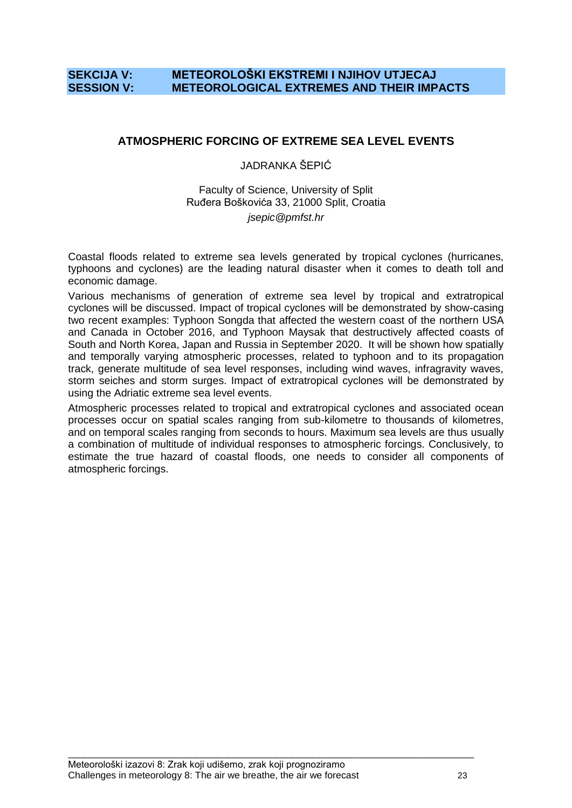# **SEKCIJA V: METEOROLOŠKI EKSTREMI I NJIHOV UTJECAJ SESSION V: METEOROLOGICAL EXTREMES AND THEIR IMPACTS**

# **ATMOSPHERIC FORCING OF EXTREME SEA LEVEL EVENTS**

#### JADRANKA ŠEPIĆ

#### Faculty of Science, University of Split Ruđera Boškovića 33, 21000 Split, Croatia *jsepic@pmfst.hr*

Coastal floods related to extreme sea levels generated by tropical cyclones (hurricanes, typhoons and cyclones) are the leading natural disaster when it comes to death toll and economic damage.

Various mechanisms of generation of extreme sea level by tropical and extratropical cyclones will be discussed. Impact of tropical cyclones will be demonstrated by show-casing two recent examples: Typhoon Songda that affected the western coast of the northern USA and Canada in October 2016, and Typhoon Maysak that destructively affected coasts of South and North Korea, Japan and Russia in September 2020. It will be shown how spatially and temporally varying atmospheric processes, related to typhoon and to its propagation track, generate multitude of sea level responses, including wind waves, infragravity waves, storm seiches and storm surges. Impact of extratropical cyclones will be demonstrated by using the Adriatic extreme sea level events.

Atmospheric processes related to tropical and extratropical cyclones and associated ocean processes occur on spatial scales ranging from sub-kilometre to thousands of kilometres, and on temporal scales ranging from seconds to hours. Maximum sea levels are thus usually a combination of multitude of individual responses to atmospheric forcings. Conclusively, to estimate the true hazard of coastal floods, one needs to consider all components of atmospheric forcings.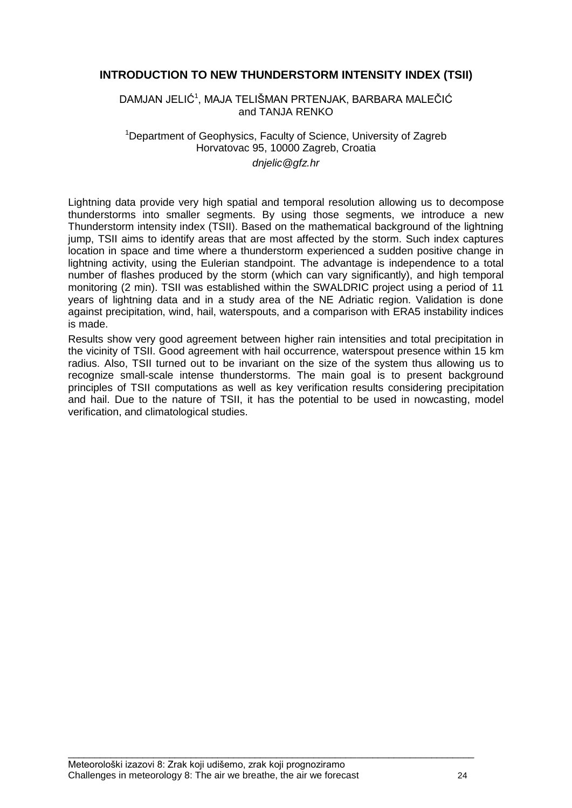# **INTRODUCTION TO NEW THUNDERSTORM INTENSITY INDEX (TSII)**

DAMJAN JELIĆ<sup>1</sup>, MAJA TELIŠMAN PRTENJAK, BARBARA MALEČIĆ and TANJA RENKO

#### <sup>1</sup>Department of Geophysics, Faculty of Science, University of Zagreb Horvatovac 95, 10000 Zagreb, Croatia *dnjelic@gfz.hr*

Lightning data provide very high spatial and temporal resolution allowing us to decompose thunderstorms into smaller segments. By using those segments, we introduce a new Thunderstorm intensity index (TSII). Based on the mathematical background of the lightning jump, TSII aims to identify areas that are most affected by the storm. Such index captures location in space and time where a thunderstorm experienced a sudden positive change in lightning activity, using the Eulerian standpoint. The advantage is independence to a total number of flashes produced by the storm (which can vary significantly), and high temporal monitoring (2 min). TSII was established within the SWALDRIC project using a period of 11 years of lightning data and in a study area of the NE Adriatic region. Validation is done against precipitation, wind, hail, waterspouts, and a comparison with ERA5 instability indices is made.

Results show very good agreement between higher rain intensities and total precipitation in the vicinity of TSII. Good agreement with hail occurrence, waterspout presence within 15 km radius. Also, TSII turned out to be invariant on the size of the system thus allowing us to recognize small-scale intense thunderstorms. The main goal is to present background principles of TSII computations as well as key verification results considering precipitation and hail. Due to the nature of TSII, it has the potential to be used in nowcasting, model verification, and climatological studies.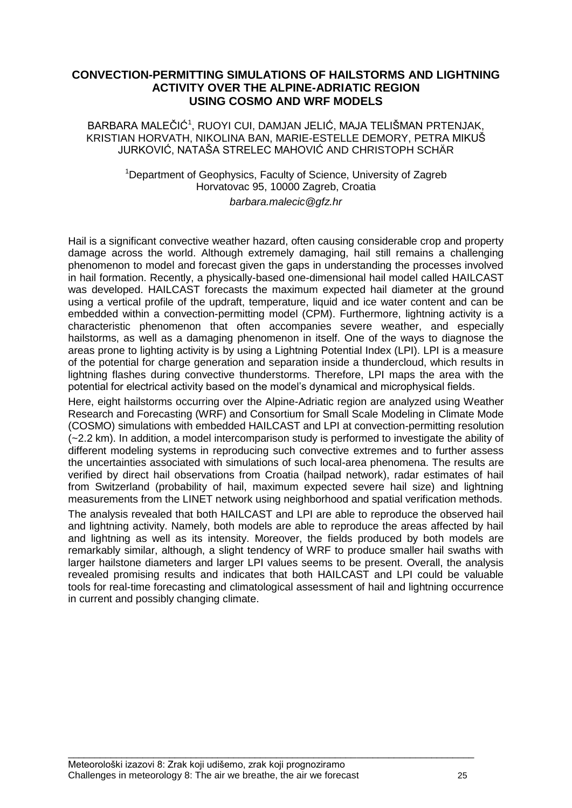# **CONVECTION-PERMITTING SIMULATIONS OF HAILSTORMS AND LIGHTNING ACTIVITY OVER THE ALPINE-ADRIATIC REGION USING COSMO AND WRF MODELS**

#### BARBARA MALEČIĆ<sup>1</sup>, RUOYI CUI, DAMJAN JELIĆ, MAJA TELIŠMAN PRTENJAK, KRISTIAN HORVATH, NIKOLINA BAN, MARIE-ESTELLE DEMORY, PETRA MIKUŠ JURKOVIĆ, NATAŠA STRELEC MAHOVIĆ AND CHRISTOPH SCHÄR

#### <sup>1</sup>Department of Geophysics, Faculty of Science, University of Zagreb Horvatovac 95, 10000 Zagreb, Croatia *barbara.malecic@gfz.hr*

Hail is a significant convective weather hazard, often causing considerable crop and property damage across the world. Although extremely damaging, hail still remains a challenging phenomenon to model and forecast given the gaps in understanding the processes involved in hail formation. Recently, a physically-based one-dimensional hail model called HAILCAST was developed. HAILCAST forecasts the maximum expected hail diameter at the ground using a vertical profile of the updraft, temperature, liquid and ice water content and can be embedded within a convection-permitting model (CPM). Furthermore, lightning activity is a characteristic phenomenon that often accompanies severe weather, and especially hailstorms, as well as a damaging phenomenon in itself. One of the ways to diagnose the areas prone to lighting activity is by using a Lightning Potential Index (LPI). LPI is a measure of the potential for charge generation and separation inside a thundercloud, which results in lightning flashes during convective thunderstorms. Therefore, LPI maps the area with the potential for electrical activity based on the model"s dynamical and microphysical fields.

Here, eight hailstorms occurring over the Alpine-Adriatic region are analyzed using Weather Research and Forecasting (WRF) and Consortium for Small Scale Modeling in Climate Mode (COSMO) simulations with embedded HAILCAST and LPI at convection-permitting resolution (~2.2 km). In addition, a model intercomparison study is performed to investigate the ability of different modeling systems in reproducing such convective extremes and to further assess the uncertainties associated with simulations of such local-area phenomena. The results are verified by direct hail observations from Croatia (hailpad network), radar estimates of hail from Switzerland (probability of hail, maximum expected severe hail size) and lightning measurements from the LINET network using neighborhood and spatial verification methods.

The analysis revealed that both HAILCAST and LPI are able to reproduce the observed hail and lightning activity. Namely, both models are able to reproduce the areas affected by hail and lightning as well as its intensity. Moreover, the fields produced by both models are remarkably similar, although, a slight tendency of WRF to produce smaller hail swaths with larger hailstone diameters and larger LPI values seems to be present. Overall, the analysis revealed promising results and indicates that both HAILCAST and LPI could be valuable tools for real-time forecasting and climatological assessment of hail and lightning occurrence in current and possibly changing climate.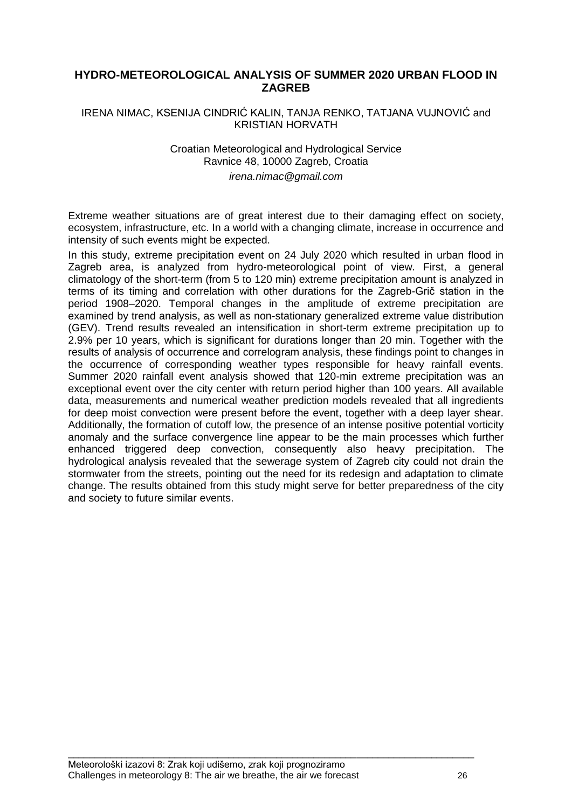# **HYDRO-METEOROLOGICAL ANALYSIS OF SUMMER 2020 URBAN FLOOD IN ZAGREB**

#### IRENA NIMAC, KSENIJA CINDRIĆ KALIN, TANJA RENKO, TATJANA VUJNOVIĆ and KRISTIAN HORVATH

#### Croatian Meteorological and Hydrological Service Ravnice 48, 10000 Zagreb, Croatia *irena.nimac@gmail.com*

Extreme weather situations are of great interest due to their damaging effect on society, ecosystem, infrastructure, etc. In a world with a changing climate, increase in occurrence and intensity of such events might be expected.

In this study, extreme precipitation event on 24 July 2020 which resulted in urban flood in Zagreb area, is analyzed from hydro-meteorological point of view. First, a general climatology of the short-term (from 5 to 120 min) extreme precipitation amount is analyzed in terms of its timing and correlation with other durations for the Zagreb-Griĉ station in the period 1908–2020. Temporal changes in the amplitude of extreme precipitation are examined by trend analysis, as well as non-stationary generalized extreme value distribution (GEV). Trend results revealed an intensification in short-term extreme precipitation up to 2.9% per 10 years, which is significant for durations longer than 20 min. Together with the results of analysis of occurrence and correlogram analysis, these findings point to changes in the occurrence of corresponding weather types responsible for heavy rainfall events. Summer 2020 rainfall event analysis showed that 120-min extreme precipitation was an exceptional event over the city center with return period higher than 100 years. All available data, measurements and numerical weather prediction models revealed that all ingredients for deep moist convection were present before the event, together with a deep layer shear. Additionally, the formation of cutoff low, the presence of an intense positive potential vorticity anomaly and the surface convergence line appear to be the main processes which further enhanced triggered deep convection, consequently also heavy precipitation. The hydrological analysis revealed that the sewerage system of Zagreb city could not drain the stormwater from the streets, pointing out the need for its redesign and adaptation to climate change. The results obtained from this study might serve for better preparedness of the city and society to future similar events.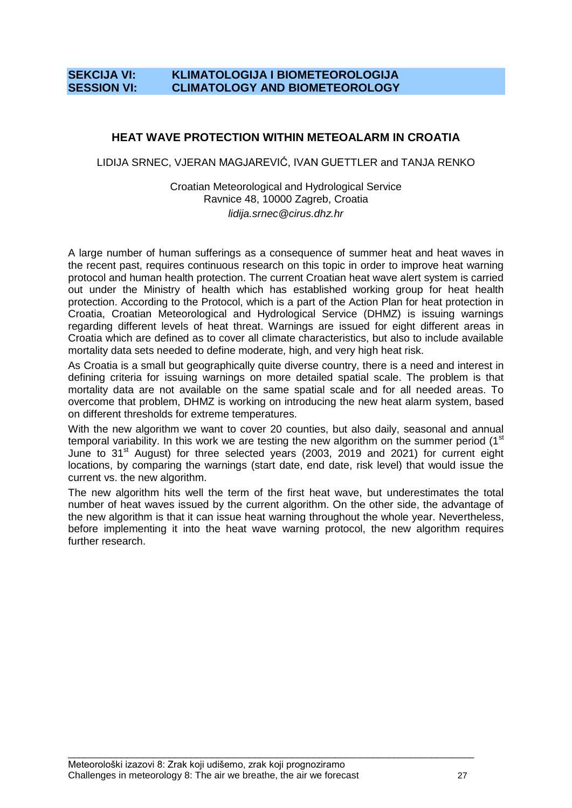# **SEKCIJA VI: KLIMATOLOGIJA I BIOMETEOROLOGIJA SESSION VI: CLIMATOLOGY AND BIOMETEOROLOGY**

# **HEAT WAVE PROTECTION WITHIN METEOALARM IN CROATIA**

LIDIJA SRNEC, VJERAN MAGJAREVIĆ, IVAN GUETTLER and TANJA RENKO

#### Croatian Meteorological and Hydrological Service Ravnice 48, 10000 Zagreb, Croatia *lidija.srnec@cirus.dhz.hr*

A large number of human sufferings as a consequence of summer heat and heat waves in the recent past, requires continuous research on this topic in order to improve heat warning protocol and human health protection. The current Croatian heat wave alert system is carried out under the Ministry of health which has established working group for heat health protection. According to the Protocol, which is a part of the Action Plan for heat protection in Croatia, Croatian Meteorological and Hydrological Service (DHMZ) is issuing warnings regarding different levels of heat threat. Warnings are issued for eight different areas in Croatia which are defined as to cover all climate characteristics, but also to include available mortality data sets needed to define moderate, high, and very high heat risk.

As Croatia is a small but geographically quite diverse country, there is a need and interest in defining criteria for issuing warnings on more detailed spatial scale. The problem is that mortality data are not available on the same spatial scale and for all needed areas. To overcome that problem, DHMZ is working on introducing the new heat alarm system, based on different thresholds for extreme temperatures.

With the new algorithm we want to cover 20 counties, but also daily, seasonal and annual temporal variability. In this work we are testing the new algorithm on the summer period  $(1<sup>st</sup>$ June to 31<sup>st</sup> August) for three selected years (2003, 2019 and 2021) for current eight locations, by comparing the warnings (start date, end date, risk level) that would issue the current vs. the new algorithm.

The new algorithm hits well the term of the first heat wave, but underestimates the total number of heat waves issued by the current algorithm. On the other side, the advantage of the new algorithm is that it can issue heat warning throughout the whole year. Nevertheless, before implementing it into the heat wave warning protocol, the new algorithm requires further research.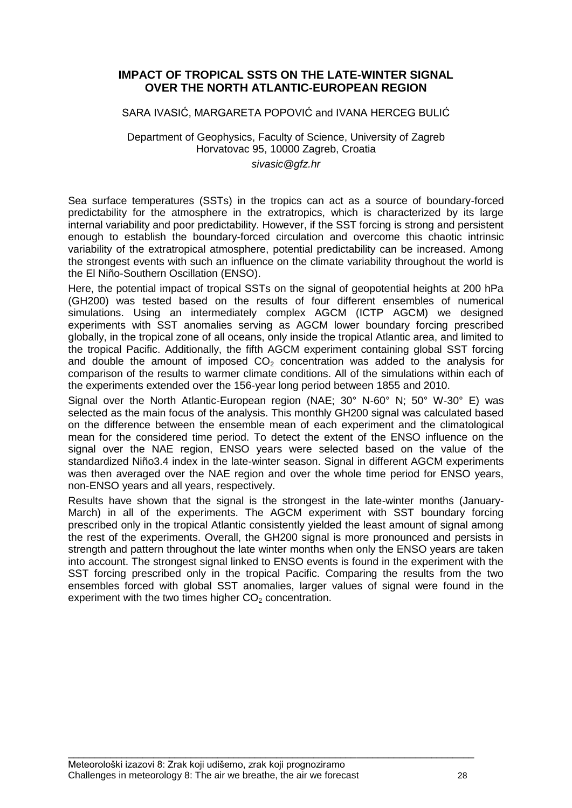#### **IMPACT OF TROPICAL SSTS ON THE LATE-WINTER SIGNAL OVER THE NORTH ATLANTIC-EUROPEAN REGION**

#### SARA IVASIĆ, MARGARETA POPOVIĆ and IVANA HERCEG BULIĆ

# Department of Geophysics, Faculty of Science, University of Zagreb Horvatovac 95, 10000 Zagreb, Croatia

# *sivasic@gfz.hr*

Sea surface temperatures (SSTs) in the tropics can act as a source of boundary-forced predictability for the atmosphere in the extratropics, which is characterized by its large internal variability and poor predictability. However, if the SST forcing is strong and persistent enough to establish the boundary-forced circulation and overcome this chaotic intrinsic variability of the extratropical atmosphere, potential predictability can be increased. Among the strongest events with such an influence on the climate variability throughout the world is the El Niño-Southern Oscillation (ENSO).

Here, the potential impact of tropical SSTs on the signal of geopotential heights at 200 hPa (GH200) was tested based on the results of four different ensembles of numerical simulations. Using an intermediately complex AGCM (ICTP AGCM) we designed experiments with SST anomalies serving as AGCM lower boundary forcing prescribed globally, in the tropical zone of all oceans, only inside the tropical Atlantic area, and limited to the tropical Pacific. Additionally, the fifth AGCM experiment containing global SST forcing and double the amount of imposed  $CO<sub>2</sub>$  concentration was added to the analysis for comparison of the results to warmer climate conditions. All of the simulations within each of the experiments extended over the 156-year long period between 1855 and 2010.

Signal over the North Atlantic-European region (NAE; 30° N-60° N; 50° W-30° E) was selected as the main focus of the analysis. This monthly GH200 signal was calculated based on the difference between the ensemble mean of each experiment and the climatological mean for the considered time period. To detect the extent of the ENSO influence on the signal over the NAE region, ENSO years were selected based on the value of the standardized Niño3.4 index in the late-winter season. Signal in different AGCM experiments was then averaged over the NAE region and over the whole time period for ENSO years, non-ENSO years and all years, respectively.

Results have shown that the signal is the strongest in the late-winter months (January-March) in all of the experiments. The AGCM experiment with SST boundary forcing prescribed only in the tropical Atlantic consistently yielded the least amount of signal among the rest of the experiments. Overall, the GH200 signal is more pronounced and persists in strength and pattern throughout the late winter months when only the ENSO years are taken into account. The strongest signal linked to ENSO events is found in the experiment with the SST forcing prescribed only in the tropical Pacific. Comparing the results from the two ensembles forced with global SST anomalies, larger values of signal were found in the experiment with the two times higher  $CO<sub>2</sub>$  concentration.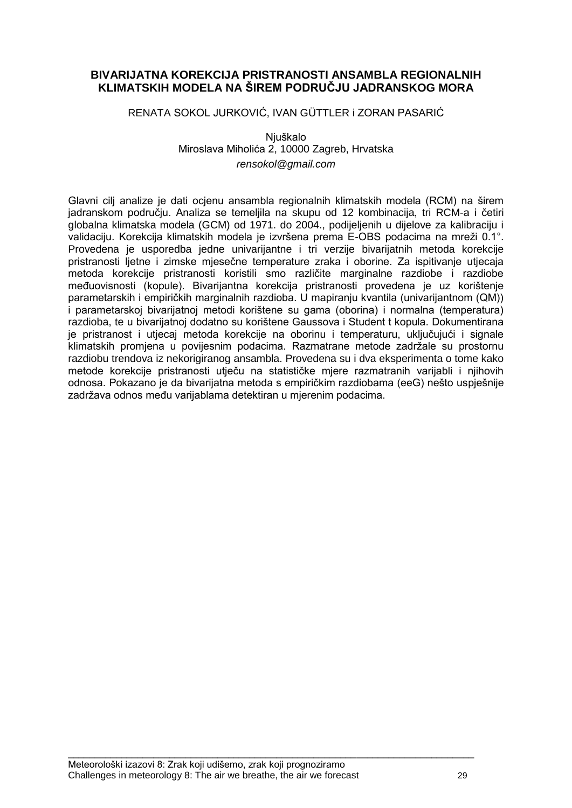# **BIVARIJATNA KOREKCIJA PRISTRANOSTI ANSAMBLA REGIONALNIH KLIMATSKIH MODELA NA ŠIREM PODRUČJU JADRANSKOG MORA**

RENATA SOKOL JURKOVIĆ, IVAN GÜTTLER i ZORAN PASARIĆ

Niuškalo Miroslava Miholića 2, 10000 Zagreb, Hrvatska *rensokol@gmail.com*

Glavni cilj analize je dati ocjenu ansambla regionalnih klimatskih modela (RCM) na širem jadranskom podruĉju. Analiza se temeljila na skupu od 12 kombinacija, tri RCM-a i ĉetiri globalna klimatska modela (GCM) od 1971. do 2004., podijeljenih u dijelove za kalibraciju i validaciju. Korekcija klimatskih modela je izvršena prema E-OBS podacima na mreži 0.1°. Provedena je usporedba jedne univarijantne i tri verzije bivarijatnih metoda korekcije pristranosti ljetne i zimske mjeseĉne temperature zraka i oborine. Za ispitivanje utjecaja metoda korekcije pristranosti koristili smo razliĉite marginalne razdiobe i razdiobe međuovisnosti (kopule). Bivarijantna korekcija pristranosti provedena je uz korištenje parametarskih i empiriĉkih marginalnih razdioba. U mapiranju kvantila (univarijantnom (QM)) i parametarskoj bivarijatnoj metodi korištene su gama (oborina) i normalna (temperatura) razdioba, te u bivarijatnoj dodatno su korištene Gaussova i Student t kopula. Dokumentirana je pristranost i utjecaj metoda korekcije na oborinu i temperaturu, ukljuĉujući i signale klimatskih promjena u povijesnim podacima. Razmatrane metode zadržale su prostornu razdiobu trendova iz nekorigiranog ansambla. Provedena su i dva eksperimenta o tome kako metode korekcije pristranosti utjeĉu na statistiĉke mjere razmatranih varijabli i njihovih odnosa. Pokazano je da bivarijatna metoda s empiriĉkim razdiobama (eeG) nešto uspješnije zadržava odnos među varijablama detektiran u mjerenim podacima.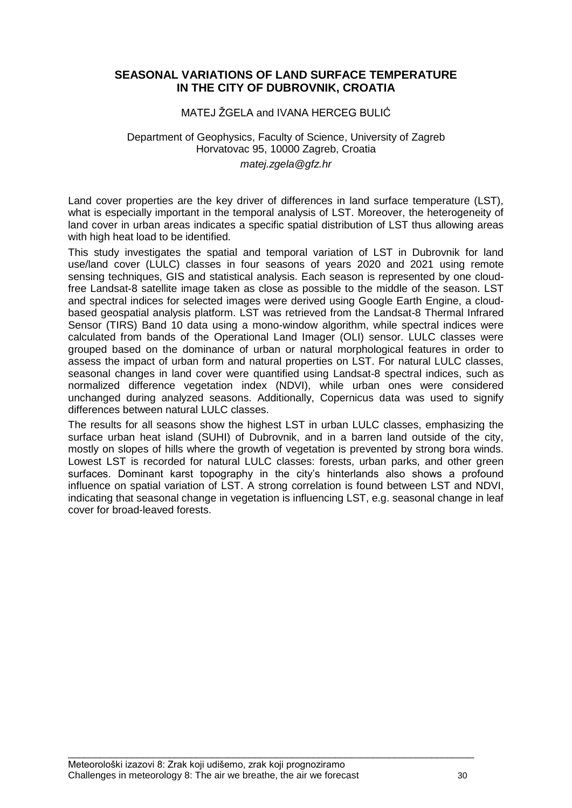# **SEASONAL VARIATIONS OF LAND SURFACE TEMPERATURE IN THE CITY OF DUBROVNIK, CROATIA**

#### MATEJ ŽGELA and IVANA HERCEG BULIĆ

#### Department of Geophysics, Faculty of Science, University of Zagreb Horvatovac 95, 10000 Zagreb, Croatia *matej.zgela@gfz.hr*

Land cover properties are the key driver of differences in land surface temperature (LST), what is especially important in the temporal analysis of LST. Moreover, the heterogeneity of land cover in urban areas indicates a specific spatial distribution of LST thus allowing areas with high heat load to be identified.

This study investigates the spatial and temporal variation of LST in Dubrovnik for land use/land cover (LULC) classes in four seasons of years 2020 and 2021 using remote sensing techniques, GIS and statistical analysis. Each season is represented by one cloudfree Landsat-8 satellite image taken as close as possible to the middle of the season. LST and spectral indices for selected images were derived using Google Earth Engine, a cloudbased geospatial analysis platform. LST was retrieved from the Landsat-8 Thermal Infrared Sensor (TIRS) Band 10 data using a mono-window algorithm, while spectral indices were calculated from bands of the Operational Land Imager (OLI) sensor. LULC classes were grouped based on the dominance of urban or natural morphological features in order to assess the impact of urban form and natural properties on LST. For natural LULC classes, seasonal changes in land cover were quantified using Landsat-8 spectral indices, such as normalized difference vegetation index (NDVI), while urban ones were considered unchanged during analyzed seasons. Additionally, Copernicus data was used to signify differences between natural LULC classes.

The results for all seasons show the highest LST in urban LULC classes, emphasizing the surface urban heat island (SUHI) of Dubrovnik, and in a barren land outside of the city, mostly on slopes of hills where the growth of vegetation is prevented by strong bora winds. Lowest LST is recorded for natural LULC classes: forests, urban parks, and other green surfaces. Dominant karst topography in the city's hinterlands also shows a profound influence on spatial variation of LST. A strong correlation is found between LST and NDVI, indicating that seasonal change in vegetation is influencing LST, e.g. seasonal change in leaf cover for broad-leaved forests.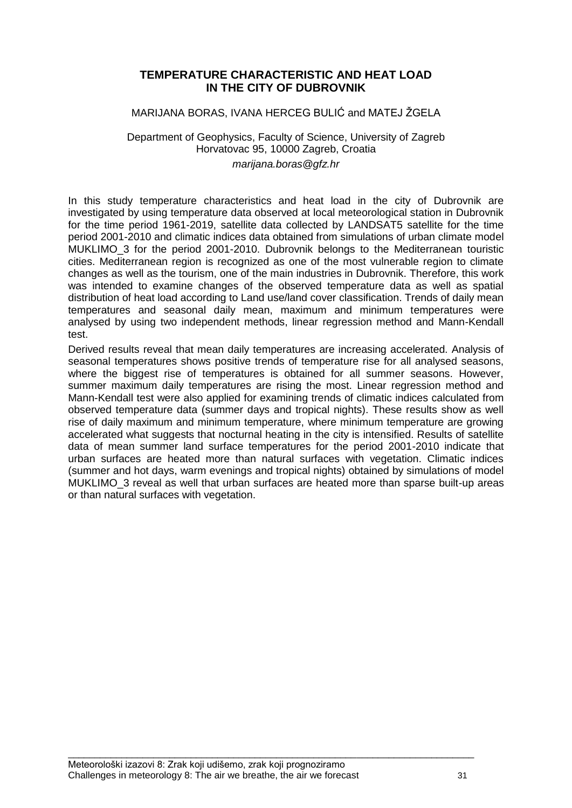# **TEMPERATURE CHARACTERISTIC AND HEAT LOAD IN THE CITY OF DUBROVNIK**

#### MARIJANA BORAS, IVANA HERCEG BULIĆ and MATEJ ŽGELA

#### Department of Geophysics, Faculty of Science, University of Zagreb Horvatovac 95, 10000 Zagreb, Croatia *marijana.boras@gfz.hr*

In this study temperature characteristics and heat load in the city of Dubrovnik are investigated by using temperature data observed at local meteorological station in Dubrovnik for the time period 1961-2019, satellite data collected by LANDSAT5 satellite for the time period 2001-2010 and climatic indices data obtained from simulations of urban climate model MUKLIMO 3 for the period 2001-2010. Dubrovnik belongs to the Mediterranean touristic cities. Mediterranean region is recognized as one of the most vulnerable region to climate changes as well as the tourism, one of the main industries in Dubrovnik. Therefore, this work was intended to examine changes of the observed temperature data as well as spatial distribution of heat load according to Land use/land cover classification. Trends of daily mean temperatures and seasonal daily mean, maximum and minimum temperatures were analysed by using two independent methods, linear regression method and Mann-Kendall test.

Derived results reveal that mean daily temperatures are increasing accelerated. Analysis of seasonal temperatures shows positive trends of temperature rise for all analysed seasons, where the biggest rise of temperatures is obtained for all summer seasons. However, summer maximum daily temperatures are rising the most. Linear regression method and Mann-Kendall test were also applied for examining trends of climatic indices calculated from observed temperature data (summer days and tropical nights). These results show as well rise of daily maximum and minimum temperature, where minimum temperature are growing accelerated what suggests that nocturnal heating in the city is intensified. Results of satellite data of mean summer land surface temperatures for the period 2001-2010 indicate that urban surfaces are heated more than natural surfaces with vegetation. Climatic indices (summer and hot days, warm evenings and tropical nights) obtained by simulations of model MUKLIMO\_3 reveal as well that urban surfaces are heated more than sparse built-up areas or than natural surfaces with vegetation.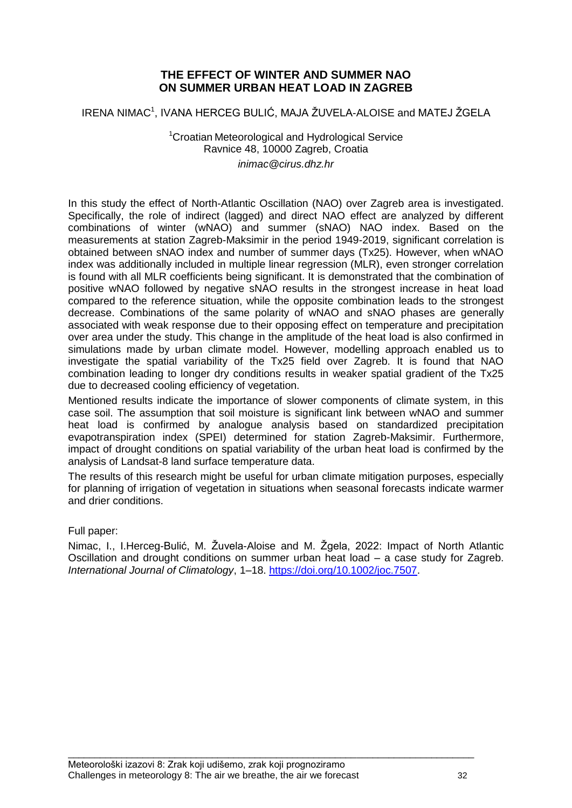# **THE EFFECT OF WINTER AND SUMMER NAO ON SUMMER URBAN HEAT LOAD IN ZAGREB**

IRENA NIMAC<sup>1</sup>, IVANA HERCEG BULIĆ, MAJA ŽUVELA-ALOISE and MATEJ ŽGELA

<sup>1</sup>Croatian Meteorological and Hydrological Service Ravnice 48, 10000 Zagreb, Croatia *inimac@cirus.dhz.hr*

In this study the effect of North-Atlantic Oscillation (NAO) over Zagreb area is investigated. Specifically, the role of indirect (lagged) and direct NAO effect are analyzed by different combinations of winter (wNAO) and summer (sNAO) NAO index. Based on the measurements at station Zagreb-Maksimir in the period 1949-2019, significant correlation is obtained between sNAO index and number of summer days (Tx25). However, when wNAO index was additionally included in multiple linear regression (MLR), even stronger correlation is found with all MLR coefficients being significant. It is demonstrated that the combination of positive wNAO followed by negative sNAO results in the strongest increase in heat load compared to the reference situation, while the opposite combination leads to the strongest decrease. Combinations of the same polarity of wNAO and sNAO phases are generally associated with weak response due to their opposing effect on temperature and precipitation over area under the study. This change in the amplitude of the heat load is also confirmed in simulations made by urban climate model. However, modelling approach enabled us to investigate the spatial variability of the Tx25 field over Zagreb. It is found that NAO combination leading to longer dry conditions results in weaker spatial gradient of the Tx25 due to decreased cooling efficiency of vegetation.

Mentioned results indicate the importance of slower components of climate system, in this case soil. The assumption that soil moisture is significant link between wNAO and summer heat load is confirmed by analogue analysis based on standardized precipitation evapotranspiration index (SPEI) determined for station Zagreb-Maksimir. Furthermore, impact of drought conditions on spatial variability of the urban heat load is confirmed by the analysis of Landsat-8 land surface temperature data.

The results of this research might be useful for urban climate mitigation purposes, especially for planning of irrigation of vegetation in situations when seasonal forecasts indicate warmer and drier conditions.

Full paper:

Nimac, I., I.Herceg-Bulić, M. Žuvela-Aloise and M. Žgela, 2022: Impact of North Atlantic Oscillation and drought conditions on summer urban heat load – a case study for Zagreb. *International Journal of Climatology*, 1–18. [https://doi.org/10.1002/joc.7507.](https://doi.org/10.1002/joc.7507)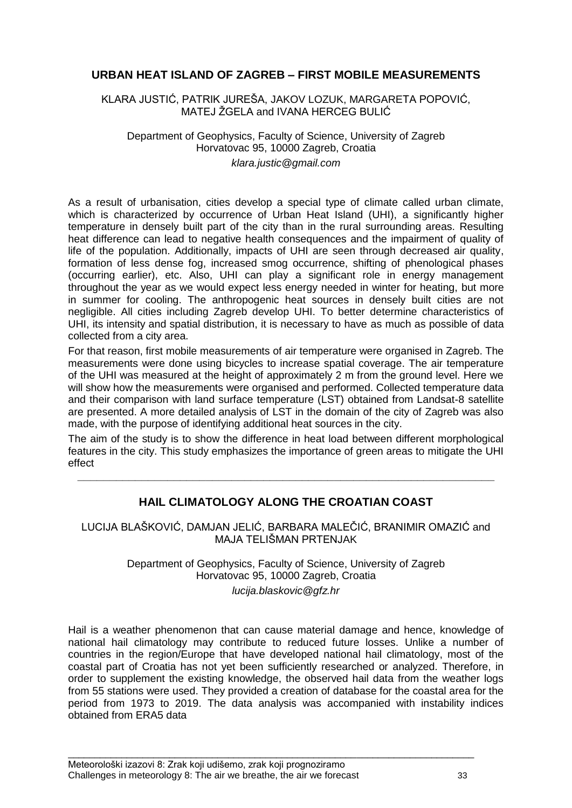# **URBAN HEAT ISLAND OF ZAGREB – FIRST MOBILE MEASUREMENTS**

KLARA JUSTIĆ, PATRIK JUREŠA, JAKOV LOZUK, MARGARETA POPOVIĆ, MATEJ ŽGELA and IVANA HERCEG BULIĆ

Department of Geophysics, Faculty of Science, University of Zagreb Horvatovac 95, 10000 Zagreb, Croatia *klara.justic@gmail.com*

As a result of urbanisation, cities develop a special type of climate called urban climate, which is characterized by occurrence of Urban Heat Island (UHI), a significantly higher temperature in densely built part of the city than in the rural surrounding areas. Resulting heat difference can lead to negative health consequences and the impairment of quality of life of the population. Additionally, impacts of UHI are seen through decreased air quality, formation of less dense fog, increased smog occurrence, shifting of phenological phases (occurring earlier), etc. Also, UHI can play a significant role in energy management throughout the year as we would expect less energy needed in winter for heating, but more in summer for cooling. The anthropogenic heat sources in densely built cities are not negligible. All cities including Zagreb develop UHI. To better determine characteristics of UHI, its intensity and spatial distribution, it is necessary to have as much as possible of data collected from a city area.

For that reason, first mobile measurements of air temperature were organised in Zagreb. The measurements were done using bicycles to increase spatial coverage. The air temperature of the UHI was measured at the height of approximately 2 m from the ground level. Here we will show how the measurements were organised and performed. Collected temperature data and their comparison with land surface temperature (LST) obtained from Landsat-8 satellite are presented. A more detailed analysis of LST in the domain of the city of Zagreb was also made, with the purpose of identifying additional heat sources in the city.

The aim of the study is to show the difference in heat load between different morphological features in the city. This study emphasizes the importance of green areas to mitigate the UHI effect

**\_\_\_\_\_\_\_\_\_\_\_\_\_\_\_\_\_\_\_\_\_\_\_\_\_\_\_\_\_\_\_\_\_\_\_\_\_\_\_\_\_\_\_\_\_\_\_\_\_\_\_\_\_\_\_\_\_\_\_\_\_\_\_\_\_**

# **HAIL CLIMATOLOGY ALONG THE CROATIAN COAST**

LUCIJA BLAŠKOVIĆ, DAMJAN JELIĆ, BARBARA MALEĈIĆ, BRANIMIR OMAZIĆ and MAJA TELIŠMAN PRTENJAK

> Department of Geophysics, Faculty of Science, University of Zagreb Horvatovac 95, 10000 Zagreb, Croatia *lucija.blaskovic@gfz.hr*

Hail is a weather phenomenon that can cause material damage and hence, knowledge of national hail climatology may contribute to reduced future losses. Unlike a number of countries in the region/Europe that have developed national hail climatology, most of the coastal part of Croatia has not yet been sufficiently researched or analyzed. Therefore, in order to supplement the existing knowledge, the observed hail data from the weather logs from 55 stations were used. They provided a creation of database for the coastal area for the period from 1973 to 2019. The data analysis was accompanied with instability indices obtained from ERA5 data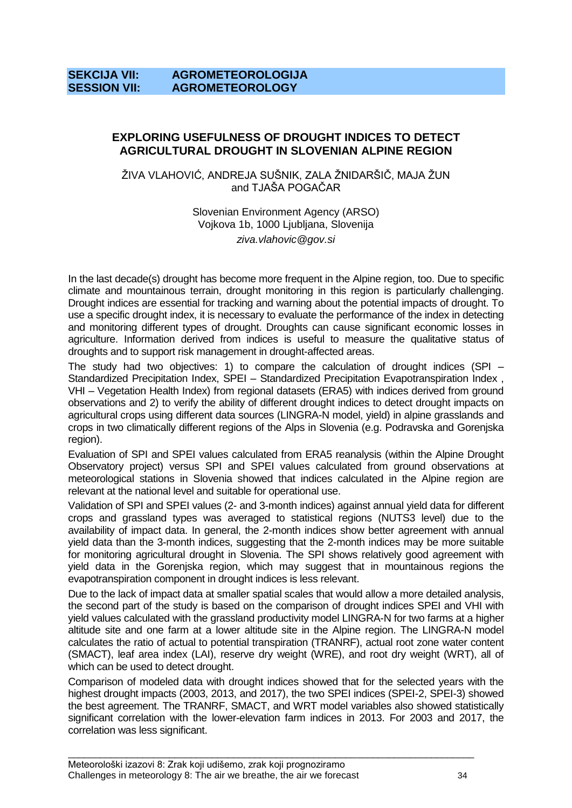# **SEKCIJA VII: AGROMETEOROLOGIJA SESSION VII: AGROMETEOROLOGY**

# **EXPLORING USEFULNESS OF DROUGHT INDICES TO DETECT AGRICULTURAL DROUGHT IN SLOVENIAN ALPINE REGION**

ŽIVA VLAHOVIĆ, ANDREJA SUŠNIK, ZALA ŽNIDARŠIČ, MAJA ŽUN and TJAŠA POGAĈAR

> Slovenian Environment Agency (ARSO) Vojkova 1b, 1000 Ljubljana, Slovenija *ziva.vlahovic@gov.si*

In the last decade(s) drought has become more frequent in the Alpine region, too. Due to specific climate and mountainous terrain, drought monitoring in this region is particularly challenging. Drought indices are essential for tracking and warning about the potential impacts of drought. To use a specific drought index, it is necessary to evaluate the performance of the index in detecting and monitoring different types of drought. Droughts can cause significant economic losses in agriculture. Information derived from indices is useful to measure the qualitative status of droughts and to support risk management in drought-affected areas.

The study had two objectives: 1) to compare the calculation of drought indices (SPI – Standardized Precipitation Index, SPEI – Standardized Precipitation Evapotranspiration Index , VHI – Vegetation Health Index) from regional datasets (ERA5) with indices derived from ground observations and 2) to verify the ability of different drought indices to detect drought impacts on agricultural crops using different data sources (LINGRA-N model, yield) in alpine grasslands and crops in two climatically different regions of the Alps in Slovenia (e.g. Podravska and Gorenjska region).

Evaluation of SPI and SPEI values calculated from ERA5 reanalysis (within the Alpine Drought Observatory project) versus SPI and SPEI values calculated from ground observations at meteorological stations in Slovenia showed that indices calculated in the Alpine region are relevant at the national level and suitable for operational use.

Validation of SPI and SPEI values (2- and 3-month indices) against annual yield data for different crops and grassland types was averaged to statistical regions (NUTS3 level) due to the availability of impact data. In general, the 2-month indices show better agreement with annual yield data than the 3-month indices, suggesting that the 2-month indices may be more suitable for monitoring agricultural drought in Slovenia. The SPI shows relatively good agreement with yield data in the Gorenjska region, which may suggest that in mountainous regions the evapotranspiration component in drought indices is less relevant.

Due to the lack of impact data at smaller spatial scales that would allow a more detailed analysis, the second part of the study is based on the comparison of drought indices SPEI and VHI with yield values calculated with the grassland productivity model LINGRA-N for two farms at a higher altitude site and one farm at a lower altitude site in the Alpine region. The LINGRA-N model calculates the ratio of actual to potential transpiration (TRANRF), actual root zone water content (SMACT), leaf area index (LAI), reserve dry weight (WRE), and root dry weight (WRT), all of which can be used to detect drought.

Comparison of modeled data with drought indices showed that for the selected years with the highest drought impacts (2003, 2013, and 2017), the two SPEI indices (SPEI-2, SPEI-3) showed the best agreement. The TRANRF, SMACT, and WRT model variables also showed statistically significant correlation with the lower-elevation farm indices in 2013. For 2003 and 2017, the correlation was less significant.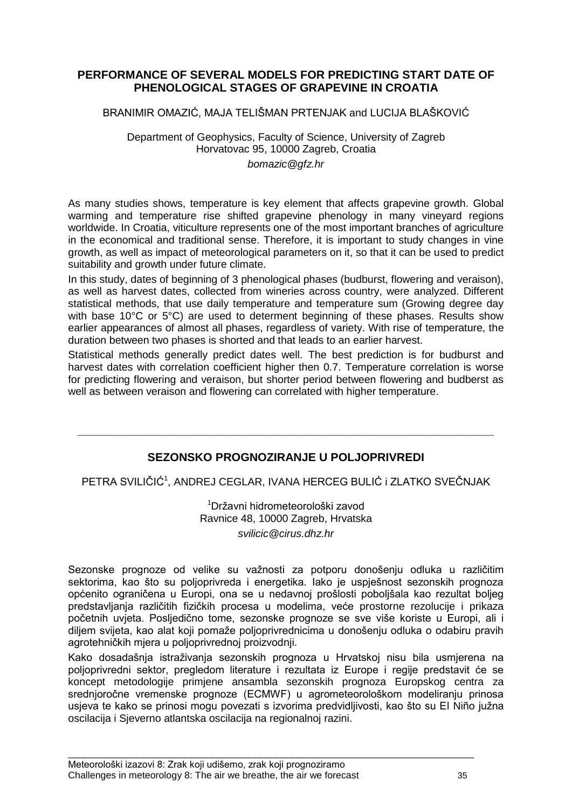# **PERFORMANCE OF SEVERAL MODELS FOR PREDICTING START DATE OF PHENOLOGICAL STAGES OF GRAPEVINE IN CROATIA**

#### BRANIMIR OMAZIĆ, MAJA TELIŠMAN PRTENJAK and LUCIJA BLAŠKOVIĆ

#### Department of Geophysics, Faculty of Science, University of Zagreb Horvatovac 95, 10000 Zagreb, Croatia *bomazic@gfz.hr*

As many studies shows, temperature is key element that affects grapevine growth. Global warming and temperature rise shifted grapevine phenology in many vineyard regions worldwide. In Croatia, viticulture represents one of the most important branches of agriculture in the economical and traditional sense. Therefore, it is important to study changes in vine growth, as well as impact of meteorological parameters on it, so that it can be used to predict suitability and growth under future climate.

In this study, dates of beginning of 3 phenological phases (budburst, flowering and veraison), as well as harvest dates, collected from wineries across country, were analyzed. Different statistical methods, that use daily temperature and temperature sum (Growing degree day with base 10°C or 5°C) are used to determent beginning of these phases. Results show earlier appearances of almost all phases, regardless of variety. With rise of temperature, the duration between two phases is shorted and that leads to an earlier harvest.

Statistical methods generally predict dates well. The best prediction is for budburst and harvest dates with correlation coefficient higher then 0.7. Temperature correlation is worse for predicting flowering and veraison, but shorter period between flowering and budberst as well as between veraison and flowering can correlated with higher temperature.

# **SEZONSKO PROGNOZIRANJE U POLJOPRIVREDI**

**\_\_\_\_\_\_\_\_\_\_\_\_\_\_\_\_\_\_\_\_\_\_\_\_\_\_\_\_\_\_\_\_\_\_\_\_\_\_\_\_\_\_\_\_\_\_\_\_\_\_\_\_\_\_\_\_\_\_\_\_\_\_\_\_\_**

PETRA SVILIČIĆ<sup>1</sup>, ANDREJ CEGLAR, IVANA HERCEG BULIĆ i ZLATKO SVEČNJAK

<sup>1</sup>Državni hidrometeorološki zavod Ravnice 48, 10000 Zagreb, Hrvatska *svilicic@cirus.dhz.hr*

Sezonske prognoze od velike su važnosti za potporu donošenju odluka u različitim sektorima, kao što su poljoprivreda i energetika. Iako je uspješnost sezonskih prognoza općenito ograniĉena u Europi, ona se u nedavnoj prošlosti poboljšala kao rezultat boljeg predstavljanja razliĉitih fiziĉkih procesa u modelima, veće prostorne rezolucije i prikaza poĉetnih uvjeta. Posljediĉno tome, sezonske prognoze se sve više koriste u Europi, ali i diljem svijeta, kao alat koji pomaže poljoprivrednicima u donošenju odluka o odabiru pravih agrotehniĉkih mjera u poljoprivrednoj proizvodnji.

Kako dosadašnja istraživanja sezonskih prognoza u Hrvatskoj nisu bila usmjerena na poljoprivredni sektor, pregledom literature i rezultata iz Europe i regije predstavit će se koncept metodologije primjene ansambla sezonskih prognoza Europskog centra za srednjoroĉne vremenske prognoze (ECMWF) u agrometeorološkom modeliranju prinosa usjeva te kako se prinosi mogu povezati s izvorima predvidljivosti, kao što su El Niño južna oscilacija i Sjeverno atlantska oscilacija na regionalnoj razini.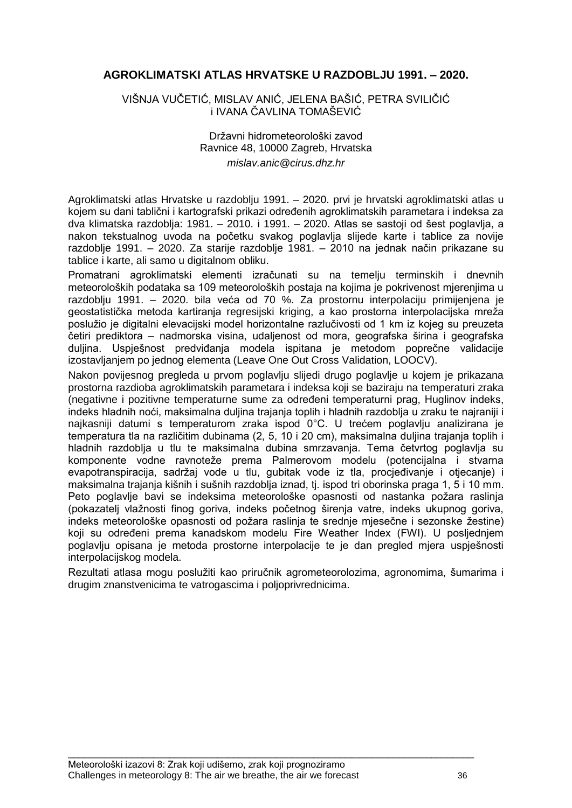# **AGROKLIMATSKI ATLAS HRVATSKE U RAZDOBLJU 1991. – 2020.**

VIŠNJA VUĈETIĆ, MISLAV ANIĆ, JELENA BAŠIĆ, PETRA SVILIĈIĆ i IVANA ĈAVLINA TOMAŠEVIĆ

> Državni hidrometeorološki zavod Ravnice 48, 10000 Zagreb, Hrvatska *mislav.anic@cirus.dhz.hr*

Agroklimatski atlas Hrvatske u razdoblju 1991. – 2020. prvi je hrvatski agroklimatski atlas u kojem su dani tablični i kartografski prikazi određenih agroklimatskih parametara i indeksa za dva klimatska razdoblja: 1981. – 2010. i 1991. – 2020. Atlas se sastoji od šest poglavlja, a nakon tekstualnog uvoda na poĉetku svakog poglavlja slijede karte i tablice za novije razdoblje 1991. – 2020. Za starije razdoblje 1981. – 2010 na jednak naĉin prikazane su tablice i karte, ali samo u digitalnom obliku.

Promatrani agroklimatski elementi izraĉunati su na temelju terminskih i dnevnih meteoroloških podataka sa 109 meteoroloških postaja na kojima je pokrivenost mjerenjima u razdoblju 1991. – 2020. bila veća od 70 %. Za prostornu interpolaciju primijenjena je geostatistička metoda kartiranja regresijski kriging, a kao prostorna interpolacijska mreža poslužio je digitalni elevacijski model horizontalne razlučivosti od 1 km iz kojeg su preuzeta ĉetiri prediktora – nadmorska visina, udaljenost od mora, geografska širina i geografska duljina. Uspješnost predviđanja modela ispitana je metodom poprečne validacije izostavljanjem po jednog elementa (Leave One Out Cross Validation, LOOCV).

Nakon povijesnog pregleda u prvom poglavlju slijedi drugo poglavlje u kojem je prikazana prostorna razdioba agroklimatskih parametara i indeksa koji se baziraju na temperaturi zraka (negativne i pozitivne temperaturne sume za odreĊeni temperaturni prag, Huglinov indeks, indeks hladnih noći, maksimalna duljina trajanja toplih i hladnih razdoblja u zraku te najraniji i najkasniji datumi s temperaturom zraka ispod 0°C. U trećem poglavlju analizirana je temperatura tla na razliĉitim dubinama (2, 5, 10 i 20 cm), maksimalna duljina trajanja toplih i hladnih razdoblja u tlu te maksimalna dubina smrzavanja. Tema ĉetvrtog poglavlja su komponente vodne ravnoteže prema Palmerovom modelu (potencijalna i stvarna evapotranspiracija, sadržaj vode u tlu, gubitak vode iz tla, procjeđivanje i otjecanje) i maksimalna trajanja kišnih i sušnih razdoblja iznad, tj. ispod tri oborinska praga 1, 5 i 10 mm. Peto poglavlje bavi se indeksima meteorološke opasnosti od nastanka požara raslinja (pokazatelj vlaţnosti finog goriva, indeks poĉetnog širenja vatre, indeks ukupnog goriva, indeks meteorološke opasnosti od požara raslinja te srednje mjesečne i sezonske žestine) koji su određeni prema kanadskom modelu Fire Weather Index (FWI). U posljednjem poglavlju opisana je metoda prostorne interpolacije te je dan pregled mjera uspješnosti interpolacijskog modela.

Rezultati atlasa mogu poslužiti kao priručnik agrometeorolozima, agronomima, šumarima i drugim znanstvenicima te vatrogascima i poljoprivrednicima.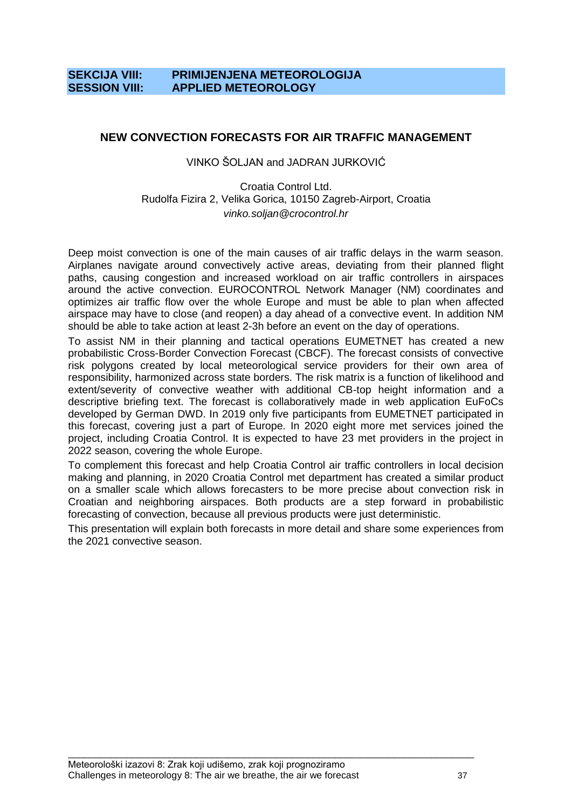# **SEKCIJA VIII: PRIMIJENJENA METEOROLOGIJA SESSION VIII: APPLIED METEOROLOGY**

# **NEW CONVECTION FORECASTS FOR AIR TRAFFIC MANAGEMENT**

#### VINKO ŠOLJAN and JADRAN JURKOVIĆ

#### Croatia Control Ltd. Rudolfa Fizira 2, Velika Gorica, 10150 Zagreb-Airport, Croatia *vinko.soljan@crocontrol.hr*

Deep moist convection is one of the main causes of air traffic delays in the warm season. Airplanes navigate around convectively active areas, deviating from their planned flight paths, causing congestion and increased workload on air traffic controllers in airspaces around the active convection. EUROCONTROL Network Manager (NM) coordinates and optimizes air traffic flow over the whole Europe and must be able to plan when affected airspace may have to close (and reopen) a day ahead of a convective event. In addition NM should be able to take action at least 2-3h before an event on the day of operations.

To assist NM in their planning and tactical operations EUMETNET has created a new probabilistic Cross-Border Convection Forecast (CBCF). The forecast consists of convective risk polygons created by local meteorological service providers for their own area of responsibility, harmonized across state borders. The risk matrix is a function of likelihood and extent/severity of convective weather with additional CB-top height information and a descriptive briefing text. The forecast is collaboratively made in web application EuFoCs developed by German DWD. In 2019 only five participants from EUMETNET participated in this forecast, covering just a part of Europe. In 2020 eight more met services joined the project, including Croatia Control. It is expected to have 23 met providers in the project in 2022 season, covering the whole Europe.

To complement this forecast and help Croatia Control air traffic controllers in local decision making and planning, in 2020 Croatia Control met department has created a similar product on a smaller scale which allows forecasters to be more precise about convection risk in Croatian and neighboring airspaces. Both products are a step forward in probabilistic forecasting of convection, because all previous products were just deterministic.

This presentation will explain both forecasts in more detail and share some experiences from the 2021 convective season.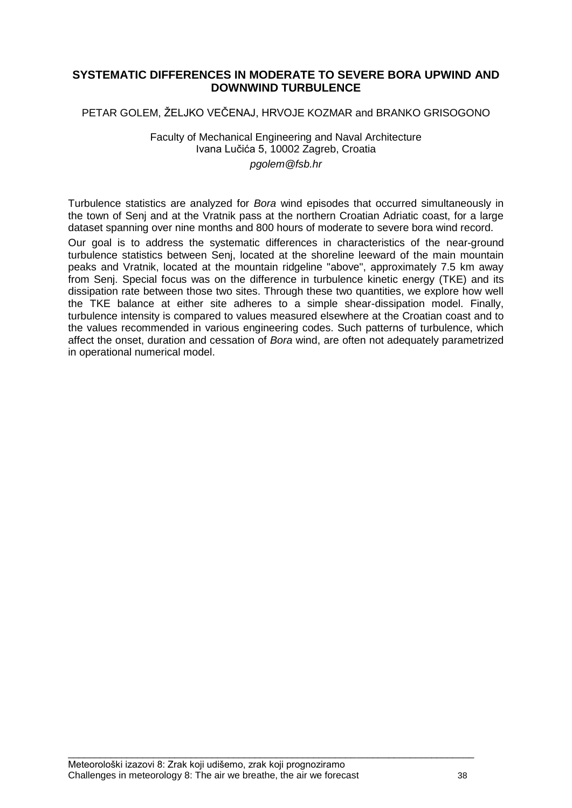# **SYSTEMATIC DIFFERENCES IN MODERATE TO SEVERE BORA UPWIND AND DOWNWIND TURBULENCE**

# PETAR GOLEM, ŽELJKO VEČENAJ, HRVOJE KOZMAR and BRANKO GRISOGONO

#### Faculty of Mechanical Engineering and Naval Architecture Ivana Luĉića 5, 10002 Zagreb, Croatia *pgolem@fsb.hr*

Turbulence statistics are analyzed for *Bora* wind episodes that occurred simultaneously in the town of Senj and at the Vratnik pass at the northern Croatian Adriatic coast, for a large dataset spanning over nine months and 800 hours of moderate to severe bora wind record.

Our goal is to address the systematic differences in characteristics of the near-ground turbulence statistics between Senj, located at the shoreline leeward of the main mountain peaks and Vratnik, located at the mountain ridgeline "above", approximately 7.5 km away from Senj. Special focus was on the difference in turbulence kinetic energy (TKE) and its dissipation rate between those two sites. Through these two quantities, we explore how well the TKE balance at either site adheres to a simple shear-dissipation model. Finally, turbulence intensity is compared to values measured elsewhere at the Croatian coast and to the values recommended in various engineering codes. Such patterns of turbulence, which affect the onset, duration and cessation of *Bora* wind, are often not adequately parametrized in operational numerical model.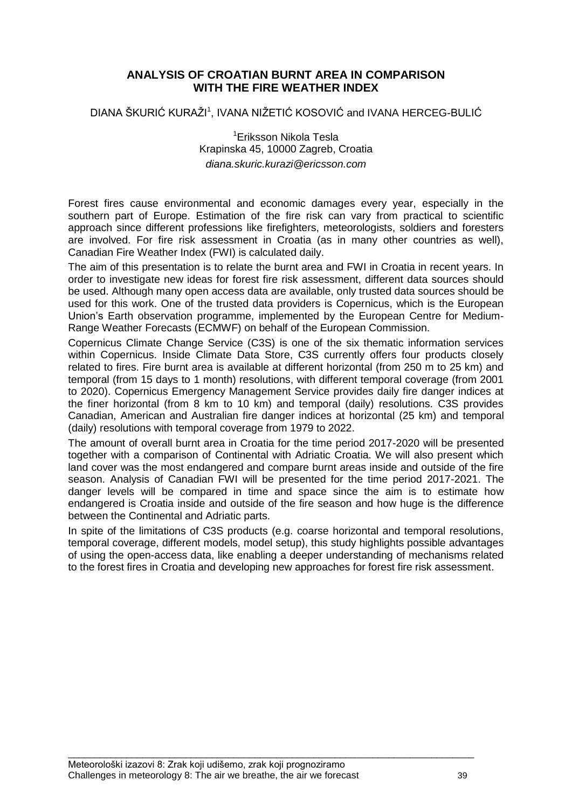# **ANALYSIS OF CROATIAN BURNT AREA IN COMPARISON WITH THE FIRE WEATHER INDEX**

DIANA ŠKURIĆ KURAŽI<sup>1</sup>, IVANA NIŽETIĆ KOSOVIĆ and IVANA HERCEG-BULIĆ

<sup>1</sup>Eriksson Nikola Tesla Krapinska 45, 10000 Zagreb, Croatia *diana.skuric.kurazi@ericsson.com*

Forest fires cause environmental and economic damages every year, especially in the southern part of Europe. Estimation of the fire risk can vary from practical to scientific approach since different professions like firefighters, meteorologists, soldiers and foresters are involved. For fire risk assessment in Croatia (as in many other countries as well), Canadian Fire Weather Index (FWI) is calculated daily.

The aim of this presentation is to relate the burnt area and FWI in Croatia in recent years. In order to investigate new ideas for forest fire risk assessment, different data sources should be used. Although many open access data are available, only trusted data sources should be used for this work. One of the trusted data providers is Copernicus, which is the European Union"s Earth observation programme, implemented by the European Centre for Medium-Range Weather Forecasts (ECMWF) on behalf of the European Commission.

Copernicus Climate Change Service (C3S) is one of the six thematic information services within Copernicus. Inside Climate Data Store, C3S currently offers four products closely related to fires. Fire burnt area is available at different horizontal (from 250 m to 25 km) and temporal (from 15 days to 1 month) resolutions, with different temporal coverage (from 2001 to 2020). Copernicus Emergency Management Service provides daily fire danger indices at the finer horizontal (from 8 km to 10 km) and temporal (daily) resolutions. C3S provides Canadian, American and Australian fire danger indices at horizontal (25 km) and temporal (daily) resolutions with temporal coverage from 1979 to 2022.

The amount of overall burnt area in Croatia for the time period 2017-2020 will be presented together with a comparison of Continental with Adriatic Croatia. We will also present which land cover was the most endangered and compare burnt areas inside and outside of the fire season. Analysis of Canadian FWI will be presented for the time period 2017-2021. The danger levels will be compared in time and space since the aim is to estimate how endangered is Croatia inside and outside of the fire season and how huge is the difference between the Continental and Adriatic parts.

In spite of the limitations of C3S products (e.g. coarse horizontal and temporal resolutions, temporal coverage, different models, model setup), this study highlights possible advantages of using the open-access data, like enabling a deeper understanding of mechanisms related to the forest fires in Croatia and developing new approaches for forest fire risk assessment.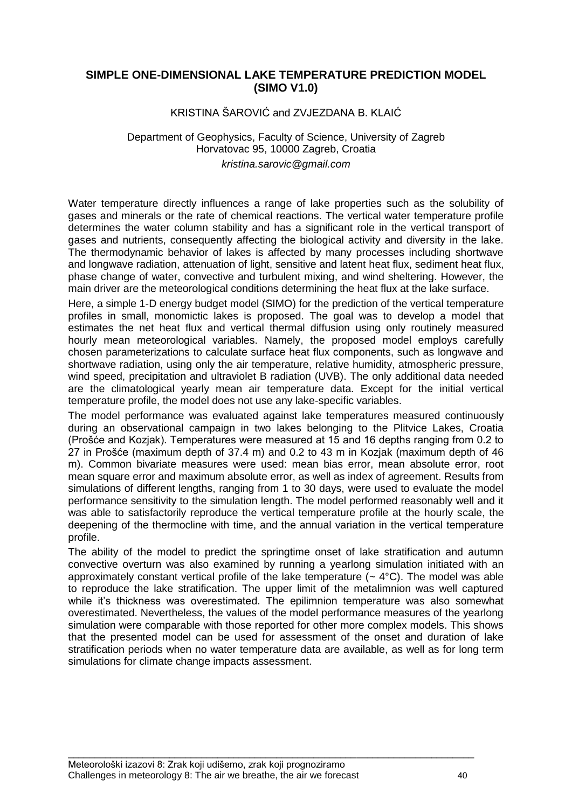# **SIMPLE ONE-DIMENSIONAL LAKE TEMPERATURE PREDICTION MODEL (SIMO V1.0)**

#### KRISTINA ŠAROVIĆ and ZVJEZDANA B. KLAIĆ

#### Department of Geophysics, Faculty of Science, University of Zagreb Horvatovac 95, 10000 Zagreb, Croatia *kristina.sarovic@gmail.com*

Water temperature directly influences a range of lake properties such as the solubility of gases and minerals or the rate of chemical reactions. The vertical water temperature profile determines the water column stability and has a significant role in the vertical transport of gases and nutrients, consequently affecting the biological activity and diversity in the lake. The thermodynamic behavior of lakes is affected by many processes including shortwave and longwave radiation, attenuation of light, sensitive and latent heat flux, sediment heat flux, phase change of water, convective and turbulent mixing, and wind sheltering. However, the main driver are the meteorological conditions determining the heat flux at the lake surface.

Here, a simple 1-D energy budget model (SIMO) for the prediction of the vertical temperature profiles in small, monomictic lakes is proposed. The goal was to develop a model that estimates the net heat flux and vertical thermal diffusion using only routinely measured hourly mean meteorological variables. Namely, the proposed model employs carefully chosen parameterizations to calculate surface heat flux components, such as longwave and shortwave radiation, using only the air temperature, relative humidity, atmospheric pressure, wind speed, precipitation and ultraviolet B radiation (UVB). The only additional data needed are the climatological yearly mean air temperature data. Except for the initial vertical temperature profile, the model does not use any lake-specific variables.

The model performance was evaluated against lake temperatures measured continuously during an observational campaign in two lakes belonging to the Plitvice Lakes, Croatia (Prošće and Kozjak). Temperatures were measured at 15 and 16 depths ranging from 0.2 to 27 in Prošće (maximum depth of 37.4 m) and 0.2 to 43 m in Kozjak (maximum depth of 46 m). Common bivariate measures were used: mean bias error, mean absolute error, root mean square error and maximum absolute error, as well as index of agreement. Results from simulations of different lengths, ranging from 1 to 30 days, were used to evaluate the model performance sensitivity to the simulation length. The model performed reasonably well and it was able to satisfactorily reproduce the vertical temperature profile at the hourly scale, the deepening of the thermocline with time, and the annual variation in the vertical temperature profile.

The ability of the model to predict the springtime onset of lake stratification and autumn convective overturn was also examined by running a yearlong simulation initiated with an approximately constant vertical profile of the lake temperature  $(-4^{\circ}C)$ . The model was able to reproduce the lake stratification. The upper limit of the metalimnion was well captured while it's thickness was overestimated. The epilimnion temperature was also somewhat overestimated. Nevertheless, the values of the model performance measures of the yearlong simulation were comparable with those reported for other more complex models. This shows that the presented model can be used for assessment of the onset and duration of lake stratification periods when no water temperature data are available, as well as for long term simulations for climate change impacts assessment.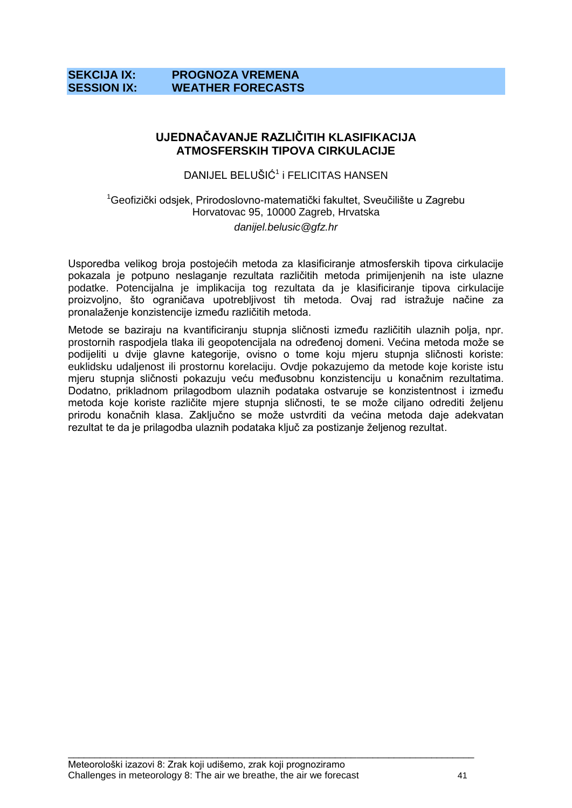# **SEKCIJA IX: PROGNOZA VREMENA SESSION IX: WEATHER FORECASTS**

# **UJEDNAČAVANJE RAZLIČITIH KLASIFIKACIJA ATMOSFERSKIH TIPOVA CIRKULACIJE**

DANIJEL BELUŠIĆ<sup>1</sup> i FELICITAS HANSEN

<sup>1</sup>Geofizički odsjek, Prirodoslovno-matematički fakultet, Sveučilište u Zagrebu Horvatovac 95, 10000 Zagreb, Hrvatska *danijel.belusic@gfz.hr*

Usporedba velikog broja postojećih metoda za klasificiranje atmosferskih tipova cirkulacije pokazala je potpuno neslaganje rezultata razliĉitih metoda primijenjenih na iste ulazne podatke. Potencijalna je implikacija tog rezultata da je klasificiranje tipova cirkulacije proizvoljno, što ograničava upotrebljivost tih metoda. Ovaj rad istražuje načine za pronalaženje konzistencije između različitih metoda.

Metode se baziraju na kvantificiranju stupnja sličnosti između različitih ulaznih polja, npr. prostornih raspodiela tlaka ili geopotencijala na određenoj domeni. Većina metoda može se podijeliti u dvije glavne kategorije, ovisno o tome koju mjeru stupnja sliĉnosti koriste: euklidsku udaljenost ili prostornu korelaciju. Ovdje pokazujemo da metode koje koriste istu mjeru stupnja sličnosti pokazuju veću međusobnu konzistenciju u konačnim rezultatima. Dodatno, prikladnom prilagodbom ulaznih podataka ostvaruje se konzistentnost i između metoda koje koriste različite mjere stupnja sličnosti, te se može ciljano odrediti željenu prirodu konačnih klasa. Zaključno se može ustvrditi da većina metoda daje adekvatan rezultat te da je prilagodba ulaznih podataka ključ za postizanje željenog rezultat.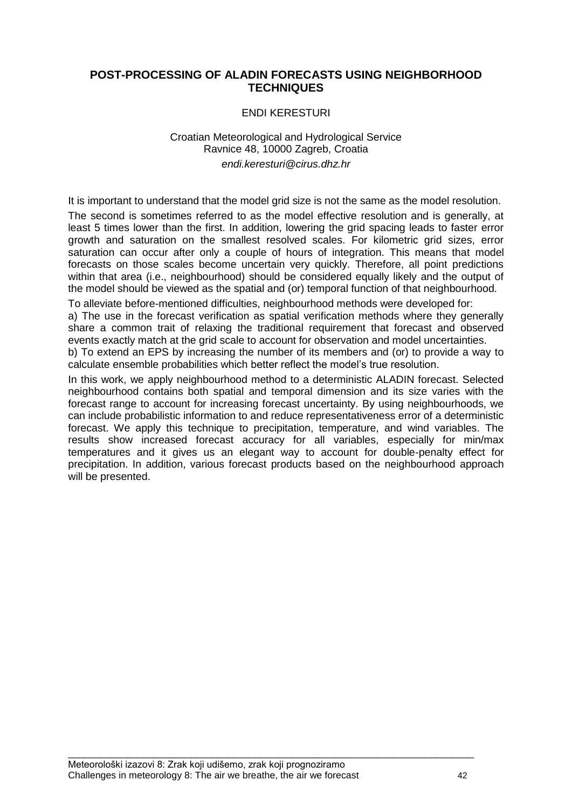#### **POST-PROCESSING OF ALADIN FORECASTS USING NEIGHBORHOOD TECHNIQUES**

#### ENDI KERESTURI

#### Croatian Meteorological and Hydrological Service Ravnice 48, 10000 Zagreb, Croatia *endi.keresturi@cirus.dhz.hr*

It is important to understand that the model grid size is not the same as the model resolution.

The second is sometimes referred to as the model effective resolution and is generally, at least 5 times lower than the first. In addition, lowering the grid spacing leads to faster error growth and saturation on the smallest resolved scales. For kilometric grid sizes, error saturation can occur after only a couple of hours of integration. This means that model forecasts on those scales become uncertain very quickly. Therefore, all point predictions within that area (i.e., neighbourhood) should be considered equally likely and the output of the model should be viewed as the spatial and (or) temporal function of that neighbourhood.

To alleviate before-mentioned difficulties, neighbourhood methods were developed for:

a) The use in the forecast verification as spatial verification methods where they generally share a common trait of relaxing the traditional requirement that forecast and observed events exactly match at the grid scale to account for observation and model uncertainties.

b) To extend an EPS by increasing the number of its members and (or) to provide a way to calculate ensemble probabilities which better reflect the model"s true resolution.

In this work, we apply neighbourhood method to a deterministic ALADIN forecast. Selected neighbourhood contains both spatial and temporal dimension and its size varies with the forecast range to account for increasing forecast uncertainty. By using neighbourhoods, we can include probabilistic information to and reduce representativeness error of a deterministic forecast. We apply this technique to precipitation, temperature, and wind variables. The results show increased forecast accuracy for all variables, especially for min/max temperatures and it gives us an elegant way to account for double-penalty effect for precipitation. In addition, various forecast products based on the neighbourhood approach will be presented.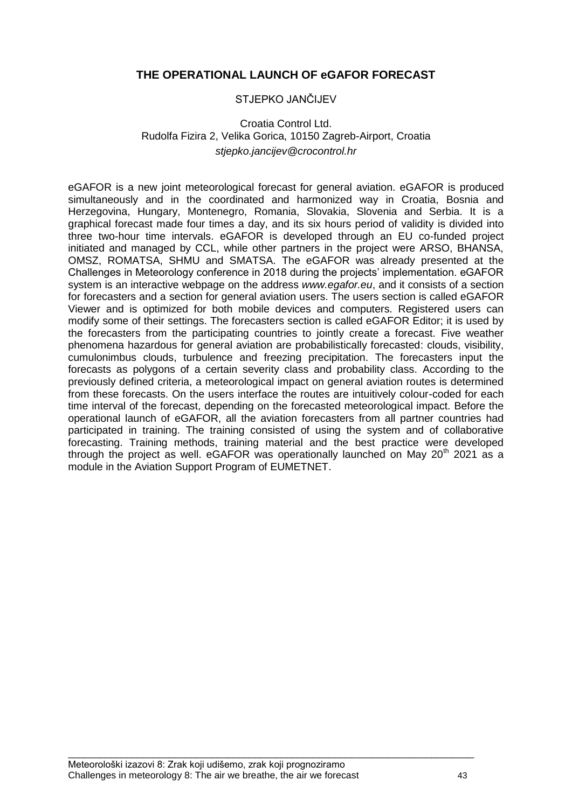# **THE OPERATIONAL LAUNCH OF eGAFOR FORECAST**

#### STJEPKO JANĈIJEV

#### Croatia Control Ltd. Rudolfa Fizira 2, Velika Gorica, 10150 Zagreb-Airport, Croatia *stjepko.jancijev@crocontrol.hr*

eGAFOR is a new joint meteorological forecast for general aviation. eGAFOR is produced simultaneously and in the coordinated and harmonized way in Croatia, Bosnia and Herzegovina, Hungary, Montenegro, Romania, Slovakia, Slovenia and Serbia. It is a graphical forecast made four times a day, and its six hours period of validity is divided into three two-hour time intervals. eGAFOR is developed through an EU co-funded project initiated and managed by CCL, while other partners in the project were ARSO, BHANSA, OMSZ, ROMATSA, SHMU and SMATSA. The eGAFOR was already presented at the Challenges in Meteorology conference in 2018 during the projects" implementation. eGAFOR system is an interactive webpage on the address *www.egafor.eu*, and it consists of a section for forecasters and a section for general aviation users. The users section is called eGAFOR Viewer and is optimized for both mobile devices and computers. Registered users can modify some of their settings. The forecasters section is called eGAFOR Editor; it is used by the forecasters from the participating countries to jointly create a forecast. Five weather phenomena hazardous for general aviation are probabilistically forecasted: clouds, visibility, cumulonimbus clouds, turbulence and freezing precipitation. The forecasters input the forecasts as polygons of a certain severity class and probability class. According to the previously defined criteria, a meteorological impact on general aviation routes is determined from these forecasts. On the users interface the routes are intuitively colour-coded for each time interval of the forecast, depending on the forecasted meteorological impact. Before the operational launch of eGAFOR, all the aviation forecasters from all partner countries had participated in training. The training consisted of using the system and of collaborative forecasting. Training methods, training material and the best practice were developed through the project as well. eGAFOR was operationally launched on May  $20<sup>th</sup>$  2021 as a module in the Aviation Support Program of EUMETNET.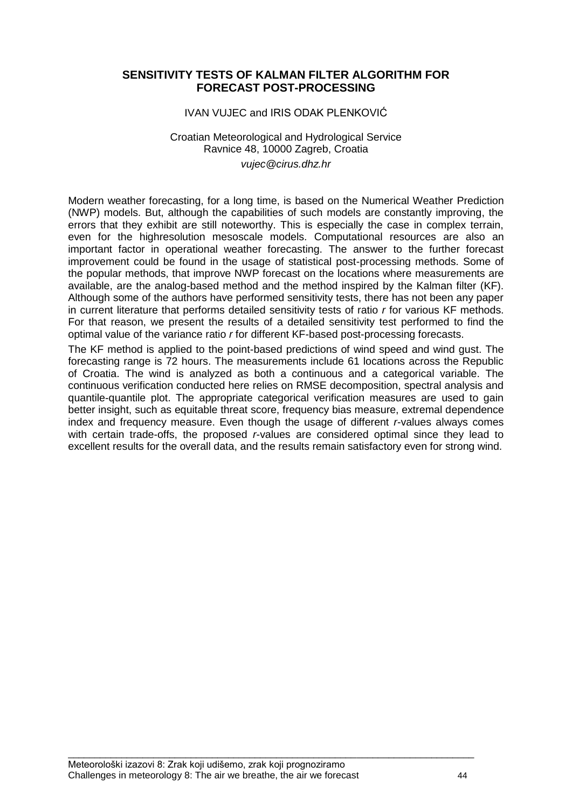#### **SENSITIVITY TESTS OF KALMAN FILTER ALGORITHM FOR FORECAST POST-PROCESSING**

#### IVAN VUJEC and IRIS ODAK PLENKOVIĆ

#### Croatian Meteorological and Hydrological Service Ravnice 48, 10000 Zagreb, Croatia *vujec@cirus.dhz.hr*

Modern weather forecasting, for a long time, is based on the Numerical Weather Prediction (NWP) models. But, although the capabilities of such models are constantly improving, the errors that they exhibit are still noteworthy. This is especially the case in complex terrain, even for the highresolution mesoscale models. Computational resources are also an important factor in operational weather forecasting. The answer to the further forecast improvement could be found in the usage of statistical post-processing methods. Some of the popular methods, that improve NWP forecast on the locations where measurements are available, are the analog-based method and the method inspired by the Kalman filter (KF). Although some of the authors have performed sensitivity tests, there has not been any paper in current literature that performs detailed sensitivity tests of ratio *r* for various KF methods. For that reason, we present the results of a detailed sensitivity test performed to find the optimal value of the variance ratio *r* for different KF-based post-processing forecasts.

The KF method is applied to the point-based predictions of wind speed and wind gust. The forecasting range is 72 hours. The measurements include 61 locations across the Republic of Croatia. The wind is analyzed as both a continuous and a categorical variable. The continuous verification conducted here relies on RMSE decomposition, spectral analysis and quantile-quantile plot. The appropriate categorical verification measures are used to gain better insight, such as equitable threat score, frequency bias measure, extremal dependence index and frequency measure. Even though the usage of different *r*-values always comes with certain trade-offs, the proposed *r*-values are considered optimal since they lead to excellent results for the overall data, and the results remain satisfactory even for strong wind.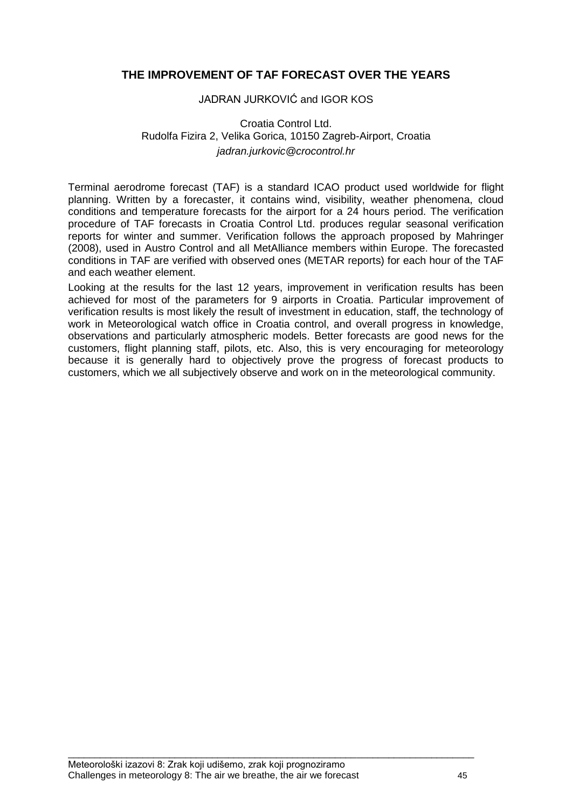# **THE IMPROVEMENT OF TAF FORECAST OVER THE YEARS**

#### JADRAN JURKOVIĆ and IGOR KOS

# Croatia Control Ltd. Rudolfa Fizira 2, Velika Gorica, 10150 Zagreb-Airport, Croatia *jadran.jurkovic@crocontrol.hr*

Terminal aerodrome forecast (TAF) is a standard ICAO product used worldwide for flight planning. Written by a forecaster, it contains wind, visibility, weather phenomena, cloud conditions and temperature forecasts for the airport for a 24 hours period. The verification procedure of TAF forecasts in Croatia Control Ltd. produces regular seasonal verification reports for winter and summer. Verification follows the approach proposed by Mahringer (2008), used in Austro Control and all MetAlliance members within Europe. The forecasted conditions in TAF are verified with observed ones (METAR reports) for each hour of the TAF and each weather element.

Looking at the results for the last 12 years, improvement in verification results has been achieved for most of the parameters for 9 airports in Croatia. Particular improvement of verification results is most likely the result of investment in education, staff, the technology of work in Meteorological watch office in Croatia control, and overall progress in knowledge, observations and particularly atmospheric models. Better forecasts are good news for the customers, flight planning staff, pilots, etc. Also, this is very encouraging for meteorology because it is generally hard to objectively prove the progress of forecast products to customers, which we all subjectively observe and work on in the meteorological community.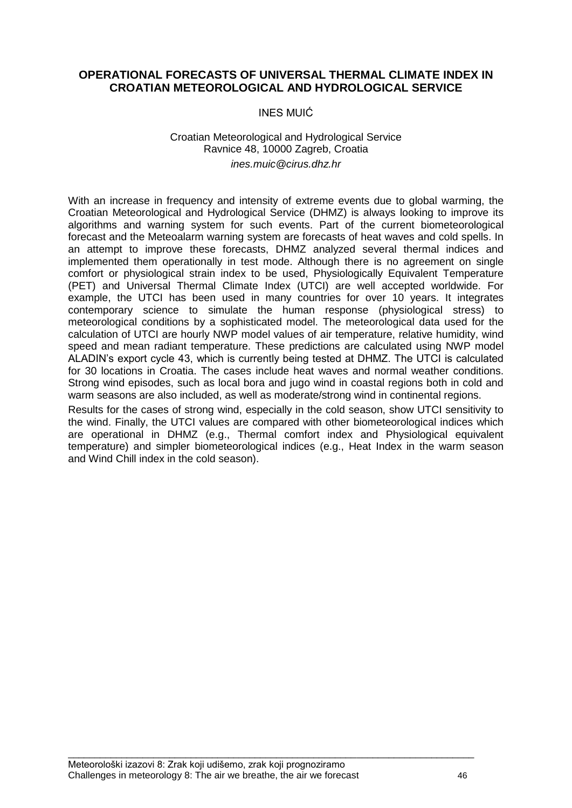# **OPERATIONAL FORECASTS OF UNIVERSAL THERMAL CLIMATE INDEX IN CROATIAN METEOROLOGICAL AND HYDROLOGICAL SERVICE**

#### INES MUIĆ

#### Croatian Meteorological and Hydrological Service Ravnice 48, 10000 Zagreb, Croatia *ines.muic@cirus.dhz.hr*

With an increase in frequency and intensity of extreme events due to global warming, the Croatian Meteorological and Hydrological Service (DHMZ) is always looking to improve its algorithms and warning system for such events. Part of the current biometeorological forecast and the Meteoalarm warning system are forecasts of heat waves and cold spells. In an attempt to improve these forecasts, DHMZ analyzed several thermal indices and implemented them operationally in test mode. Although there is no agreement on single comfort or physiological strain index to be used, Physiologically Equivalent Temperature (PET) and Universal Thermal Climate Index (UTCI) are well accepted worldwide. For example, the UTCI has been used in many countries for over 10 years. It integrates contemporary science to simulate the human response (physiological stress) to meteorological conditions by a sophisticated model. The meteorological data used for the calculation of UTCI are hourly NWP model values of air temperature, relative humidity, wind speed and mean radiant temperature. These predictions are calculated using NWP model ALADIN"s export cycle 43, which is currently being tested at DHMZ. The UTCI is calculated for 30 locations in Croatia. The cases include heat waves and normal weather conditions. Strong wind episodes, such as local bora and jugo wind in coastal regions both in cold and warm seasons are also included, as well as moderate/strong wind in continental regions.

Results for the cases of strong wind, especially in the cold season, show UTCI sensitivity to the wind. Finally, the UTCI values are compared with other biometeorological indices which are operational in DHMZ (e.g., Thermal comfort index and Physiological equivalent temperature) and simpler biometeorological indices (e.g., Heat Index in the warm season and Wind Chill index in the cold season).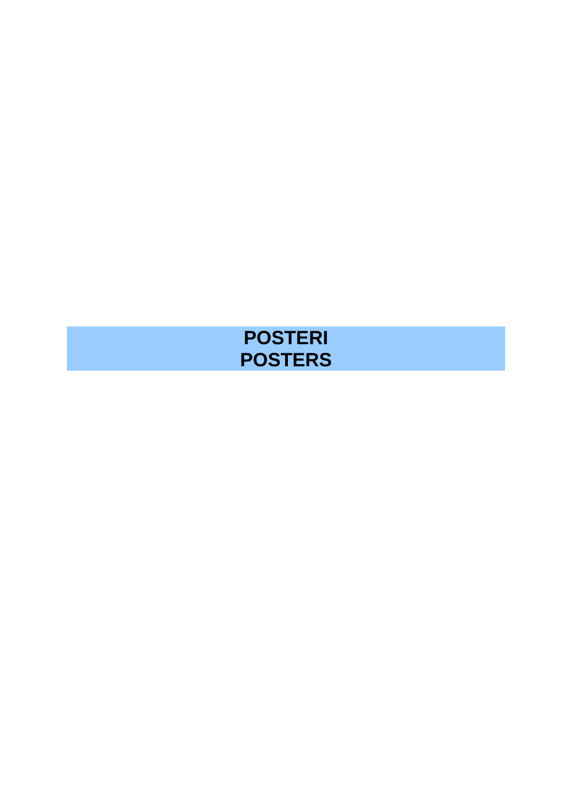# **POSTERI POSTERS**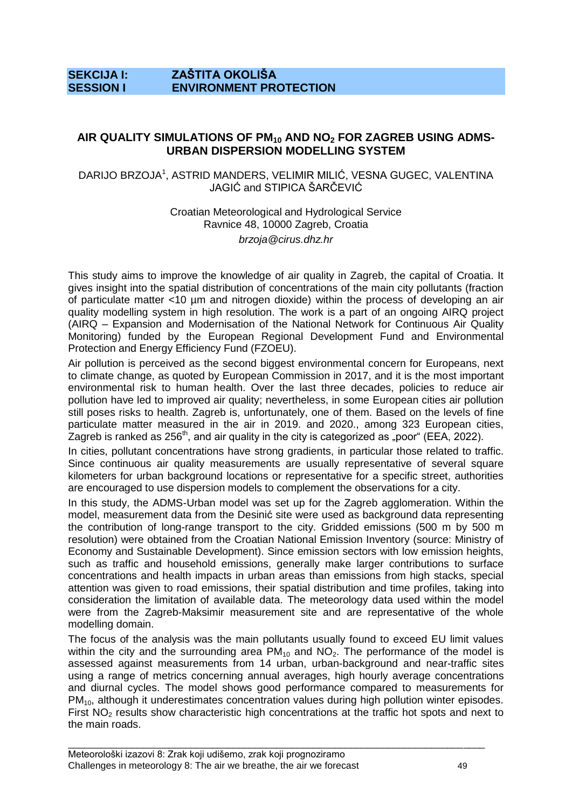# **SEKCIJA I: ZAŠTITA OKOLIŠA SESSION I ENVIRONMENT PROTECTION**

#### **AIR QUALITY SIMULATIONS OF PM<sup>10</sup> AND NO<sup>2</sup> FOR ZAGREB USING ADMS-URBAN DISPERSION MODELLING SYSTEM**

#### DARIJO BRZOJA<sup>1</sup>, ASTRID MANDERS, VELIMIR MILIĆ, VESNA GUGEC, VALENTINA JAGIĆ and STIPICA ŠARĈEVIĆ

Croatian Meteorological and Hydrological Service Ravnice 48, 10000 Zagreb, Croatia *brzoja@cirus.dhz.hr*

This study aims to improve the knowledge of air quality in Zagreb, the capital of Croatia. It gives insight into the spatial distribution of concentrations of the main city pollutants (fraction of particulate matter <10 µm and nitrogen dioxide) within the process of developing an air quality modelling system in high resolution. The work is a part of an ongoing AIRQ project (AIRQ – Expansion and Modernisation of the National Network for Continuous Air Quality Monitoring) funded by the European Regional Development Fund and Environmental Protection and Energy Efficiency Fund (FZOEU).

Air pollution is perceived as the second biggest environmental concern for Europeans, next to climate change, as quoted by European Commission in 2017, and it is the most important environmental risk to human health. Over the last three decades, policies to reduce air pollution have led to improved air quality; nevertheless, in some European cities air pollution still poses risks to health. Zagreb is, unfortunately, one of them. Based on the levels of fine particulate matter measured in the air in 2019. and 2020., among 323 European cities, Zagreb is ranked as  $256<sup>th</sup>$ , and air quality in the city is categorized as "poor" (EEA, 2022).

In cities, pollutant concentrations have strong gradients, in particular those related to traffic. Since continuous air quality measurements are usually representative of several square kilometers for urban background locations or representative for a specific street, authorities are encouraged to use dispersion models to complement the observations for a city.

In this study, the ADMS-Urban model was set up for the Zagreb agglomeration. Within the model, measurement data from the Desinić site were used as background data representing the contribution of long-range transport to the city. Gridded emissions (500 m by 500 m resolution) were obtained from the Croatian National Emission Inventory (source: Ministry of Economy and Sustainable Development). Since emission sectors with low emission heights, such as traffic and household emissions, generally make larger contributions to surface concentrations and health impacts in urban areas than emissions from high stacks, special attention was given to road emissions, their spatial distribution and time profiles, taking into consideration the limitation of available data. The meteorology data used within the model were from the Zagreb-Maksimir measurement site and are representative of the whole modelling domain.

The focus of the analysis was the main pollutants usually found to exceed EU limit values within the city and the surrounding area  $PM_{10}$  and  $NO<sub>2</sub>$ . The performance of the model is assessed against measurements from 14 urban, urban-background and near-traffic sites using a range of metrics concerning annual averages, high hourly average concentrations and diurnal cycles. The model shows good performance compared to measurements for PM10, although it underestimates concentration values during high pollution winter episodes. First  $NO<sub>2</sub>$  results show characteristic high concentrations at the traffic hot spots and next to the main roads.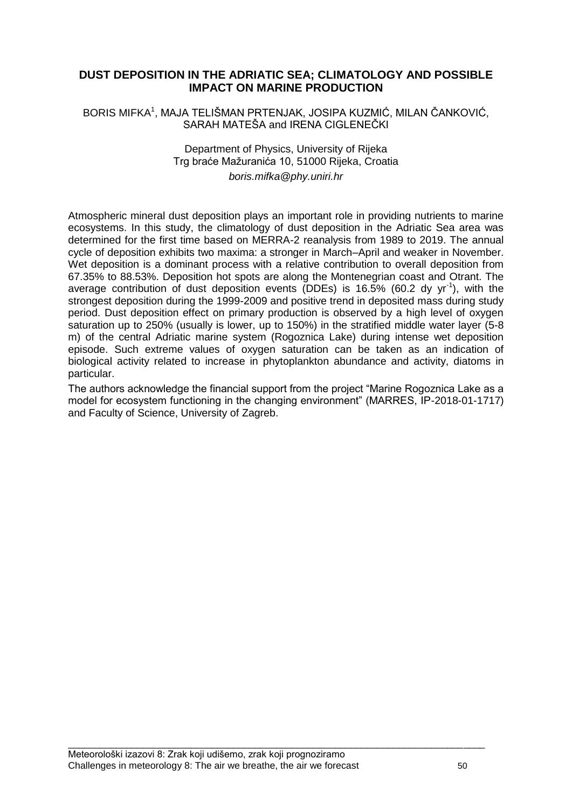# **DUST DEPOSITION IN THE ADRIATIC SEA; CLIMATOLOGY AND POSSIBLE IMPACT ON MARINE PRODUCTION**

#### BORIS MIFKA<sup>1</sup>, MAJA TELIŠMAN PRTENJAK, JOSIPA KUZMIĆ, MILAN ČANKOVIĆ, SARAH MATEŠA and IRENA CIGLENEĈKI

#### Department of Physics, University of Rijeka Trg braće Mažuranića 10, 51000 Rijeka, Croatia *boris.mifka@phy.uniri.hr*

Atmospheric mineral dust deposition plays an important role in providing nutrients to marine ecosystems. In this study, the climatology of dust deposition in the Adriatic Sea area was determined for the first time based on MERRA-2 reanalysis from 1989 to 2019. The annual cycle of deposition exhibits two maxima: a stronger in March–April and weaker in November. Wet deposition is a dominant process with a relative contribution to overall deposition from 67.35% to 88.53%. Deposition hot spots are along the Montenegrian coast and Otrant. The average contribution of dust deposition events (DDEs) is  $16.5\%$  (60.2 dy yr<sup>-1</sup>), with the strongest deposition during the 1999-2009 and positive trend in deposited mass during study period. Dust deposition effect on primary production is observed by a high level of oxygen saturation up to 250% (usually is lower, up to 150%) in the stratified middle water layer (5-8 m) of the central Adriatic marine system (Rogoznica Lake) during intense wet deposition episode. Such extreme values of oxygen saturation can be taken as an indication of biological activity related to increase in phytoplankton abundance and activity, diatoms in particular.

The authors acknowledge the financial support from the project "Marine Rogoznica Lake as a model for ecosystem functioning in the changing environment" (MARRES, IP-2018-01-1717) and Faculty of Science, University of Zagreb.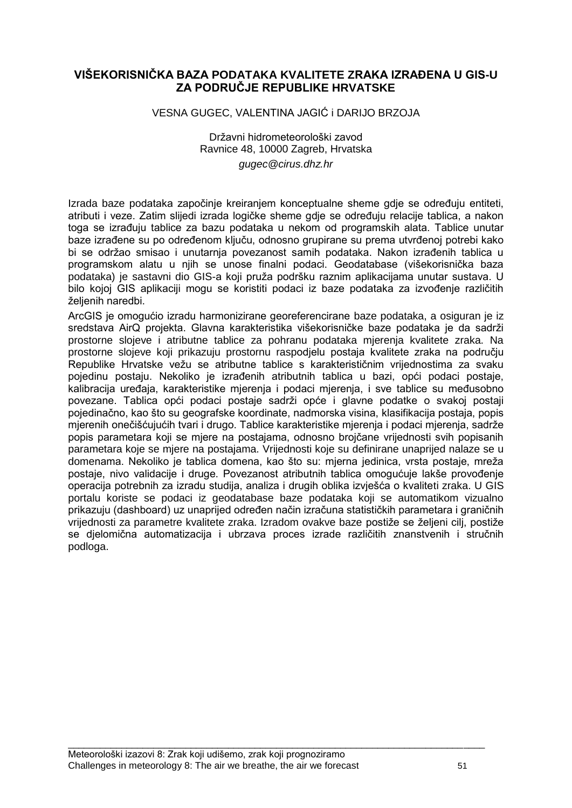# **VIŠEKORISNIČKA BAZA PODATAKA KVALITETE ZRAKA IZRAĐENA U GIS-U ZA PODRUČJE REPUBLIKE HRVATSKE**

#### VESNA GUGEC, VALENTINA JAGIĆ i DARIJO BRZOJA

Državni hidrometeorološki zavod Ravnice 48, 10000 Zagreb, Hrvatska *gugec@cirus.dhz.hr*

Izrada baze podataka započinje kreiranjem konceptualne sheme gdje se određuju entiteti, atributi i veze. Zatim slijedi izrada logičke sheme gdje se određuju relacije tablica, a nakon toga se izrađuju tablice za bazu podataka u nekom od programskih alata. Tablice unutar baze izrađene su po određenom ključu, odnosno grupirane su prema utvrđenoj potrebi kako bi se održao smisao i unutarnja povezanost samih podataka. Nakon izrađenih tablica u programskom alatu u njih se unose finalni podaci. Geodatabase (višekorisniĉka baza podataka) je sastavni dio GIS-a koji pruža podršku raznim aplikacijama unutar sustava. U bilo kojoj GIS aplikaciji mogu se koristiti podaci iz baze podataka za izvođenje različitih želienih naredbi.

ArcGIS je omogućio izradu harmonizirane georeferencirane baze podataka, a osiguran je iz sredstava AirQ projekta. Glavna karakteristika višekorisničke baze podataka je da sadrži prostorne slojeve i atributne tablice za pohranu podataka mjerenja kvalitete zraka. Na prostorne slojeve koji prikazuju prostornu raspodjelu postaja kvalitete zraka na podruĉju Republike Hrvatske vežu se atributne tablice s karakterističnim vrijednostima za svaku pojedinu postaju. Nekoliko je izrađenih atributnih tablica u bazi, opći podaci postaje, kalibracija uređaja, karakteristike mjerenja i podaci mjerenja, i sve tablice su međusobno povezane. Tablica opći podaci postaje sadrži opće i glavne podatke o svakoj postaji pojedinaĉno, kao što su geografske koordinate, nadmorska visina, klasifikacija postaja, popis mjerenih onečišćujućih tvari i drugo. Tablice karakteristike mjerenja i podaci mjerenja, sadrže popis parametara koji se mjere na postajama, odnosno brojĉane vrijednosti svih popisanih parametara koje se mjere na postajama. Vrijednosti koje su definirane unaprijed nalaze se u domenama. Nekoliko je tablica domena, kao što su: mjerna jedinica, vrsta postaje, mreža postaje, nivo validacije i druge. Povezanost atributnih tablica omogućuje lakše provođenje operacija potrebnih za izradu studija, analiza i drugih oblika izvješća o kvaliteti zraka. U GIS portalu koriste se podaci iz geodatabase baze podataka koji se automatikom vizualno prikazuju (dashboard) uz unaprijed određen način izračuna statističkih parametara i graničnih vrijednosti za parametre kvalitete zraka. Izradom ovakve baze postiže se željeni cilj, postiže se djelomiĉna automatizacija i ubrzava proces izrade razliĉitih znanstvenih i struĉnih podloga.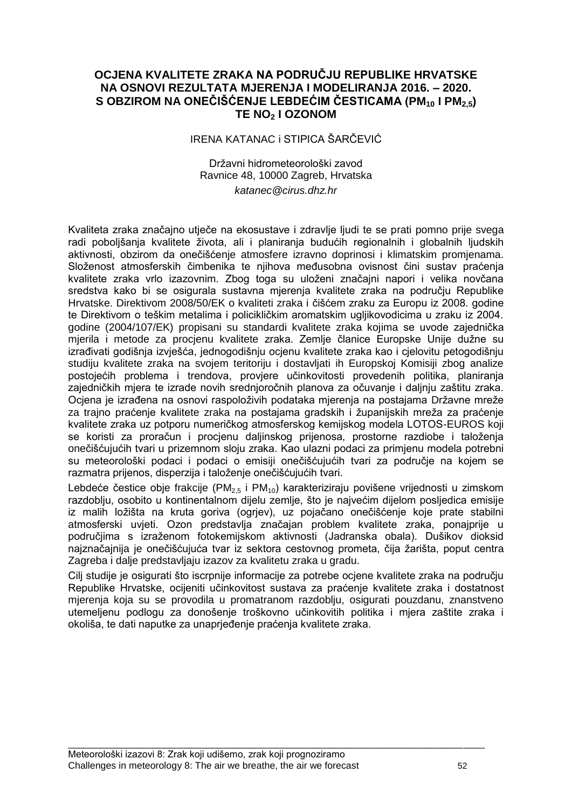# **OCJENA KVALITETE ZRAKA NA PODRUČJU REPUBLIKE HRVATSKE NA OSNOVI REZULTATA MJERENJA I MODELIRANJA 2016. – 2020. S OBZIROM NA ONEČIŠĆENJE LEBDEĆIM ČESTICAMA (PM<sup>10</sup> I PM2,5) TE NO<sup>2</sup> I OZONOM**

#### IRENA KATANAC i STIPICA ŠARĈEVIĆ

#### Državni hidrometeorološki zavod Ravnice 48, 10000 Zagreb, Hrvatska *katanec@cirus.dhz.hr*

Kvaliteta zraka znaĉajno utjeĉe na ekosustave i zdravlje ljudi te se prati pomno prije svega radi pobolišanja kvalitete života, ali i planiranja budućih regionalnih i globalnih ljudskih aktivnosti, obzirom da oneĉišćenje atmosfere izravno doprinosi i klimatskim promjenama. Složenost atmosferskih čimbenika te niihova međusobna ovisnost čini sustav praćenia kvalitete zraka vrlo izazovnim. Zbog toga su uloženi značajni napori i velika novčana sredstva kako bi se osigurala sustavna mjerenja kvalitete zraka na podruĉju Republike Hrvatske. Direktivom 2008/50/EK o kvaliteti zraka i ĉišćem zraku za Europu iz 2008. godine te Direktivom o teškim metalima i policikliĉkim aromatskim ugljikovodicima u zraku iz 2004. godine (2004/107/EK) propisani su standardi kvalitete zraka kojima se uvode zajedniĉka mjerila i metode za procjenu kvalitete zraka. Zemlje članice Europske Unije dužne su izrađivati godišnja izvješća, jednogodišnju ocjenu kvalitete zraka kao i cjelovitu petogodišnju studiju kvalitete zraka na svojem teritoriju i dostavliati ih Europskoj Komisiji zbog analize postojećih problema i trendova, provjere uĉinkovitosti provedenih politika, planiranja zajedniĉkih mjera te izrade novih srednjoroĉnih planova za oĉuvanje i daljnju zaštitu zraka. Ocjena je izrađena na osnovi raspoloživih podataka mjerenja na postajama Državne mreže za trajno praćenje kvalitete zraka na postajama gradskih i županijskih mreža za praćenje kvalitete zraka uz potporu numeriĉkog atmosferskog kemijskog modela LOTOS-EUROS koji se koristi za proračun i procjenu daljinskog prijenosa, prostorne razdiobe i taloženja oneĉišćujućih tvari u prizemnom sloju zraka. Kao ulazni podaci za primjenu modela potrebni su meteorološki podaci i podaci o emisiji oneĉišćujućih tvari za podruĉje na kojem se razmatra prijenos, disperzija i taloženje onečišćujućih tvari.

Lebdeće čestice obje frakcije (PM<sub>2,5</sub> i PM<sub>10</sub>) karakteriziraju povišene vrijednosti u zimskom razdoblju, osobito u kontinentalnom dijelu zemlje, što je najvećim dijelom posljedica emisije iz malih ložišta na kruta goriva (ogrjev), uz pojačano onečišćenje koje prate stabilni atmosferski uvjeti. Ozon predstavlja znaĉajan problem kvalitete zraka, ponajprije u područjima s izraženom fotokemijskom aktivnosti (Jadranska obala). Dušikov dioksid najznačajnija je onečišćujuća tvar iz sektora cestovnog prometa, čija žarišta, poput centra Zagreba i dalje predstavljaju izazov za kvalitetu zraka u gradu.

Cilj studije je osigurati što iscrpnije informacije za potrebe ocjene kvalitete zraka na podruĉju Republike Hrvatske, ocijeniti uĉinkovitost sustava za praćenje kvalitete zraka i dostatnost mjerenja koja su se provodila u promatranom razdoblju, osigurati pouzdanu, znanstveno utemeljenu podlogu za donošenje troškovno uĉinkovitih politika i mjera zaštite zraka i okoliša, te dati naputke za unaprjeđenje praćenja kvalitete zraka.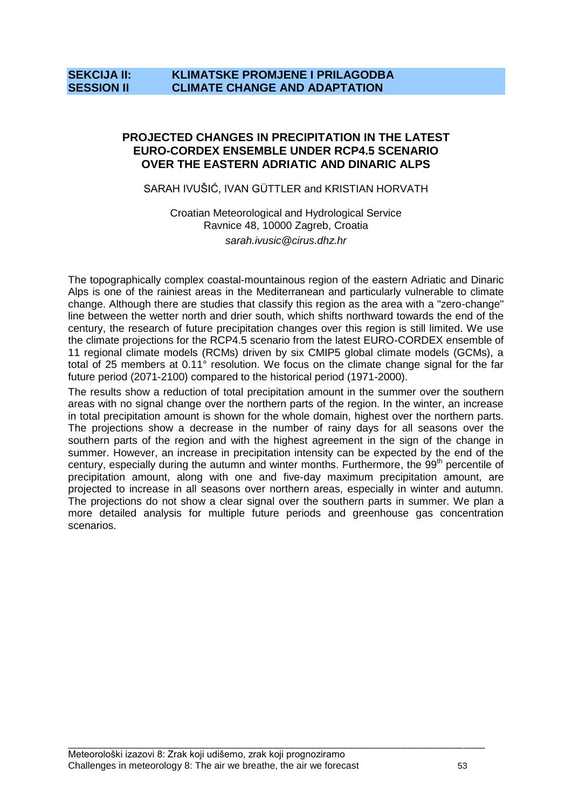# **SEKCIJA II: KLIMATSKE PROMJENE I PRILAGODBA SESSION II CLIMATE CHANGE AND ADAPTATION**

#### **PROJECTED CHANGES IN PRECIPITATION IN THE LATEST EURO-CORDEX ENSEMBLE UNDER RCP4.5 SCENARIO OVER THE EASTERN ADRIATIC AND DINARIC ALPS**

#### SARAH IVUŠIĆ, IVAN GÜTTLER and KRISTIAN HORVATH

Croatian Meteorological and Hydrological Service Ravnice 48, 10000 Zagreb, Croatia *sarah.ivusic@cirus.dhz.hr*

The topographically complex coastal-mountainous region of the eastern Adriatic and Dinaric Alps is one of the rainiest areas in the Mediterranean and particularly vulnerable to climate change. Although there are studies that classify this region as the area with a "zero-change" line between the wetter north and drier south, which shifts northward towards the end of the century, the research of future precipitation changes over this region is still limited. We use the climate projections for the RCP4.5 scenario from the latest EURO-CORDEX ensemble of 11 regional climate models (RCMs) driven by six CMIP5 global climate models (GCMs), a total of 25 members at 0.11° resolution. We focus on the climate change signal for the far future period (2071-2100) compared to the historical period (1971-2000).

The results show a reduction of total precipitation amount in the summer over the southern areas with no signal change over the northern parts of the region. In the winter, an increase in total precipitation amount is shown for the whole domain, highest over the northern parts. The projections show a decrease in the number of rainy days for all seasons over the southern parts of the region and with the highest agreement in the sign of the change in summer. However, an increase in precipitation intensity can be expected by the end of the century, especially during the autumn and winter months. Furthermore, the 99<sup>th</sup> percentile of precipitation amount, along with one and five-day maximum precipitation amount, are projected to increase in all seasons over northern areas, especially in winter and autumn. The projections do not show a clear signal over the southern parts in summer. We plan a more detailed analysis for multiple future periods and greenhouse gas concentration scenarios.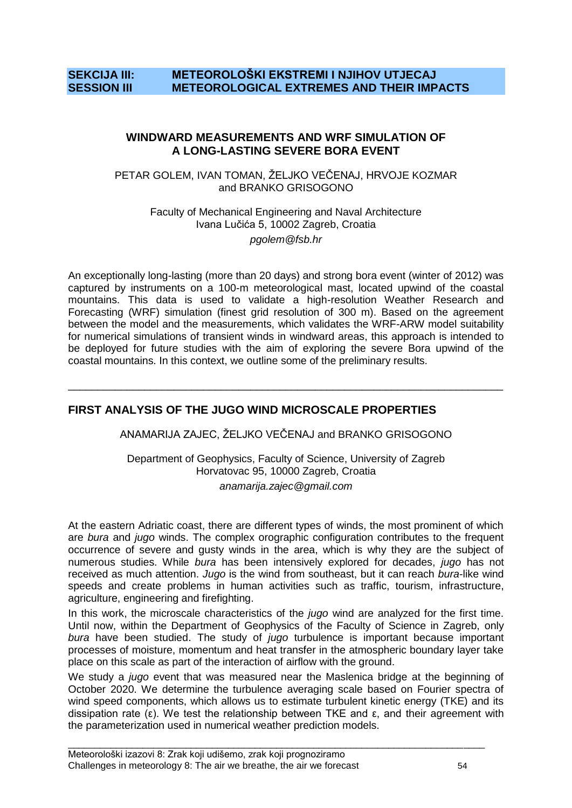# **SEKCIJA III: METEOROLOŠKI EKSTREMI I NJIHOV UTJECAJ SESSION III METEOROLOGICAL EXTREMES AND THEIR IMPACTS**

#### **WINDWARD MEASUREMENTS AND WRF SIMULATION OF A LONG-LASTING SEVERE BORA EVENT**

PETAR GOLEM, IVAN TOMAN, ŽELJKO VEČENAJ, HRVOJE KOZMAR and BRANKO GRISOGONO

> Faculty of Mechanical Engineering and Naval Architecture Ivana Luĉića 5, 10002 Zagreb, Croatia *pgolem@fsb.hr*

An exceptionally long-lasting (more than 20 days) and strong bora event (winter of 2012) was captured by instruments on a 100-m meteorological mast, located upwind of the coastal mountains. This data is used to validate a high-resolution Weather Research and Forecasting (WRF) simulation (finest grid resolution of 300 m). Based on the agreement between the model and the measurements, which validates the WRF-ARW model suitability for numerical simulations of transient winds in windward areas, this approach is intended to be deployed for future studies with the aim of exploring the severe Bora upwind of the coastal mountains. In this context, we outline some of the preliminary results.

# **FIRST ANALYSIS OF THE JUGO WIND MICROSCALE PROPERTIES**

ANAMARIJA ZAJEC, ŽELJKO VEČENAJ and BRANKO GRISOGONO

\_\_\_\_\_\_\_\_\_\_\_\_\_\_\_\_\_\_\_\_\_\_\_\_\_\_\_\_\_\_\_\_\_\_\_\_\_\_\_\_\_\_\_\_\_\_\_\_\_\_\_\_\_\_\_\_\_\_\_\_\_\_\_\_\_\_\_\_\_\_\_\_\_\_

Department of Geophysics, Faculty of Science, University of Zagreb Horvatovac 95, 10000 Zagreb, Croatia *anamarija.zajec@gmail.com*

At the eastern Adriatic coast, there are different types of winds, the most prominent of which are *bura* and *jugo* winds. The complex orographic configuration contributes to the frequent occurrence of severe and gusty winds in the area, which is why they are the subject of numerous studies. While *bura* has been intensively explored for decades, *jugo* has not received as much attention. *Jugo* is the wind from southeast, but it can reach *bura*-like wind speeds and create problems in human activities such as traffic, tourism, infrastructure, agriculture, engineering and firefighting.

In this work, the microscale characteristics of the *jugo* wind are analyzed for the first time. Until now, within the Department of Geophysics of the Faculty of Science in Zagreb, only *bura* have been studied. The study of *jugo* turbulence is important because important processes of moisture, momentum and heat transfer in the atmospheric boundary layer take place on this scale as part of the interaction of airflow with the ground.

We study a *jugo* event that was measured near the Maslenica bridge at the beginning of October 2020. We determine the turbulence averaging scale based on Fourier spectra of wind speed components, which allows us to estimate turbulent kinetic energy (TKE) and its dissipation rate (ε). We test the relationship between TKE and  $\epsilon$ , and their agreement with the parameterization used in numerical weather prediction models.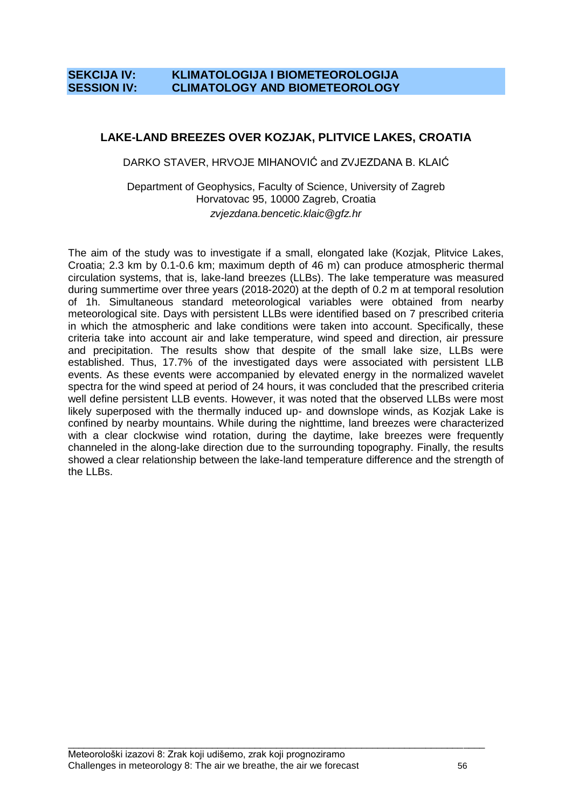# **SEKCIJA IV: KLIMATOLOGIJA I BIOMETEOROLOGIJA SESSION IV: CLIMATOLOGY AND BIOMETEOROLOGY**

# **LAKE-LAND BREEZES OVER KOZJAK, PLITVICE LAKES, CROATIA**

DARKO STAVER, HRVOJE MIHANOVIĆ and ZVJEZDANA B. KLAIĆ

Department of Geophysics, Faculty of Science, University of Zagreb Horvatovac 95, 10000 Zagreb, Croatia *zvjezdana.bencetic.klaic@gfz.hr*

The aim of the study was to investigate if a small, elongated lake (Kozjak, Plitvice Lakes, Croatia; 2.3 km by 0.1-0.6 km; maximum depth of 46 m) can produce atmospheric thermal circulation systems, that is, lake-land breezes (LLBs). The lake temperature was measured during summertime over three years (2018-2020) at the depth of 0.2 m at temporal resolution of 1h. Simultaneous standard meteorological variables were obtained from nearby meteorological site. Days with persistent LLBs were identified based on 7 prescribed criteria in which the atmospheric and lake conditions were taken into account. Specifically, these criteria take into account air and lake temperature, wind speed and direction, air pressure and precipitation. The results show that despite of the small lake size, LLBs were established. Thus, 17.7% of the investigated days were associated with persistent LLB events. As these events were accompanied by elevated energy in the normalized wavelet spectra for the wind speed at period of 24 hours, it was concluded that the prescribed criteria well define persistent LLB events. However, it was noted that the observed LLBs were most likely superposed with the thermally induced up- and downslope winds, as Kozjak Lake is confined by nearby mountains. While during the nighttime, land breezes were characterized with a clear clockwise wind rotation, during the daytime, lake breezes were frequently channeled in the along-lake direction due to the surrounding topography. Finally, the results showed a clear relationship between the lake-land temperature difference and the strength of the LLBs.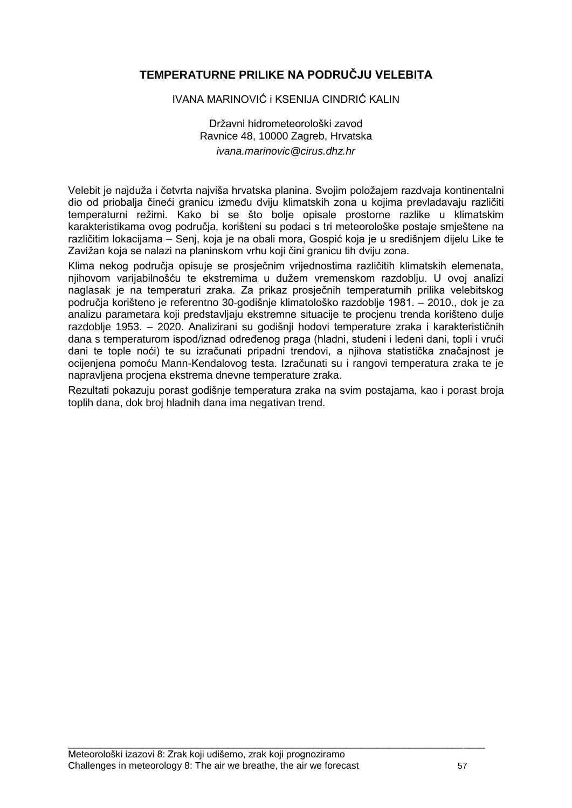# **TEMPERATURNE PRILIKE NA PODRUČJU VELEBITA**

#### IVANA MARINOVIĆ i KSENIJA CINDRIĆ KALIN

Državni hidrometeorološki zavod Ravnice 48, 10000 Zagreb, Hrvatska *ivana.marinovic@cirus.dhz.hr*

Velebit je najduža i četvrta najviša hrvatska planina. Svojim položajem razdvaja kontinentalni dio od priobalja čineći granicu između dviju klimatskih zona u kojima prevladavaju različiti temperaturni režimi. Kako bi se što bolje opisale prostorne razlike u klimatskim karakteristikama ovog podruĉja, korišteni su podaci s tri meteorološke postaje smještene na razliĉitim lokacijama – Senj, koja je na obali mora, Gospić koja je u središnjem dijelu Like te Zavižan koja se nalazi na planinskom vrhu koji čini granicu tih dviju zona.

Klima nekog podruĉja opisuje se prosjeĉnim vrijednostima razliĉitih klimatskih elemenata, njihovom varijabilnošću te ekstremima u dužem vremenskom razdoblju. U ovoj analizi naglasak je na temperaturi zraka. Za prikaz prosjeĉnih temperaturnih prilika velebitskog podruĉja korišteno je referentno 30-godišnje klimatološko razdoblje 1981. – 2010., dok je za analizu parametara koji predstavljaju ekstremne situacije te procjenu trenda korišteno dulje razdoblje 1953. – 2020. Analizirani su godišnji hodovi temperature zraka i karakteristiĉnih dana s temperaturom ispod/iznad određenog praga (hladni, studeni i ledeni dani, topli i vrući dani te tople noći) te su izraĉunati pripadni trendovi, a njihova statistiĉka znaĉajnost je ocijenjena pomoću Mann-Kendalovog testa. Izraĉunati su i rangovi temperatura zraka te je napravljena procjena ekstrema dnevne temperature zraka.

Rezultati pokazuju porast godišnje temperatura zraka na svim postajama, kao i porast broja toplih dana, dok broj hladnih dana ima negativan trend.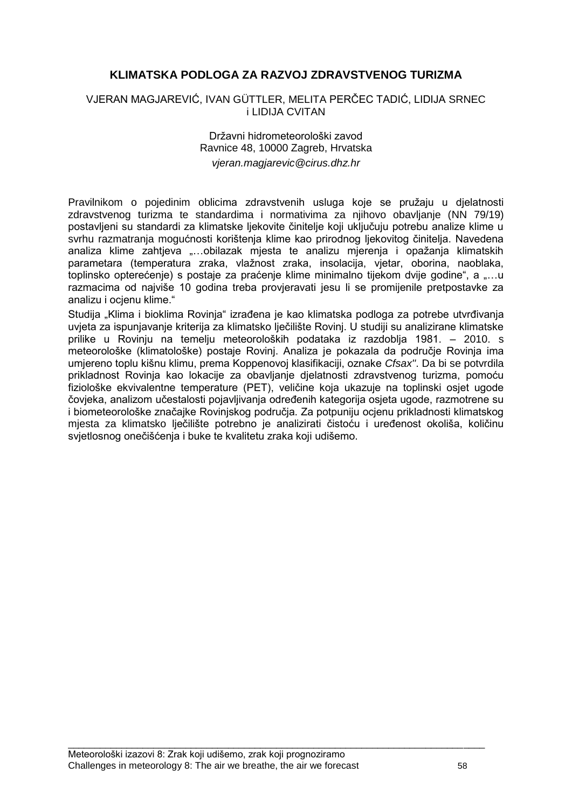# **KLIMATSKA PODLOGA ZA RAZVOJ ZDRAVSTVENOG TURIZMA**

#### VJERAN MAGJAREVIĆ, IVAN GÜTTLER, MELITA PERĈEC TADIĆ, LIDIJA SRNEC i LIDIJA CVITAN

#### Državni hidrometeorološki zavod Ravnice 48, 10000 Zagreb, Hrvatska *vjeran.magjarevic@cirus.dhz.hr*

Pravilnikom o pojedinim oblicima zdravstvenih usluga koje se pružaju u djelatnosti zdravstvenog turizma te standardima i normativima za njihovo obavljanje (NN 79/19) postavljeni su standardi za klimatske ljekovite ĉinitelje koji ukljuĉuju potrebu analize klime u svrhu razmatranja mogućnosti korištenja klime kao prirodnog ljekovitog ĉinitelja. Navedena analiza klime zahtjeva "...obilazak mjesta te analizu mjerenja i opažanja klimatskih parametara (temperatura zraka, vlažnost zraka, insolacija, vjetar, oborina, naoblaka, toplinsko opterećenje) s postaje za praćenje klime minimalno tijekom dvije godine", a "...u razmacima od najviše 10 godina treba provjeravati jesu li se promijenile pretpostavke za analizu i ocjenu klime."

Studija "Klima i bioklima Rovinja" izrađena je kao klimatska podloga za potrebe utvrđivanja uvjeta za ispunjavanje kriterija za klimatsko ljeĉilište Rovinj. U studiji su analizirane klimatske prilike u Rovinju na temelju meteoroloških podataka iz razdoblja 1981. – 2010. s meteorološke (klimatološke) postaje Rovinj. Analiza je pokazala da podruĉje Rovinja ima umjereno toplu kišnu klimu, prema Koppenovoj klasifikaciji, oznake *Cfsax''*. Da bi se potvrdila prikladnost Rovinja kao lokacije za obavljanje djelatnosti zdravstvenog turizma, pomoću fiziološke ekvivalentne temperature (PET), veliĉine koja ukazuje na toplinski osjet ugode čovjeka, analizom učestalosti pojavljivanja određenih kategorija osjeta ugode, razmotrene su i biometeorološke znaĉajke Rovinjskog podruĉja. Za potpuniju ocjenu prikladnosti klimatskog mjesta za klimatsko lječilište potrebno je analizirati čistoću i uređenost okoliša, količinu svjetlosnog oneĉišćenja i buke te kvalitetu zraka koji udišemo.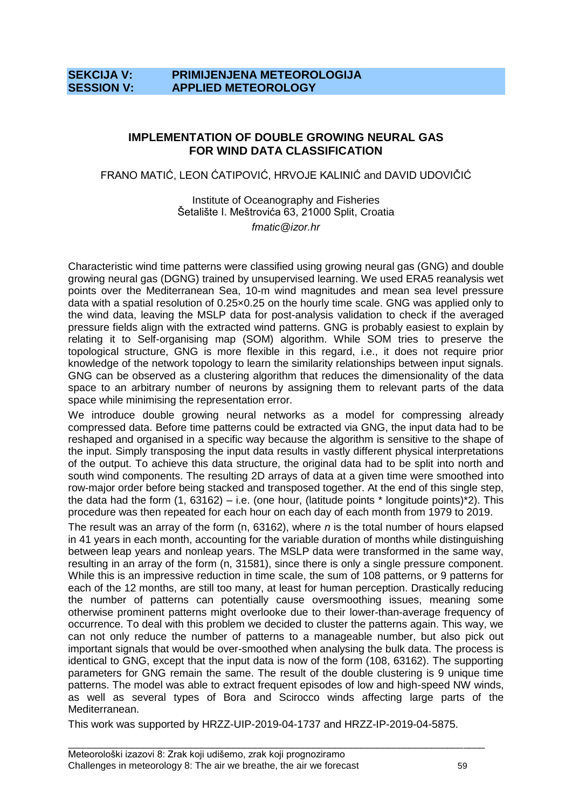# **SEKCIJA V: PRIMIJENJENA METEOROLOGIJA SESSION V: APPLIED METEOROLOGY**

#### **IMPLEMENTATION OF DOUBLE GROWING NEURAL GAS FOR WIND DATA CLASSIFICATION**

FRANO MATIĆ, LEON ĆATIPOVIĆ, HRVOJE KALINIĆ and DAVID UDOVIĈIĆ

Institute of Oceanography and Fisheries Šetalište I. Meštrovića 63, 21000 Split, Croatia *fmatic@izor.hr*

Characteristic wind time patterns were classified using growing neural gas (GNG) and double growing neural gas (DGNG) trained by unsupervised learning. We used ERA5 reanalysis wet points over the Mediterranean Sea, 10-m wind magnitudes and mean sea level pressure data with a spatial resolution of 0.25×0.25 on the hourly time scale. GNG was applied only to the wind data, leaving the MSLP data for post-analysis validation to check if the averaged pressure fields align with the extracted wind patterns. GNG is probably easiest to explain by relating it to Self-organising map (SOM) algorithm. While SOM tries to preserve the topological structure, GNG is more flexible in this regard, i.e., it does not require prior knowledge of the network topology to learn the similarity relationships between input signals. GNG can be observed as a clustering algorithm that reduces the dimensionality of the data space to an arbitrary number of neurons by assigning them to relevant parts of the data space while minimising the representation error.

We introduce double growing neural networks as a model for compressing already compressed data. Before time patterns could be extracted via GNG, the input data had to be reshaped and organised in a specific way because the algorithm is sensitive to the shape of the input. Simply transposing the input data results in vastly different physical interpretations of the output. To achieve this data structure, the original data had to be split into north and south wind components. The resulting 2D arrays of data at a given time were smoothed into row-major order before being stacked and transposed together. At the end of this single step, the data had the form (1, 63162) – i.e. (one hour, (latitude points  $*$  longitude points) $*$ 2). This procedure was then repeated for each hour on each day of each month from 1979 to 2019.

The result was an array of the form (n, 63162), where *n* is the total number of hours elapsed in 41 years in each month, accounting for the variable duration of months while distinguishing between leap years and nonleap years. The MSLP data were transformed in the same way, resulting in an array of the form (n, 31581), since there is only a single pressure component. While this is an impressive reduction in time scale, the sum of 108 patterns, or 9 patterns for each of the 12 months, are still too many, at least for human perception. Drastically reducing the number of patterns can potentially cause oversmoothing issues, meaning some otherwise prominent patterns might overlooke due to their lower-than-average frequency of occurrence. To deal with this problem we decided to cluster the patterns again. This way, we can not only reduce the number of patterns to a manageable number, but also pick out important signals that would be over-smoothed when analysing the bulk data. The process is identical to GNG, except that the input data is now of the form (108, 63162). The supporting parameters for GNG remain the same. The result of the double clustering is 9 unique time patterns. The model was able to extract frequent episodes of low and high-speed NW winds, as well as several types of Bora and Scirocco winds affecting large parts of the Mediterranean.

This work was supported by HRZZ-UIP-2019-04-1737 and HRZZ-IP-2019-04-5875.